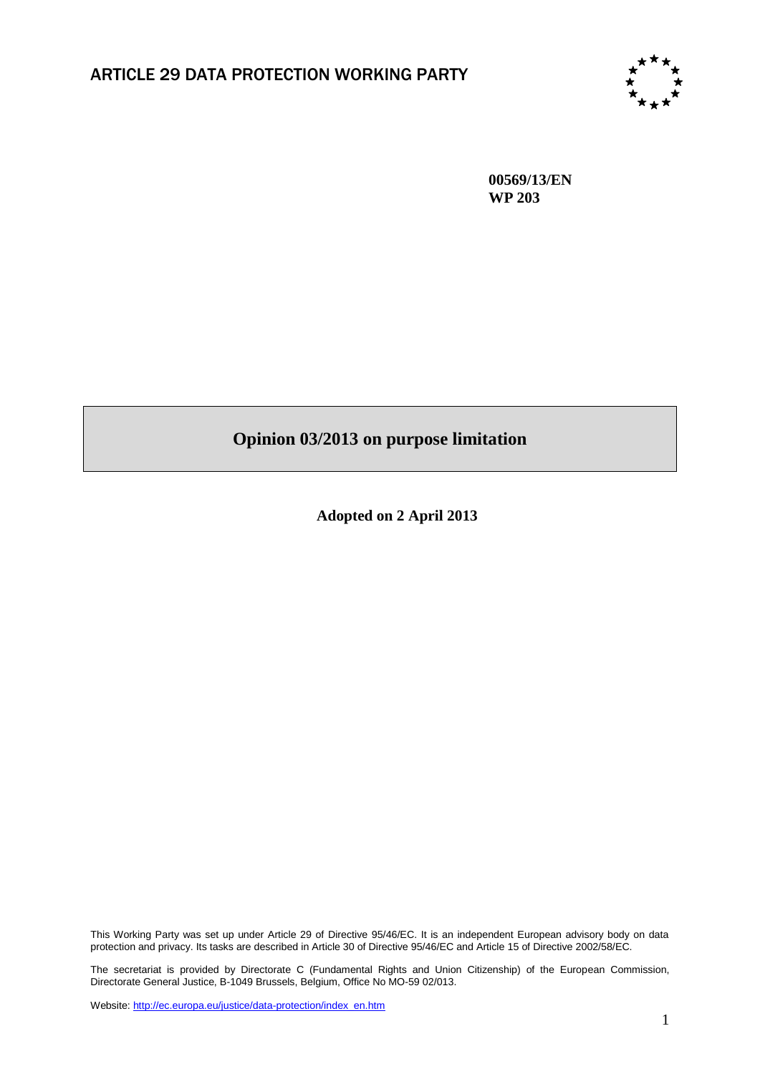

**00569/13/EN WP 203**

# **Opinion 03/2013 on purpose limitation**

**Adopted on 2 April 2013**

This Working Party was set up under Article 29 of Directive 95/46/EC. It is an independent European advisory body on data protection and privacy. Its tasks are described in Article 30 of Directive 95/46/EC and Article 15 of Directive 2002/58/EC.

The secretariat is provided by Directorate C (Fundamental Rights and Union Citizenship) of the European Commission, Directorate General Justice, B-1049 Brussels, Belgium, Office No MO-59 02/013.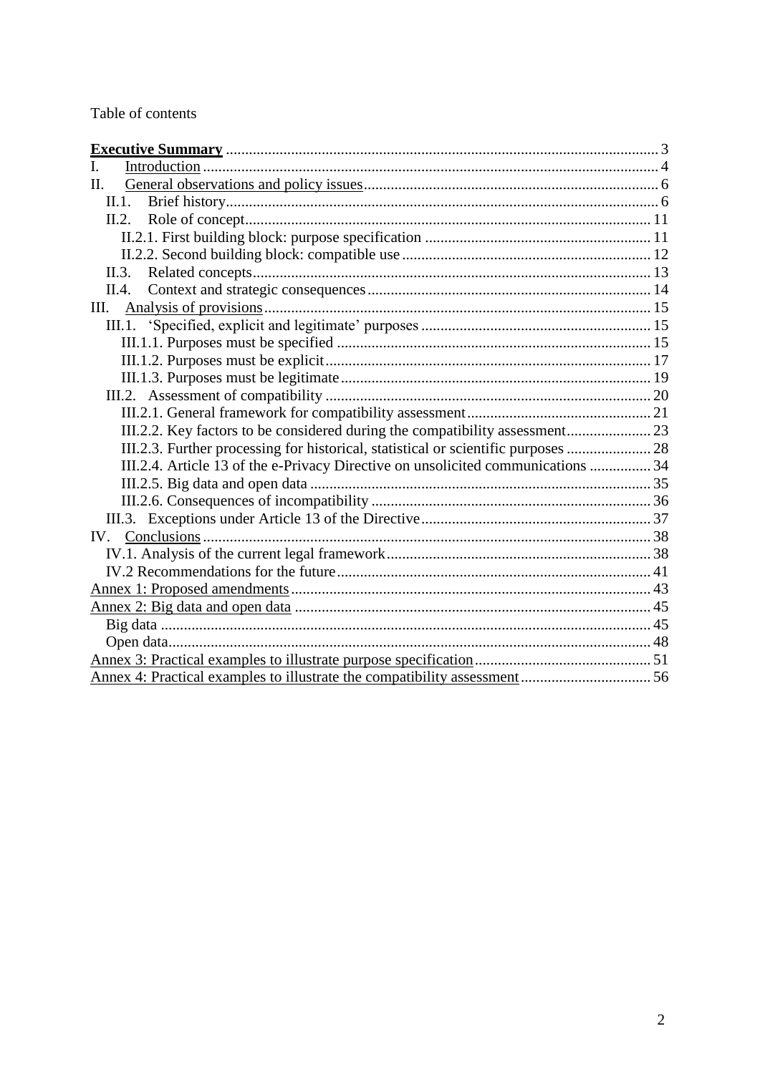## Table of contents

| $\overline{L}$                                                                     |  |
|------------------------------------------------------------------------------------|--|
| П.                                                                                 |  |
|                                                                                    |  |
|                                                                                    |  |
|                                                                                    |  |
|                                                                                    |  |
|                                                                                    |  |
| II.4.                                                                              |  |
|                                                                                    |  |
|                                                                                    |  |
|                                                                                    |  |
|                                                                                    |  |
|                                                                                    |  |
|                                                                                    |  |
|                                                                                    |  |
| III.2.2. Key factors to be considered during the compatibility assessment 23       |  |
| III.2.3. Further processing for historical, statistical or scientific purposes  28 |  |
| III.2.4. Article 13 of the e-Privacy Directive on unsolicited communications  34   |  |
|                                                                                    |  |
|                                                                                    |  |
|                                                                                    |  |
|                                                                                    |  |
|                                                                                    |  |
|                                                                                    |  |
|                                                                                    |  |
|                                                                                    |  |
|                                                                                    |  |
|                                                                                    |  |
|                                                                                    |  |
|                                                                                    |  |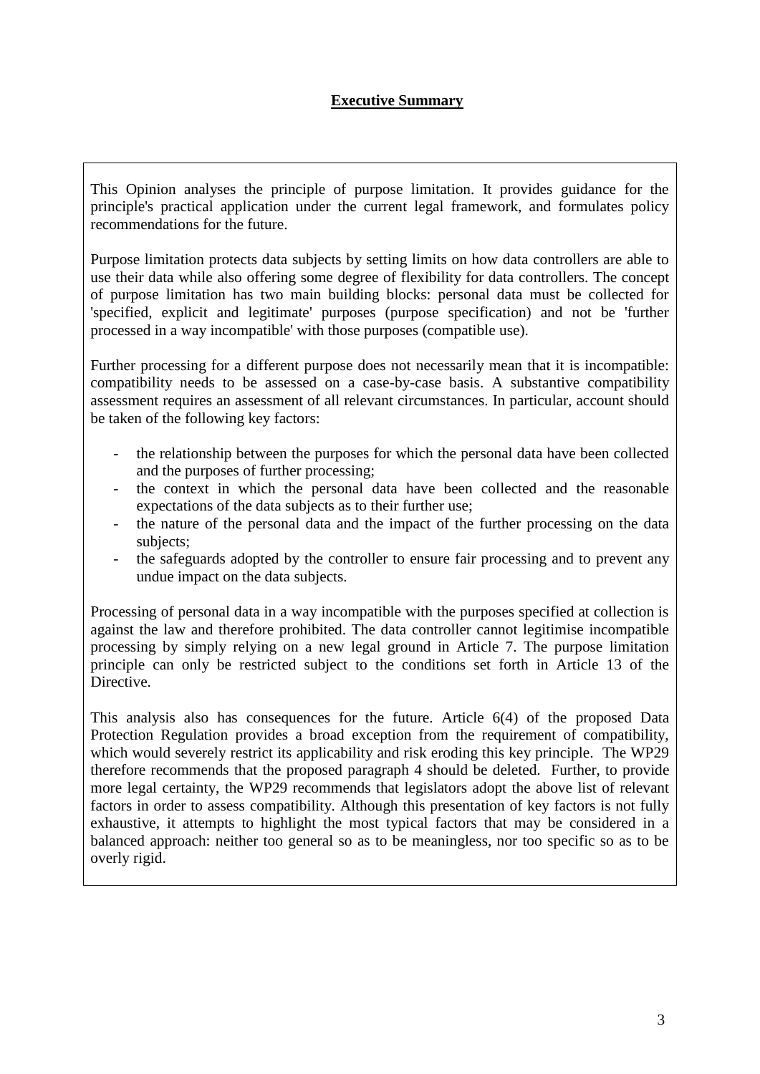## **Executive Summary**

This Opinion analyses the principle of purpose limitation. It provides guidance for the principle's practical application under the current legal framework, and formulates policy recommendations for the future.

Purpose limitation protects data subjects by setting limits on how data controllers are able to use their data while also offering some degree of flexibility for data controllers. The concept of purpose limitation has two main building blocks: personal data must be collected for 'specified, explicit and legitimate' purposes (purpose specification) and not be 'further processed in a way incompatible' with those purposes (compatible use).

Further processing for a different purpose does not necessarily mean that it is incompatible: compatibility needs to be assessed on a case-by-case basis. A substantive compatibility assessment requires an assessment of all relevant circumstances. In particular, account should be taken of the following key factors:

- the relationship between the purposes for which the personal data have been collected and the purposes of further processing;
- the context in which the personal data have been collected and the reasonable expectations of the data subjects as to their further use;
- the nature of the personal data and the impact of the further processing on the data subjects;
- the safeguards adopted by the controller to ensure fair processing and to prevent any undue impact on the data subjects.

Processing of personal data in a way incompatible with the purposes specified at collection is against the law and therefore prohibited. The data controller cannot legitimise incompatible processing by simply relying on a new legal ground in Article 7. The purpose limitation principle can only be restricted subject to the conditions set forth in Article 13 of the Directive.

This analysis also has consequences for the future. Article 6(4) of the proposed Data Protection Regulation provides a broad exception from the requirement of compatibility, which would severely restrict its applicability and risk eroding this key principle. The WP29 therefore recommends that the proposed paragraph 4 should be deleted. Further, to provide more legal certainty, the WP29 recommends that legislators adopt the above list of relevant factors in order to assess compatibility. Although this presentation of key factors is not fully exhaustive, it attempts to highlight the most typical factors that may be considered in a balanced approach: neither too general so as to be meaningless, nor too specific so as to be overly rigid.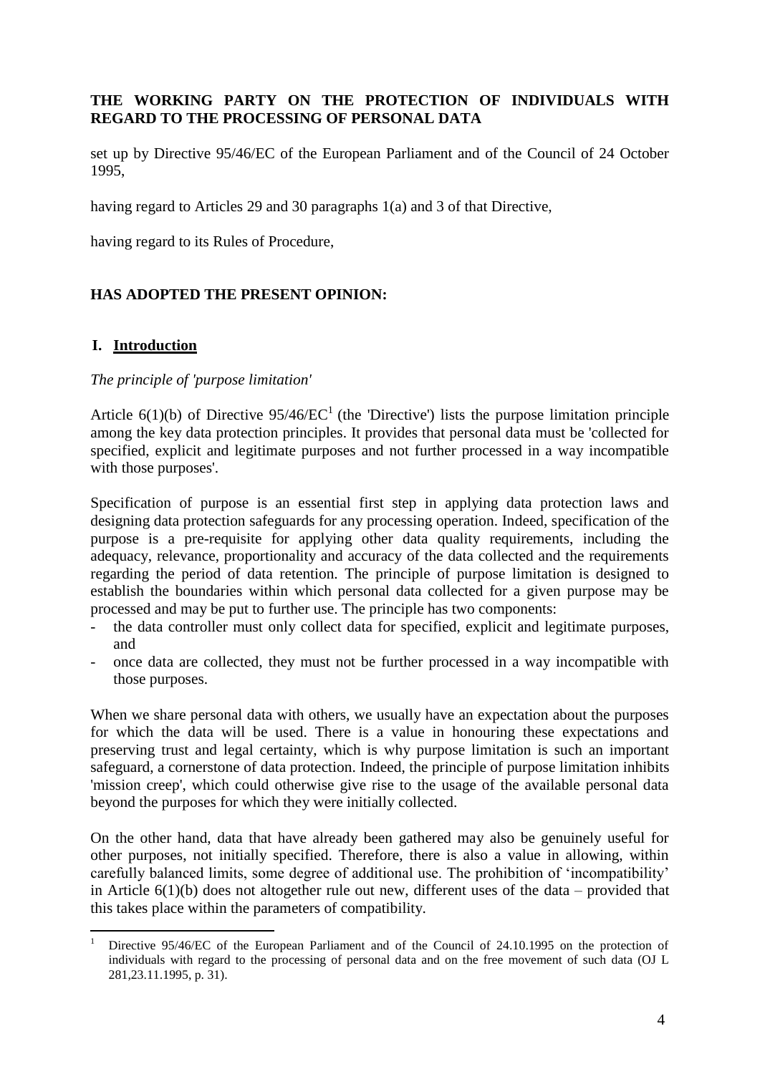## **THE WORKING PARTY ON THE PROTECTION OF INDIVIDUALS WITH REGARD TO THE PROCESSING OF PERSONAL DATA**

set up by Directive 95/46/EC of the European Parliament and of the Council of 24 October 1995,

having regard to Articles 29 and 30 paragraphs 1(a) and 3 of that Directive,

having regard to its Rules of Procedure,

## **HAS ADOPTED THE PRESENT OPINION:**

#### **I. Introduction**

 $\overline{a}$ 

#### *The principle of 'purpose limitation'*

Article  $6(1)(b)$  of Directive  $95/46/EC<sup>1</sup>$  (the 'Directive') lists the purpose limitation principle among the key data protection principles. It provides that personal data must be 'collected for specified, explicit and legitimate purposes and not further processed in a way incompatible with those purposes'.

Specification of purpose is an essential first step in applying data protection laws and designing data protection safeguards for any processing operation. Indeed, specification of the purpose is a pre-requisite for applying other data quality requirements, including the adequacy, relevance, proportionality and accuracy of the data collected and the requirements regarding the period of data retention. The principle of purpose limitation is designed to establish the boundaries within which personal data collected for a given purpose may be processed and may be put to further use. The principle has two components:

- the data controller must only collect data for specified, explicit and legitimate purposes, and
- once data are collected, they must not be further processed in a way incompatible with those purposes.

When we share personal data with others, we usually have an expectation about the purposes for which the data will be used. There is a value in honouring these expectations and preserving trust and legal certainty, which is why purpose limitation is such an important safeguard, a cornerstone of data protection. Indeed, the principle of purpose limitation inhibits 'mission creep', which could otherwise give rise to the usage of the available personal data beyond the purposes for which they were initially collected.

On the other hand, data that have already been gathered may also be genuinely useful for other purposes, not initially specified. Therefore, there is also a value in allowing, within carefully balanced limits, some degree of additional use. The prohibition of 'incompatibility' in Article  $6(1)(b)$  does not altogether rule out new, different uses of the data – provided that this takes place within the parameters of compatibility.

Directive 95/46/EC of the European Parliament and of the Council of 24.10.1995 on the protection of individuals with regard to the processing of personal data and on the free movement of such data (OJ L 281,23.11.1995, p. 31).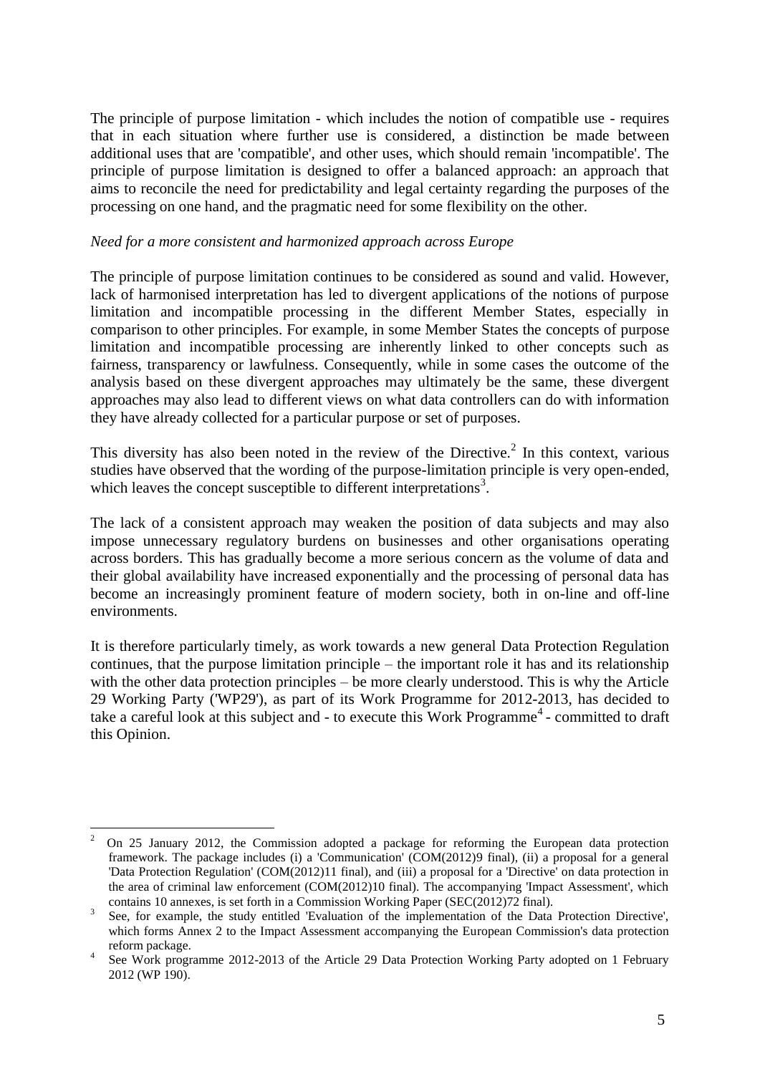The principle of purpose limitation - which includes the notion of compatible use - requires that in each situation where further use is considered, a distinction be made between additional uses that are 'compatible', and other uses, which should remain 'incompatible'. The principle of purpose limitation is designed to offer a balanced approach: an approach that aims to reconcile the need for predictability and legal certainty regarding the purposes of the processing on one hand, and the pragmatic need for some flexibility on the other.

#### *Need for a more consistent and harmonized approach across Europe*

The principle of purpose limitation continues to be considered as sound and valid. However, lack of harmonised interpretation has led to divergent applications of the notions of purpose limitation and incompatible processing in the different Member States, especially in comparison to other principles. For example, in some Member States the concepts of purpose limitation and incompatible processing are inherently linked to other concepts such as fairness, transparency or lawfulness. Consequently, while in some cases the outcome of the analysis based on these divergent approaches may ultimately be the same, these divergent approaches may also lead to different views on what data controllers can do with information they have already collected for a particular purpose or set of purposes.

This diversity has also been noted in the review of the Directive.<sup>2</sup> In this context, various studies have observed that the wording of the purpose-limitation principle is very open-ended, which leaves the concept susceptible to different interpretations<sup>3</sup>.

The lack of a consistent approach may weaken the position of data subjects and may also impose unnecessary regulatory burdens on businesses and other organisations operating across borders. This has gradually become a more serious concern as the volume of data and their global availability have increased exponentially and the processing of personal data has become an increasingly prominent feature of modern society, both in on-line and off-line environments.

It is therefore particularly timely, as work towards a new general Data Protection Regulation continues, that the purpose limitation principle – the important role it has and its relationship with the other data protection principles – be more clearly understood. This is why the Article 29 Working Party ('WP29'), as part of its Work Programme for 2012-2013, has decided to take a careful look at this subject and - to execute this Work Programme<sup>4</sup> - committed to draft this Opinion.

<sup>2</sup> On 25 January 2012, the Commission adopted a package for reforming the European data protection framework. The package includes (i) a 'Communication' (COM(2012)9 final), (ii) a proposal for a general 'Data Protection Regulation' (COM(2012)11 final), and (iii) a proposal for a 'Directive' on data protection in the area of criminal law enforcement (COM(2012)10 final). The accompanying 'Impact Assessment', which contains 10 annexes, is set forth in a Commission Working Paper (SEC(2012)72 final).

<sup>3</sup> See, for example, the study entitled 'Evaluation of the implementation of the Data Protection Directive', which forms Annex 2 to the Impact Assessment accompanying the European Commission's data protection reform package.

<sup>4</sup> See Work programme 2012-2013 of the Article 29 Data Protection Working Party adopted on 1 February 2012 (WP 190).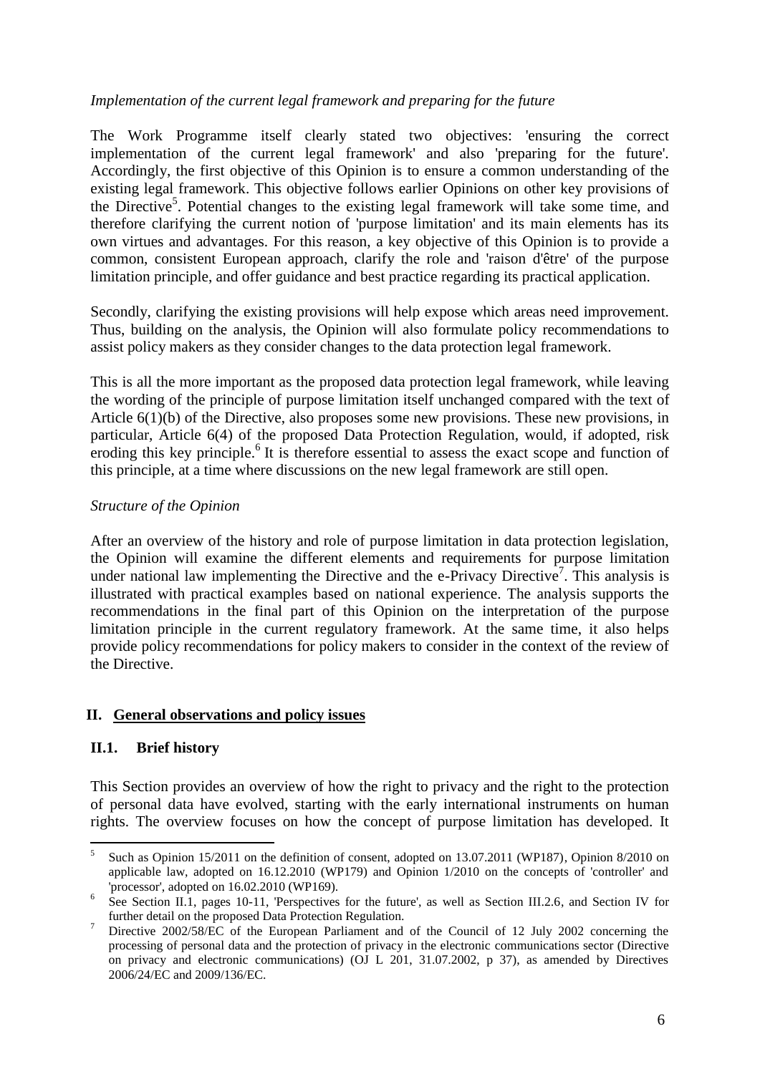### *Implementation of the current legal framework and preparing for the future*

The Work Programme itself clearly stated two objectives: 'ensuring the correct implementation of the current legal framework' and also 'preparing for the future'. Accordingly, the first objective of this Opinion is to ensure a common understanding of the existing legal framework. This objective follows earlier Opinions on other key provisions of the Directive<sup>5</sup>. Potential changes to the existing legal framework will take some time, and therefore clarifying the current notion of 'purpose limitation' and its main elements has its own virtues and advantages. For this reason, a key objective of this Opinion is to provide a common, consistent European approach, clarify the role and 'raison d'être' of the purpose limitation principle, and offer guidance and best practice regarding its practical application.

Secondly, clarifying the existing provisions will help expose which areas need improvement. Thus, building on the analysis, the Opinion will also formulate policy recommendations to assist policy makers as they consider changes to the data protection legal framework.

This is all the more important as the proposed data protection legal framework, while leaving the wording of the principle of purpose limitation itself unchanged compared with the text of Article 6(1)(b) of the Directive, also proposes some new provisions. These new provisions, in particular, Article 6(4) of the proposed Data Protection Regulation, would, if adopted, risk eroding this key principle.<sup>6</sup> It is therefore essential to assess the exact scope and function of this principle, at a time where discussions on the new legal framework are still open.

#### *Structure of the Opinion*

After an overview of the history and role of purpose limitation in data protection legislation, the Opinion will examine the different elements and requirements for purpose limitation under national law implementing the Directive and the e-Privacy Directive<sup>7</sup>. This analysis is illustrated with practical examples based on national experience. The analysis supports the recommendations in the final part of this Opinion on the interpretation of the purpose limitation principle in the current regulatory framework. At the same time, it also helps provide policy recommendations for policy makers to consider in the context of the review of the Directive.

## **II. General observations and policy issues**

## **II.1. Brief history**

This Section provides an overview of how the right to privacy and the right to the protection of personal data have evolved, starting with the early international instruments on human rights. The overview focuses on how the concept of purpose limitation has developed. It

 $\overline{a}$ 5 Such as Opinion 15/2011 on the definition of consent, adopted on 13.07.2011 (WP187), Opinion 8/2010 on applicable law, adopted on 16.12.2010 (WP179) and Opinion 1/2010 on the concepts of 'controller' and 'processor', adopted on 16.02.2010 (WP169).

<sup>&</sup>lt;sup>6</sup> See Section II.1, pages 10-11, 'Perspectives for the future', as well as Section III.2.6, and Section IV for further detail on the proposed Data Protection Regulation.

<sup>7</sup> Directive 2002/58/EC of the European Parliament and of the Council of 12 July 2002 concerning the processing of personal data and the protection of privacy in the electronic communications sector (Directive on privacy and electronic communications) (OJ L 201, 31.07.2002, p 37), as amended by Directives 2006/24/EC and 2009/136/EC.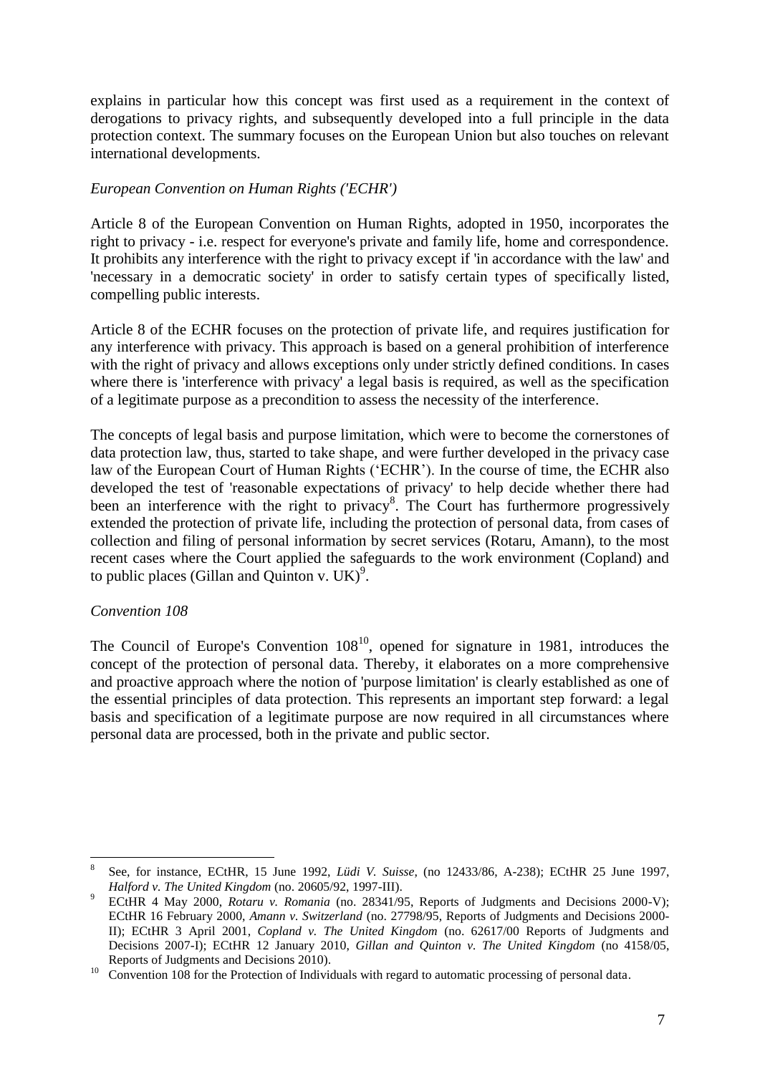explains in particular how this concept was first used as a requirement in the context of derogations to privacy rights, and subsequently developed into a full principle in the data protection context. The summary focuses on the European Union but also touches on relevant international developments.

## *European Convention on Human Rights ('ECHR')*

Article 8 of the European Convention on Human Rights, adopted in 1950, incorporates the right to privacy - i.e. respect for everyone's private and family life, home and correspondence. It prohibits any interference with the right to privacy except if 'in accordance with the law' and 'necessary in a democratic society' in order to satisfy certain types of specifically listed, compelling public interests.

Article 8 of the ECHR focuses on the protection of private life, and requires justification for any interference with privacy. This approach is based on a general prohibition of interference with the right of privacy and allows exceptions only under strictly defined conditions. In cases where there is 'interference with privacy' a legal basis is required, as well as the specification of a legitimate purpose as a precondition to assess the necessity of the interference.

The concepts of legal basis and purpose limitation, which were to become the cornerstones of data protection law, thus, started to take shape, and were further developed in the privacy case law of the European Court of Human Rights ('ECHR'). In the course of time, the ECHR also developed the test of 'reasonable expectations of privacy' to help decide whether there had been an interference with the right to privacy<sup>8</sup>. The Court has furthermore progressively extended the protection of private life, including the protection of personal data, from cases of collection and filing of personal information by secret services (Rotaru, Amann), to the most recent cases where the Court applied the safeguards to the work environment (Copland) and to public places (Gillan and Quinton v. UK)<sup>9</sup>.

## *Convention 108*

The Council of Europe's Convention  $108^{10}$ , opened for signature in 1981, introduces the concept of the protection of personal data. Thereby, it elaborates on a more comprehensive and proactive approach where the notion of 'purpose limitation' is clearly established as one of the essential principles of data protection. This represents an important step forward: a legal basis and specification of a legitimate purpose are now required in all circumstances where personal data are processed, both in the private and public sector.

 $\overline{a}$ 8 See, for instance, ECtHR, 15 June 1992, *Lüdi V. Suisse*, (no 12433/86, A-238); ECtHR 25 June 1997, *Halford v. The United Kingdom* (no. 20605/92, 1997-III).

<sup>9</sup> ECtHR 4 May 2000, *Rotaru v. Romania* (no. 28341/95, Reports of Judgments and Decisions 2000-V); ECtHR 16 February 2000, *Amann v. Switzerland* (no. 27798/95, Reports of Judgments and Decisions 2000- II); ECtHR 3 April 2001, *Copland v. The United Kingdom* (no. 62617/00 Reports of Judgments and Decisions 2007-I); ECtHR 12 January 2010, *Gillan and Quinton v. The United Kingdom* (no 4158/05, Reports of Judgments and Decisions 2010).

<sup>&</sup>lt;sup>10</sup> [Convention 108 for the Protection of Individuals with regard to automatic processing of personal data.](http://conventions.coe.int/Treaty/en/Treaties/Html/108.htm)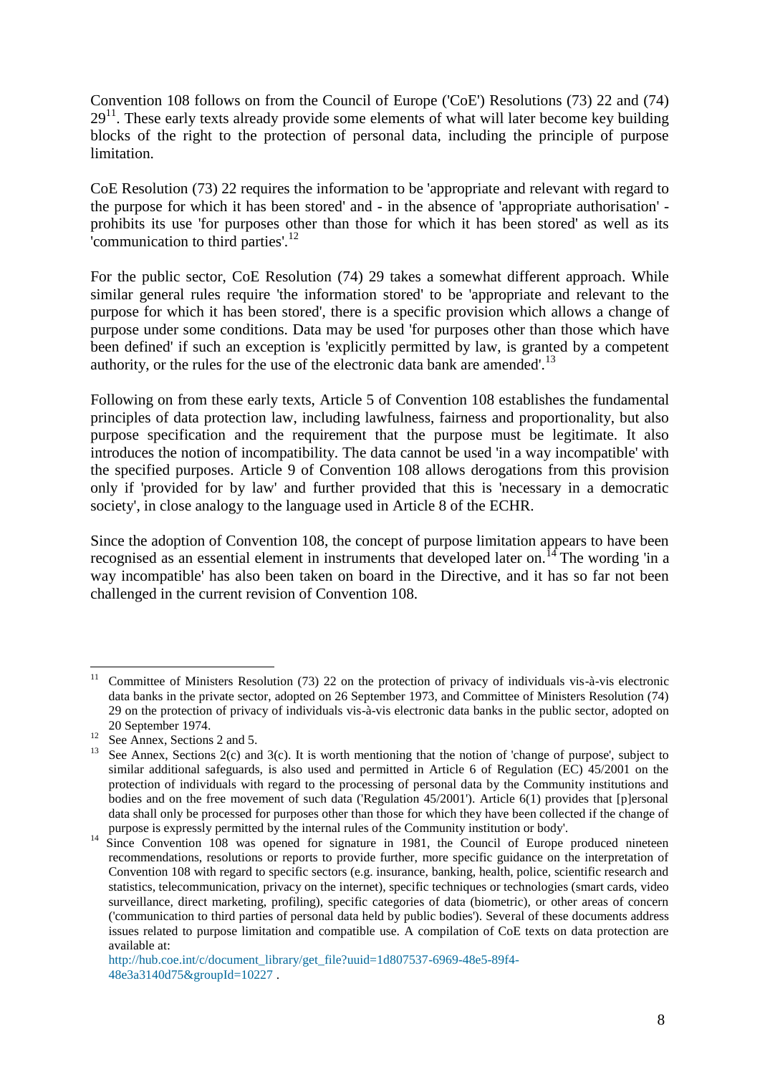Convention 108 follows on from the Council of Europe ('CoE') Resolutions (73) 22 and (74)  $29<sup>11</sup>$ . These early texts already provide some elements of what will later become key building blocks of the right to the protection of personal data, including the principle of purpose limitation.

CoE Resolution (73) 22 requires the information to be 'appropriate and relevant with regard to the purpose for which it has been stored' and - in the absence of 'appropriate authorisation' prohibits its use 'for purposes other than those for which it has been stored' as well as its 'communication to third parties'.<sup>12</sup>

For the public sector, CoE Resolution (74) 29 takes a somewhat different approach. While similar general rules require 'the information stored' to be 'appropriate and relevant to the purpose for which it has been stored', there is a specific provision which allows a change of purpose under some conditions. Data may be used 'for purposes other than those which have been defined' if such an exception is 'explicitly permitted by law, is granted by a competent authority, or the rules for the use of the electronic data bank are amended'.<sup>13</sup>

Following on from these early texts, Article 5 of Convention 108 establishes the fundamental principles of data protection law, including lawfulness, fairness and proportionality, but also purpose specification and the requirement that the purpose must be legitimate. It also introduces the notion of incompatibility. The data cannot be used 'in a way incompatible' with the specified purposes. Article 9 of Convention 108 allows derogations from this provision only if 'provided for by law' and further provided that this is 'necessary in a democratic society', in close analogy to the language used in Article 8 of the ECHR.

Since the adoption of Convention 108, the concept of purpose limitation appears to have been recognised as an essential element in instruments that developed later on.<sup>14</sup> The wording 'in a way incompatible' has also been taken on board in the Directive, and it has so far not been challenged in the current revision of Convention 108.

 $\overline{a}$ Committee of Ministers Resolution (73) 22 on the protection of privacy of individuals vis-à-vis electronic data banks in the private sector, adopted on 26 September 1973, and Committee of Ministers Resolution (74) 29 on the protection of privacy of individuals vis-à-vis electronic data banks in the public sector, adopted on 20 September 1974.

 $12 \text{ See Annex, Sections 2 and 5.}$ 

<sup>&</sup>lt;sup>13</sup> See Annex, Sections 2(c) and 3(c). It is worth mentioning that the notion of 'change of purpose', subject to similar additional safeguards, is also used and permitted in Article 6 of Regulation (EC) 45/2001 on the protection of individuals with regard to the processing of personal data by the Community institutions and bodies and on the free movement of such data ('Regulation  $45/2001$ '). Article  $6(1)$  provides that [p]ersonal data shall only be processed for purposes other than those for which they have been collected if the change of purpose is expressly permitted by the internal rules of the Community institution or body'.

<sup>&</sup>lt;sup>14</sup> Since Convention 108 was opened for signature in 1981, the Council of Europe produced nineteen recommendations, resolutions or reports to provide further, more specific guidance on the interpretation of Convention 108 with regard to specific sectors (e.g. insurance, banking, health, police, scientific research and statistics, telecommunication, privacy on the internet), specific techniques or technologies (smart cards, video surveillance, direct marketing, profiling), specific categories of data (biometric), or other areas of concern ('communication to third parties of personal data held by public bodies'). Several of these documents address issues related to purpose limitation and compatible use. A compilation of CoE texts on data protection are available at:

[http://hub.coe.int/c/document\\_library/get\\_file?uuid=1d807537-6969-48e5-89f4-](http://hub.coe.int/c/document_library/get_file?uuid=1d807537-6969-48e5-89f4-48e3a3140d75&groupId=10227) [48e3a3140d75&groupId=10227](http://hub.coe.int/c/document_library/get_file?uuid=1d807537-6969-48e5-89f4-48e3a3140d75&groupId=10227) .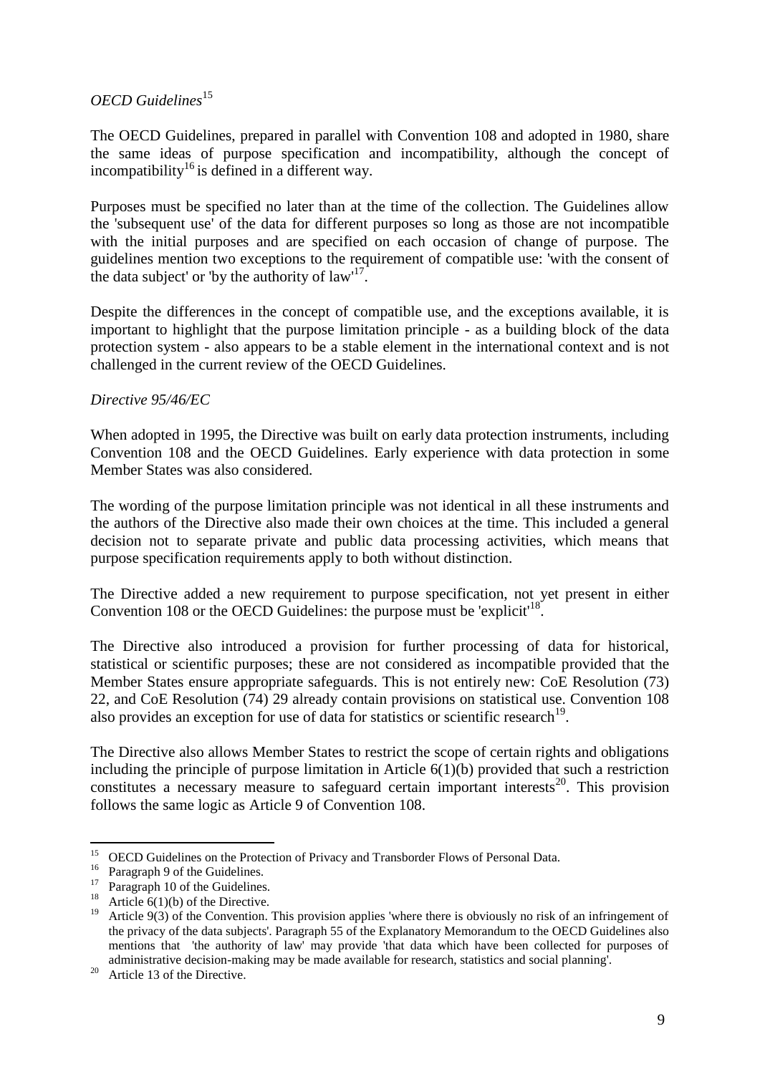## *OECD Guidelines*<sup>15</sup>

The OECD Guidelines, prepared in parallel with Convention 108 and adopted in 1980, share the same ideas of purpose specification and incompatibility, although the concept of incompatibility<sup>16</sup> is defined in a different way.

Purposes must be specified no later than at the time of the collection. The Guidelines allow the 'subsequent use' of the data for different purposes so long as those are not incompatible with the initial purposes and are specified on each occasion of change of purpose. The guidelines mention two exceptions to the requirement of compatible use: 'with the consent of the data subject' or 'by the authority of  $law<sup>17</sup>$ .

Despite the differences in the concept of compatible use, and the exceptions available, it is important to highlight that the purpose limitation principle - as a building block of the data protection system - also appears to be a stable element in the international context and is not challenged in the current review of the OECD Guidelines.

#### *Directive 95/46/EC*

When adopted in 1995, the Directive was built on early data protection instruments, including Convention 108 and the OECD Guidelines. Early experience with data protection in some Member States was also considered.

The wording of the purpose limitation principle was not identical in all these instruments and the authors of the Directive also made their own choices at the time. This included a general decision not to separate private and public data processing activities, which means that purpose specification requirements apply to both without distinction.

The Directive added a new requirement to purpose specification, not yet present in either Convention 108 or the OECD Guidelines: the purpose must be 'explicit<sup> $18$ </sup>.

The Directive also introduced a provision for further processing of data for historical, statistical or scientific purposes; these are not considered as incompatible provided that the Member States ensure appropriate safeguards. This is not entirely new: CoE Resolution (73) 22, and CoE Resolution (74) 29 already contain provisions on statistical use. Convention 108 also provides an exception for use of data for statistics or scientific research $^{19}$ .

The Directive also allows Member States to restrict the scope of certain rights and obligations including the principle of purpose limitation in Article  $6(1)(b)$  provided that such a restriction constitutes a necessary measure to safeguard certain important interests<sup>20</sup>. This provision follows the same logic as Article 9 of Convention 108.

<sup>&</sup>lt;sup>15</sup> OECD Guidelines on the Protection of Privacy and Transborder Flows of Personal Data.

<sup>&</sup>lt;sup>16</sup> Paragraph 9 of the Guidelines.

<sup>&</sup>lt;sup>17</sup> Paragraph 10 of the Guidelines.

<sup>&</sup>lt;sup>18</sup> Article  $6(1)(b)$  of the Directive.

<sup>&</sup>lt;sup>19</sup> Article 9(3) of the Convention. This provision applies 'where there is obviously no risk of an infringement of the privacy of the data subjects'. Paragraph 55 of the Explanatory Memorandum to the OECD Guidelines also mentions that 'the authority of law' may provide 'that data which have been collected for purposes of administrative decision-making may be made available for research, statistics and social planning'.

 $20$  Article 13 of the Directive.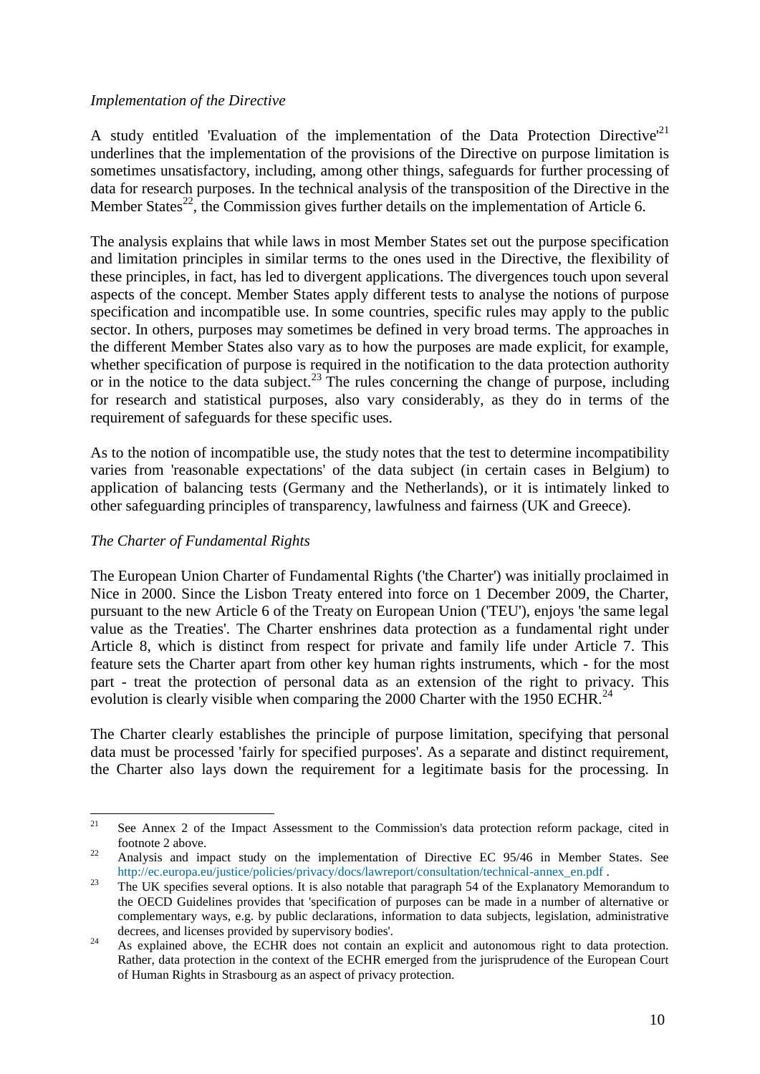#### *Implementation of the Directive*

A study entitled 'Evaluation of the implementation of the Data Protection Directive<sup>21</sup> underlines that the implementation of the provisions of the Directive on purpose limitation is sometimes unsatisfactory, including, among other things, safeguards for further processing of data for research purposes. In the technical analysis of the transposition of the Directive in the Member States<sup>22</sup>, the Commission gives further details on the implementation of Article 6.

The analysis explains that while laws in most Member States set out the purpose specification and limitation principles in similar terms to the ones used in the Directive, the flexibility of these principles, in fact, has led to divergent applications. The divergences touch upon several aspects of the concept. Member States apply different tests to analyse the notions of purpose specification and incompatible use. In some countries, specific rules may apply to the public sector. In others, purposes may sometimes be defined in very broad terms. The approaches in the different Member States also vary as to how the purposes are made explicit, for example, whether specification of purpose is required in the notification to the data protection authority or in the notice to the data subject.<sup>23</sup> The rules concerning the change of purpose, including for research and statistical purposes, also vary considerably, as they do in terms of the requirement of safeguards for these specific uses.

As to the notion of incompatible use, the study notes that the test to determine incompatibility varies from 'reasonable expectations' of the data subject (in certain cases in Belgium) to application of balancing tests (Germany and the Netherlands), or it is intimately linked to other safeguarding principles of transparency, lawfulness and fairness (UK and Greece).

### *The Charter of Fundamental Rights*

The European Union Charter of Fundamental Rights ('the Charter') was initially proclaimed in Nice in 2000. Since the Lisbon Treaty entered into force on 1 December 2009, the Charter, pursuant to the new Article 6 of the Treaty on European Union ('TEU'), enjoys 'the same legal value as the Treaties'. The Charter enshrines data protection as a fundamental right under Article 8, which is distinct from respect for private and family life under Article 7. This feature sets the Charter apart from other key human rights instruments, which - for the most part - treat the protection of personal data as an extension of the right to privacy. This evolution is clearly visible when comparing the 2000 Charter with the 1950 ECHR.<sup>24</sup>

The Charter clearly establishes the principle of purpose limitation, specifying that personal data must be processed 'fairly for specified purposes'. As a separate and distinct requirement, the Charter also lays down the requirement for a legitimate basis for the processing. In

 $21$ See Annex 2 of the Impact Assessment to the Commission's data protection reform package, cited in footnote 2 above.

<sup>&</sup>lt;sup>22</sup> Analysis and impact study on the implementation of Directive EC 95/46 in Member States. See [http://ec.europa.eu/justice/policies/privacy/docs/lawreport/consultation/technical-annex\\_en.pdf](http://ec.europa.eu/justice/policies/privacy/docs/lawreport/consultation/technical-annex_en.pdf) .

<sup>&</sup>lt;sup>23</sup> The UK specifies several options. It is also notable that paragraph 54 of the Explanatory Memorandum to the OECD Guidelines provides that 'specification of purposes can be made in a number of alternative or complementary ways, e.g. by public declarations, information to data subjects, legislation, administrative decrees, and licenses provided by supervisory bodies'.

<sup>&</sup>lt;sup>24</sup> As explained above, the ECHR does not contain an explicit and autonomous right to data protection. Rather, data protection in the context of the ECHR emerged from the jurisprudence of the European Court of Human Rights in Strasbourg as an aspect of privacy protection.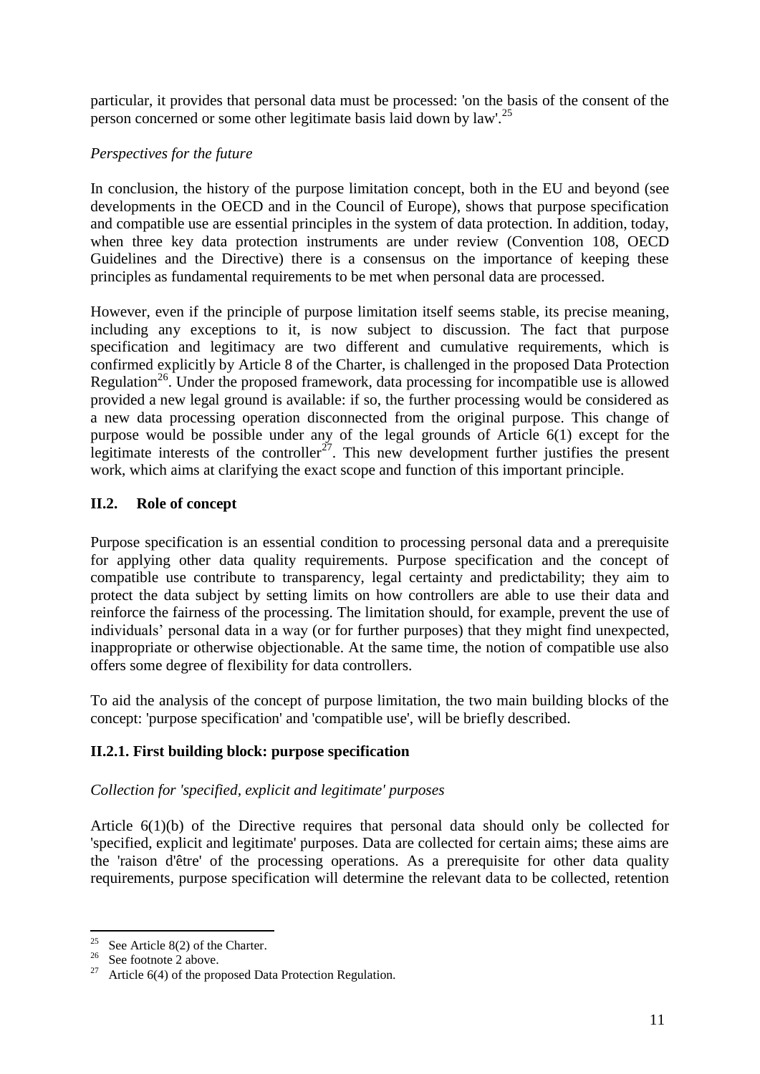particular, it provides that personal data must be processed: 'on the basis of the consent of the person concerned or some other legitimate basis laid down by law'.<sup>25</sup>

## *Perspectives for the future*

In conclusion, the history of the purpose limitation concept, both in the EU and beyond (see developments in the OECD and in the Council of Europe), shows that purpose specification and compatible use are essential principles in the system of data protection. In addition, today, when three key data protection instruments are under review (Convention 108, OECD Guidelines and the Directive) there is a consensus on the importance of keeping these principles as fundamental requirements to be met when personal data are processed.

However, even if the principle of purpose limitation itself seems stable, its precise meaning, including any exceptions to it, is now subject to discussion. The fact that purpose specification and legitimacy are two different and cumulative requirements, which is confirmed explicitly by Article 8 of the Charter, is challenged in the proposed Data Protection Regulation<sup>26</sup>. Under the proposed framework, data processing for incompatible use is allowed provided a new legal ground is available: if so, the further processing would be considered as a new data processing operation disconnected from the original purpose. This change of purpose would be possible under any of the legal grounds of Article 6(1) except for the legitimate interests of the controller<sup>27</sup>. This new development further justifies the present work, which aims at clarifying the exact scope and function of this important principle.

## **II.2. Role of concept**

Purpose specification is an essential condition to processing personal data and a prerequisite for applying other data quality requirements. Purpose specification and the concept of compatible use contribute to transparency, legal certainty and predictability; they aim to protect the data subject by setting limits on how controllers are able to use their data and reinforce the fairness of the processing. The limitation should, for example, prevent the use of individuals' personal data in a way (or for further purposes) that they might find unexpected, inappropriate or otherwise objectionable. At the same time, the notion of compatible use also offers some degree of flexibility for data controllers.

To aid the analysis of the concept of purpose limitation, the two main building blocks of the concept: 'purpose specification' and 'compatible use', will be briefly described.

## **II.2.1. First building block: purpose specification**

## *Collection for 'specified, explicit and legitimate' purposes*

Article 6(1)(b) of the Directive requires that personal data should only be collected for 'specified, explicit and legitimate' purposes. Data are collected for certain aims; these aims are the 'raison d'être' of the processing operations. As a prerequisite for other data quality requirements, purpose specification will determine the relevant data to be collected, retention

 $\overline{a}$ <sup>25</sup> See Article 8(2) of the Charter.

 $26$  See footnote 2 above.

<sup>&</sup>lt;sup>27</sup> Article  $6(4)$  of the proposed Data Protection Regulation.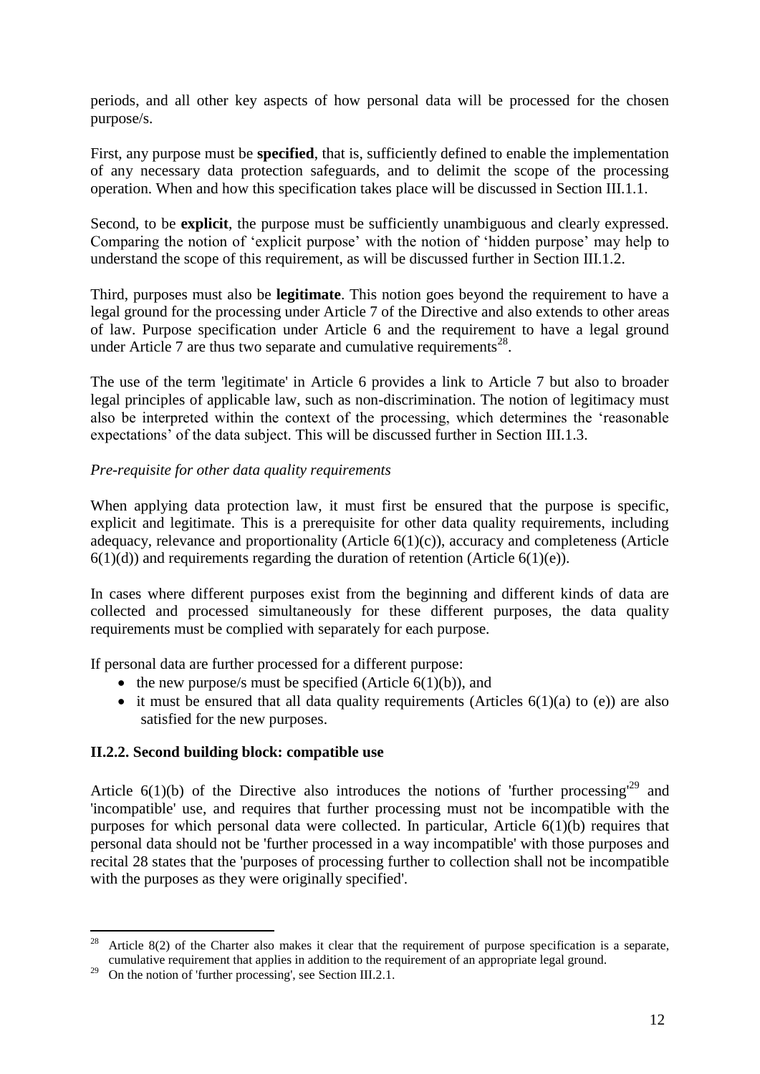periods, and all other key aspects of how personal data will be processed for the chosen purpose/s.

First, any purpose must be **specified**, that is, sufficiently defined to enable the implementation of any necessary data protection safeguards, and to delimit the scope of the processing operation. When and how this specification takes place will be discussed in Section III.1.1.

Second, to be **explicit**, the purpose must be sufficiently unambiguous and clearly expressed. Comparing the notion of 'explicit purpose' with the notion of 'hidden purpose' may help to understand the scope of this requirement, as will be discussed further in Section III.1.2.

Third, purposes must also be **legitimate**. This notion goes beyond the requirement to have a legal ground for the processing under Article 7 of the Directive and also extends to other areas of law. Purpose specification under Article 6 and the requirement to have a legal ground under Article 7 are thus two separate and cumulative requirements<sup>28</sup>.

The use of the term 'legitimate' in Article 6 provides a link to Article 7 but also to broader legal principles of applicable law, such as non-discrimination. The notion of legitimacy must also be interpreted within the context of the processing, which determines the 'reasonable expectations' of the data subject. This will be discussed further in Section III.1.3.

## *Pre-requisite for other data quality requirements*

When applying data protection law, it must first be ensured that the purpose is specific, explicit and legitimate. This is a prerequisite for other data quality requirements, including adequacy, relevance and proportionality (Article 6(1)(c)), accuracy and completeness (Article  $6(1)(d)$  and requirements regarding the duration of retention (Article  $6(1)(e)$ ).

In cases where different purposes exist from the beginning and different kinds of data are collected and processed simultaneously for these different purposes, the data quality requirements must be complied with separately for each purpose.

If personal data are further processed for a different purpose:

- the new purpose/s must be specified (Article  $6(1)(b)$ ), and
- $\bullet$  it must be ensured that all data quality requirements (Articles 6(1)(a) to (e)) are also satisfied for the new purposes.

## **II.2.2. Second building block: compatible use**

Article  $6(1)(b)$  of the Directive also introduces the notions of 'further processing'<sup>29</sup> and 'incompatible' use, and requires that further processing must not be incompatible with the purposes for which personal data were collected. In particular, Article 6(1)(b) requires that personal data should not be 'further processed in a way incompatible' with those purposes and recital 28 states that the 'purposes of processing further to collection shall not be incompatible with the purposes as they were originally specified'.

<sup>&</sup>lt;sup>28</sup> Article 8(2) of the Charter also makes it clear that the requirement of purpose specification is a separate, cumulative requirement that applies in addition to the requirement of an appropriate legal ground.

<sup>&</sup>lt;sup>29</sup> On the notion of 'further processing', see Section III.2.1.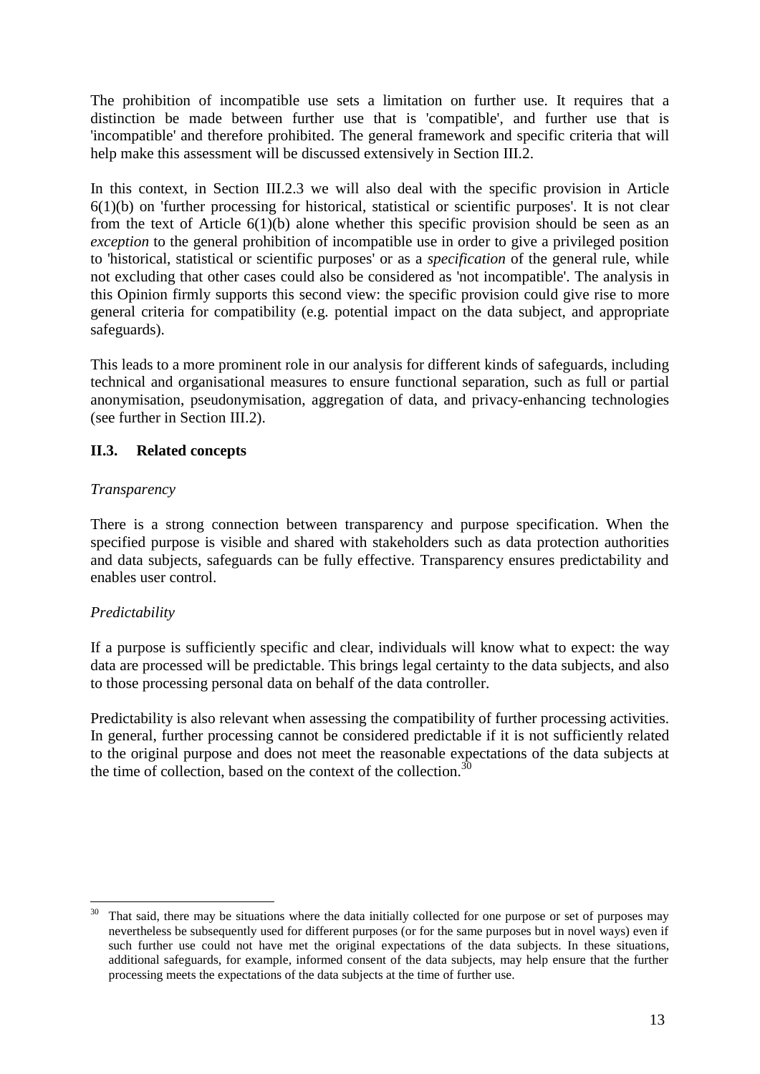The prohibition of incompatible use sets a limitation on further use. It requires that a distinction be made between further use that is 'compatible', and further use that is 'incompatible' and therefore prohibited. The general framework and specific criteria that will help make this assessment will be discussed extensively in Section III.2.

In this context, in Section III.2.3 we will also deal with the specific provision in Article 6(1)(b) on 'further processing for historical, statistical or scientific purposes'. It is not clear from the text of Article 6(1)(b) alone whether this specific provision should be seen as an *exception* to the general prohibition of incompatible use in order to give a privileged position to 'historical, statistical or scientific purposes' or as a *specification* of the general rule, while not excluding that other cases could also be considered as 'not incompatible'. The analysis in this Opinion firmly supports this second view: the specific provision could give rise to more general criteria for compatibility (e.g. potential impact on the data subject, and appropriate safeguards).

This leads to a more prominent role in our analysis for different kinds of safeguards, including technical and organisational measures to ensure functional separation, such as full or partial anonymisation, pseudonymisation, aggregation of data, and privacy-enhancing technologies (see further in Section III.2).

## **II.3. Related concepts**

#### *Transparency*

There is a strong connection between transparency and purpose specification. When the specified purpose is visible and shared with stakeholders such as data protection authorities and data subjects, safeguards can be fully effective. Transparency ensures predictability and enables user control.

## *Predictability*

If a purpose is sufficiently specific and clear, individuals will know what to expect: the way data are processed will be predictable. This brings legal certainty to the data subjects, and also to those processing personal data on behalf of the data controller.

Predictability is also relevant when assessing the compatibility of further processing activities. In general, further processing cannot be considered predictable if it is not sufficiently related to the original purpose and does not meet the reasonable expectations of the data subjects at the time of collection, based on the context of the collection. $\frac{3}{2}$ 

 $30<sup>2</sup>$ That said, there may be situations where the data initially collected for one purpose or set of purposes may nevertheless be subsequently used for different purposes (or for the same purposes but in novel ways) even if such further use could not have met the original expectations of the data subjects. In these situations, additional safeguards, for example, informed consent of the data subjects, may help ensure that the further processing meets the expectations of the data subjects at the time of further use.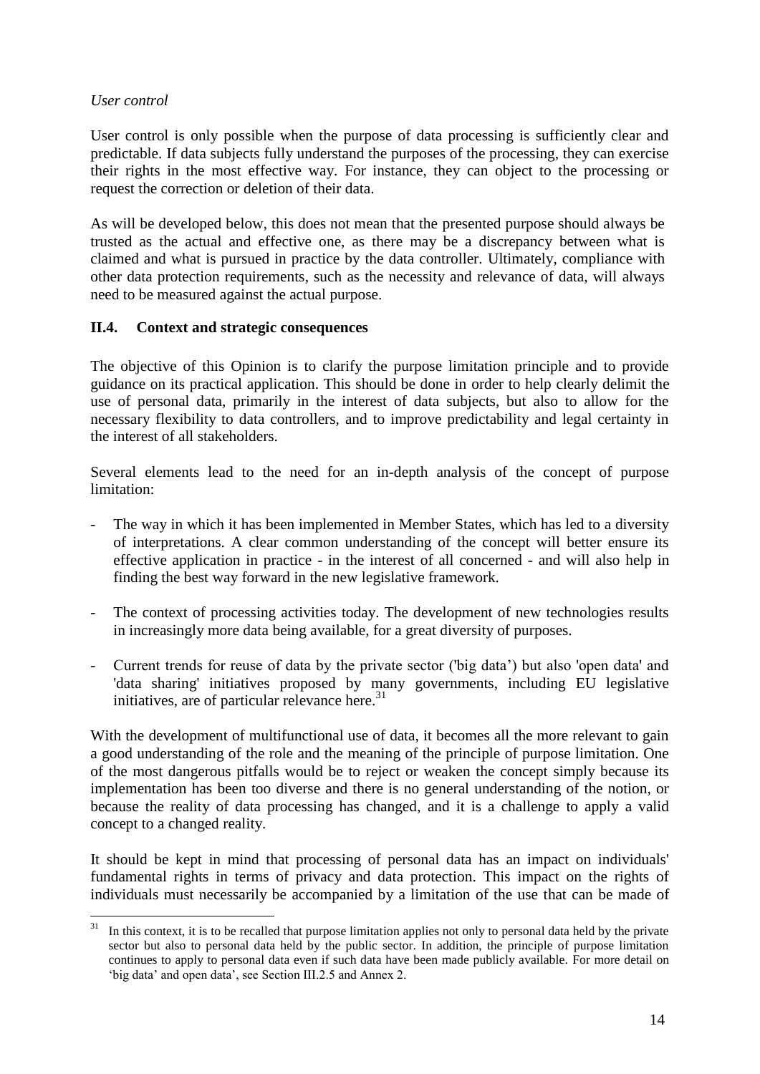### *User control*

 $\overline{a}$ 

User control is only possible when the purpose of data processing is sufficiently clear and predictable. If data subjects fully understand the purposes of the processing, they can exercise their rights in the most effective way. For instance, they can object to the processing or request the correction or deletion of their data.

As will be developed below, this does not mean that the presented purpose should always be trusted as the actual and effective one, as there may be a discrepancy between what is claimed and what is pursued in practice by the data controller. Ultimately, compliance with other data protection requirements, such as the necessity and relevance of data, will always need to be measured against the actual purpose.

## **II.4. Context and strategic consequences**

The objective of this Opinion is to clarify the purpose limitation principle and to provide guidance on its practical application. This should be done in order to help clearly delimit the use of personal data, primarily in the interest of data subjects, but also to allow for the necessary flexibility to data controllers, and to improve predictability and legal certainty in the interest of all stakeholders.

Several elements lead to the need for an in-depth analysis of the concept of purpose limitation:

- The way in which it has been implemented in Member States, which has led to a diversity of interpretations. A clear common understanding of the concept will better ensure its effective application in practice - in the interest of all concerned - and will also help in finding the best way forward in the new legislative framework.
- The context of processing activities today. The development of new technologies results in increasingly more data being available, for a great diversity of purposes.
- Current trends for reuse of data by the private sector ('big data') but also 'open data' and 'data sharing' initiatives proposed by many governments, including EU legislative initiatives, are of particular relevance here. $31$

With the development of multifunctional use of data, it becomes all the more relevant to gain a good understanding of the role and the meaning of the principle of purpose limitation. One of the most dangerous pitfalls would be to reject or weaken the concept simply because its implementation has been too diverse and there is no general understanding of the notion, or because the reality of data processing has changed, and it is a challenge to apply a valid concept to a changed reality.

It should be kept in mind that processing of personal data has an impact on individuals' fundamental rights in terms of privacy and data protection. This impact on the rights of individuals must necessarily be accompanied by a limitation of the use that can be made of

In this context, it is to be recalled that purpose limitation applies not only to personal data held by the private sector but also to personal data held by the public sector. In addition, the principle of purpose limitation continues to apply to personal data even if such data have been made publicly available. For more detail on 'big data' and open data', see Section III.2.5 and Annex 2.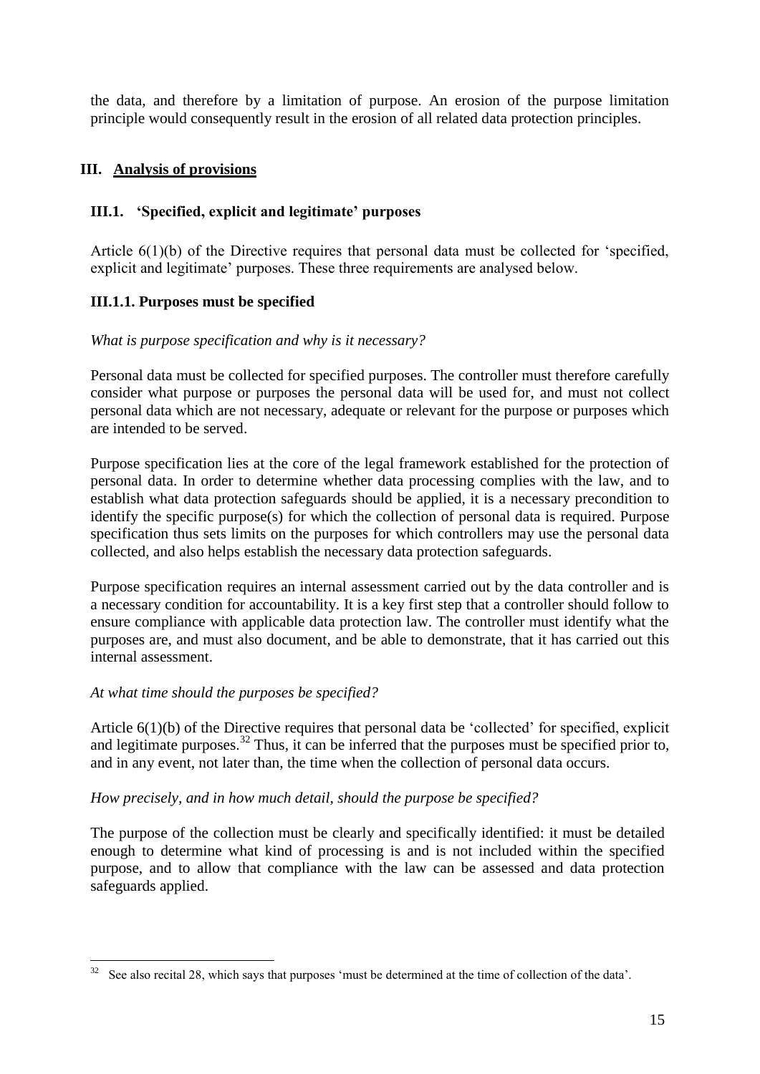the data, and therefore by a limitation of purpose. An erosion of the purpose limitation principle would consequently result in the erosion of all related data protection principles.

## **III. Analysis of provisions**

## **III.1. 'Specified, explicit and legitimate' purposes**

Article 6(1)(b) of the Directive requires that personal data must be collected for 'specified, explicit and legitimate' purposes. These three requirements are analysed below.

## **III.1.1. Purposes must be specified**

## *What is purpose specification and why is it necessary?*

Personal data must be collected for specified purposes. The controller must therefore carefully consider what purpose or purposes the personal data will be used for, and must not collect personal data which are not necessary, adequate or relevant for the purpose or purposes which are intended to be served.

Purpose specification lies at the core of the legal framework established for the protection of personal data. In order to determine whether data processing complies with the law, and to establish what data protection safeguards should be applied, it is a necessary precondition to identify the specific purpose(s) for which the collection of personal data is required. Purpose specification thus sets limits on the purposes for which controllers may use the personal data collected, and also helps establish the necessary data protection safeguards.

Purpose specification requires an internal assessment carried out by the data controller and is a necessary condition for accountability. It is a key first step that a controller should follow to ensure compliance with applicable data protection law. The controller must identify what the purposes are, and must also document, and be able to demonstrate, that it has carried out this internal assessment.

## *At what time should the purposes be specified?*

 $\overline{a}$ 

Article 6(1)(b) of the Directive requires that personal data be 'collected' for specified, explicit and legitimate purposes.<sup>32</sup> Thus, it can be inferred that the purposes must be specified prior to, and in any event, not later than, the time when the collection of personal data occurs.

#### *How precisely, and in how much detail, should the purpose be specified?*

The purpose of the collection must be clearly and specifically identified: it must be detailed enough to determine what kind of processing is and is not included within the specified purpose, and to allow that compliance with the law can be assessed and data protection safeguards applied.

 $32$  See also recital 28, which says that purposes 'must be determined at the time of collection of the data'.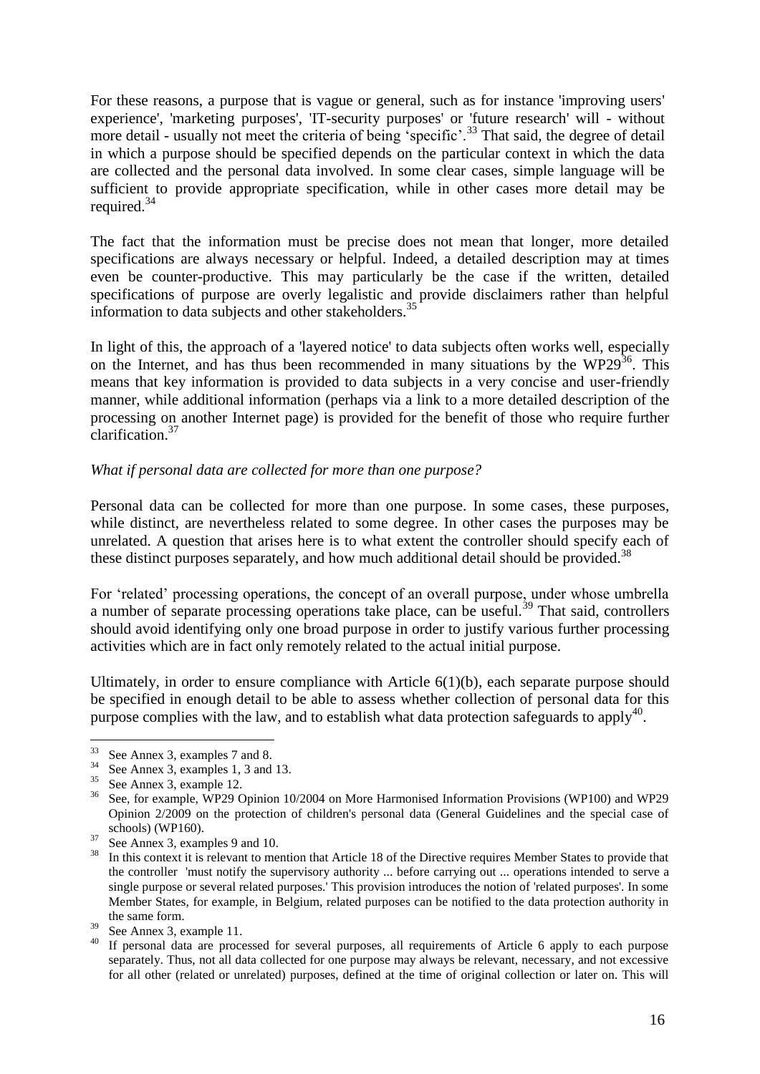For these reasons, a purpose that is vague or general, such as for instance 'improving users' experience', 'marketing purposes', 'IT-security purposes' or 'future research' will - without more detail - usually not meet the criteria of being 'specific'.<sup>33</sup> That said, the degree of detail in which a purpose should be specified depends on the particular context in which the data are collected and the personal data involved. In some clear cases, simple language will be sufficient to provide appropriate specification, while in other cases more detail may be required.<sup>34</sup>

The fact that the information must be precise does not mean that longer, more detailed specifications are always necessary or helpful. Indeed, a detailed description may at times even be counter-productive. This may particularly be the case if the written, detailed specifications of purpose are overly legalistic and provide disclaimers rather than helpful information to data subjects and other stakeholders.<sup>35</sup>

In light of this, the approach of a 'layered notice' to data subjects often works well, especially on the Internet, and has thus been recommended in many situations by the  $WP29^{36}$ . This means that key information is provided to data subjects in a very concise and user-friendly manner, while additional information (perhaps via a link to a more detailed description of the processing on another Internet page) is provided for the benefit of those who require further clarification.<sup>37</sup>

#### *What if personal data are collected for more than one purpose?*

Personal data can be collected for more than one purpose. In some cases, these purposes, while distinct, are nevertheless related to some degree. In other cases the purposes may be unrelated. A question that arises here is to what extent the controller should specify each of these distinct purposes separately, and how much additional detail should be provided.<sup>38</sup>

For 'related' processing operations, the concept of an overall purpose, under whose umbrella a number of separate processing operations take place, can be useful.<sup>39</sup> That said, controllers should avoid identifying only one broad purpose in order to justify various further processing activities which are in fact only remotely related to the actual initial purpose.

Ultimately, in order to ensure compliance with Article 6(1)(b), each separate purpose should be specified in enough detail to be able to assess whether collection of personal data for this purpose complies with the law, and to establish what data protection safeguards to apply<sup>40</sup>.

<sup>33</sup> See Annex 3, examples 7 and 8.

<sup>&</sup>lt;sup>34</sup> See Annex 3, examples 1, 3 and 13.

<sup>35</sup> See Annex 3, example 12.

<sup>&</sup>lt;sup>36</sup> See, for example, WP29 Opinion 10/2004 on More Harmonised Information Provisions (WP100) and WP29 Opinion 2/2009 on the protection of children's personal data (General Guidelines and the special case of schools) (WP160).

 $rac{37}{38}$  See Annex 3, examples 9 and 10.

In this context it is relevant to mention that Article 18 of the Directive requires Member States to provide that the controller 'must notify the supervisory authority ... before carrying out ... operations intended to serve a single purpose or several related purposes.' This provision introduces the notion of 'related purposes'. In some Member States, for example, in Belgium, related purposes can be notified to the data protection authority in the same form.

 $39$  See Annex 3, example 11.

If personal data are processed for several purposes, all requirements of Article 6 apply to each purpose separately. Thus, not all data collected for one purpose may always be relevant, necessary, and not excessive for all other (related or unrelated) purposes, defined at the time of original collection or later on. This will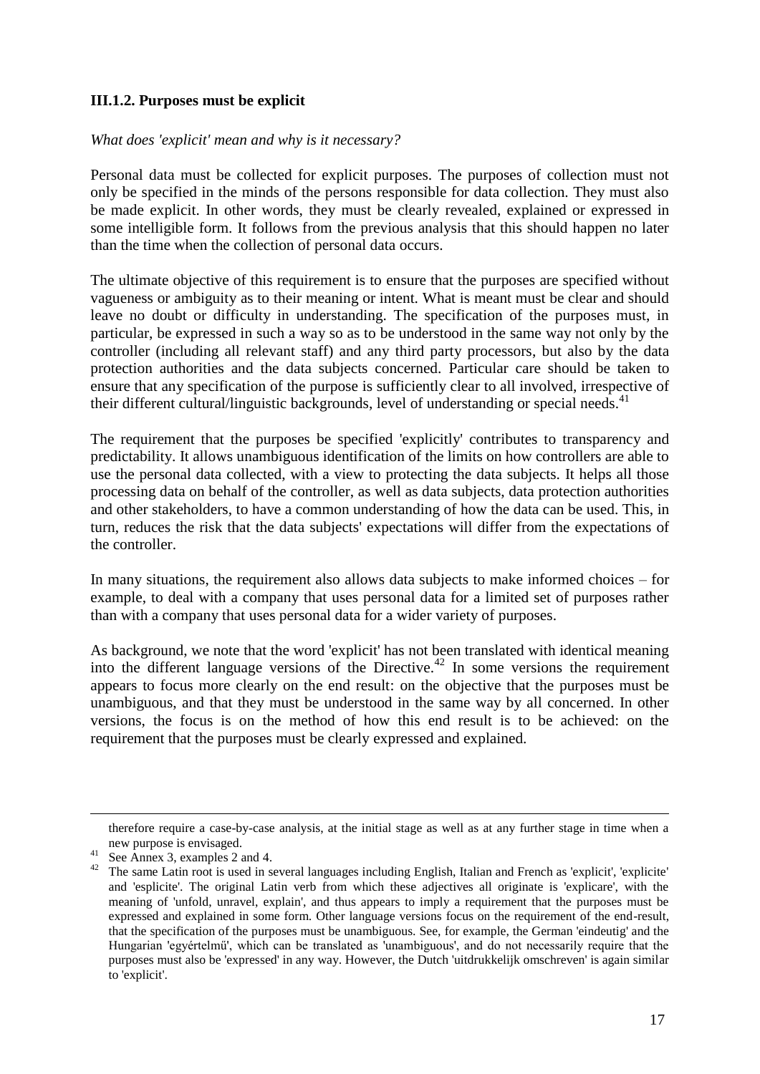#### **III.1.2. Purposes must be explicit**

#### *What does 'explicit' mean and why is it necessary?*

Personal data must be collected for explicit purposes. The purposes of collection must not only be specified in the minds of the persons responsible for data collection. They must also be made explicit. In other words, they must be clearly revealed, explained or expressed in some intelligible form. It follows from the previous analysis that this should happen no later than the time when the collection of personal data occurs.

The ultimate objective of this requirement is to ensure that the purposes are specified without vagueness or ambiguity as to their meaning or intent. What is meant must be clear and should leave no doubt or difficulty in understanding. The specification of the purposes must, in particular, be expressed in such a way so as to be understood in the same way not only by the controller (including all relevant staff) and any third party processors, but also by the data protection authorities and the data subjects concerned. Particular care should be taken to ensure that any specification of the purpose is sufficiently clear to all involved, irrespective of their different cultural/linguistic backgrounds, level of understanding or special needs.<sup>41</sup>

The requirement that the purposes be specified 'explicitly' contributes to transparency and predictability. It allows unambiguous identification of the limits on how controllers are able to use the personal data collected, with a view to protecting the data subjects. It helps all those processing data on behalf of the controller, as well as data subjects, data protection authorities and other stakeholders, to have a common understanding of how the data can be used. This, in turn, reduces the risk that the data subjects' expectations will differ from the expectations of the controller.

In many situations, the requirement also allows data subjects to make informed choices – for example, to deal with a company that uses personal data for a limited set of purposes rather than with a company that uses personal data for a wider variety of purposes.

As background, we note that the word 'explicit' has not been translated with identical meaning into the different language versions of the Directive.<sup>42</sup> In some versions the requirement appears to focus more clearly on the end result: on the objective that the purposes must be unambiguous, and that they must be understood in the same way by all concerned. In other versions, the focus is on the method of how this end result is to be achieved: on the requirement that the purposes must be clearly expressed and explained.

therefore require a case-by-case analysis, at the initial stage as well as at any further stage in time when a new purpose is envisaged.

 $^{41}$  See Annex 3, examples 2 and 4.

<sup>&</sup>lt;sup>42</sup> The same Latin root is used in several languages including English, Italian and French as 'explicit', 'explicite' and 'esplicite'. The original Latin verb from which these adjectives all originate is 'explicare', with the meaning of 'unfold, unravel, explain', and thus appears to imply a requirement that the purposes must be expressed and explained in some form. Other language versions focus on the requirement of the end-result, that the specification of the purposes must be unambiguous. See, for example, the German 'eindeutig' and the Hungarian 'egyértelmű', which can be translated as 'unambiguous', and do not necessarily require that the purposes must also be 'expressed' in any way. However, the Dutch 'uitdrukkelijk omschreven' is again similar to 'explicit'.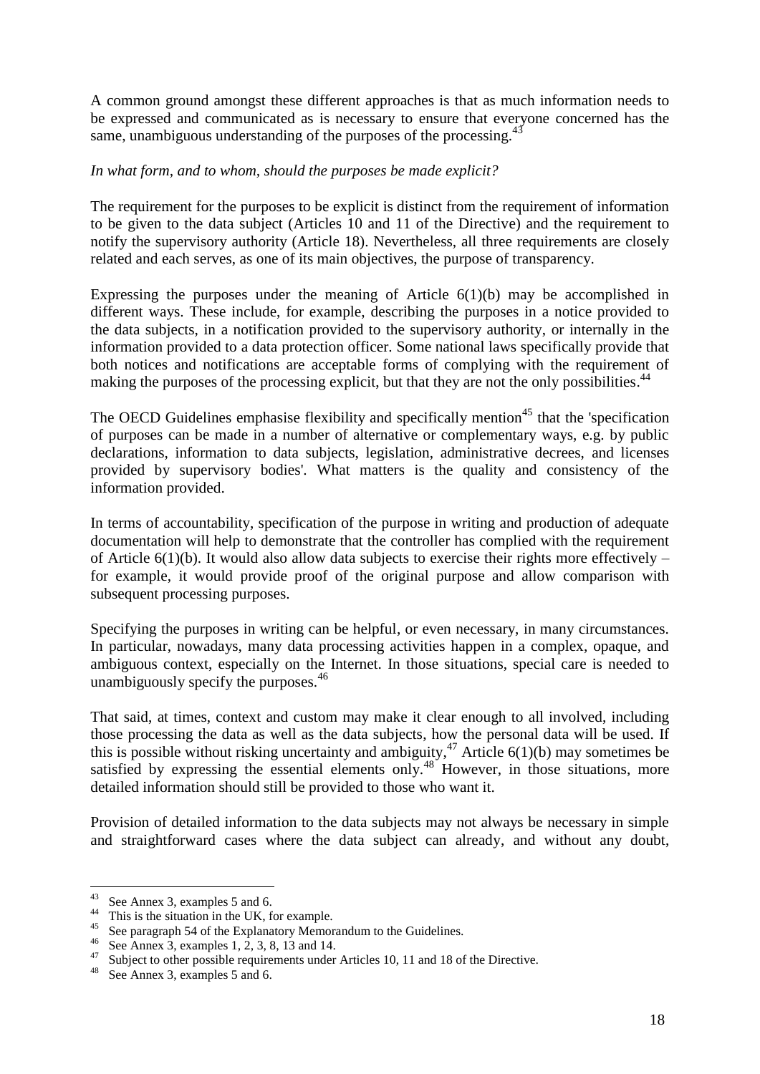A common ground amongst these different approaches is that as much information needs to be expressed and communicated as is necessary to ensure that everyone concerned has the same, unambiguous understanding of the purposes of the processing.  $43$ 

#### *In what form, and to whom, should the purposes be made explicit?*

The requirement for the purposes to be explicit is distinct from the requirement of information to be given to the data subject (Articles 10 and 11 of the Directive) and the requirement to notify the supervisory authority (Article 18). Nevertheless, all three requirements are closely related and each serves, as one of its main objectives, the purpose of transparency.

Expressing the purposes under the meaning of Article  $6(1)(b)$  may be accomplished in different ways. These include, for example, describing the purposes in a notice provided to the data subjects, in a notification provided to the supervisory authority, or internally in the information provided to a data protection officer. Some national laws specifically provide that both notices and notifications are acceptable forms of complying with the requirement of making the purposes of the processing explicit, but that they are not the only possibilities.<sup>44</sup>

The OECD Guidelines emphasise flexibility and specifically mention<sup>45</sup> that the 'specification of purposes can be made in a number of alternative or complementary ways, e.g. by public declarations, information to data subjects, legislation, administrative decrees, and licenses provided by supervisory bodies'. What matters is the quality and consistency of the information provided.

In terms of accountability, specification of the purpose in writing and production of adequate documentation will help to demonstrate that the controller has complied with the requirement of Article  $6(1)(b)$ . It would also allow data subjects to exercise their rights more effectively – for example, it would provide proof of the original purpose and allow comparison with subsequent processing purposes.

Specifying the purposes in writing can be helpful, or even necessary, in many circumstances. In particular, nowadays, many data processing activities happen in a complex, opaque, and ambiguous context, especially on the Internet. In those situations, special care is needed to unambiguously specify the purposes. $46$ 

That said, at times, context and custom may make it clear enough to all involved, including those processing the data as well as the data subjects, how the personal data will be used. If this is possible without risking uncertainty and ambiguity,  $47$  Article 6(1)(b) may sometimes be satisfied by expressing the essential elements only.<sup>48</sup> However, in those situations, more detailed information should still be provided to those who want it.

Provision of detailed information to the data subjects may not always be necessary in simple and straightforward cases where the data subject can already, and without any doubt,

 $43$  See Annex 3, examples 5 and 6.

<sup>&</sup>lt;sup>44</sup> This is the situation in the UK, for example.

<sup>&</sup>lt;sup>45</sup> See paragraph 54 of the Explanatory Memorandum to the Guidelines.

<sup>46</sup> See Annex 3, examples 1, 2, 3, 8, 13 and 14.

<sup>47</sup> Subject to other possible requirements under Articles 10, 11 and 18 of the Directive.

<sup>48</sup> See Annex 3, examples 5 and 6.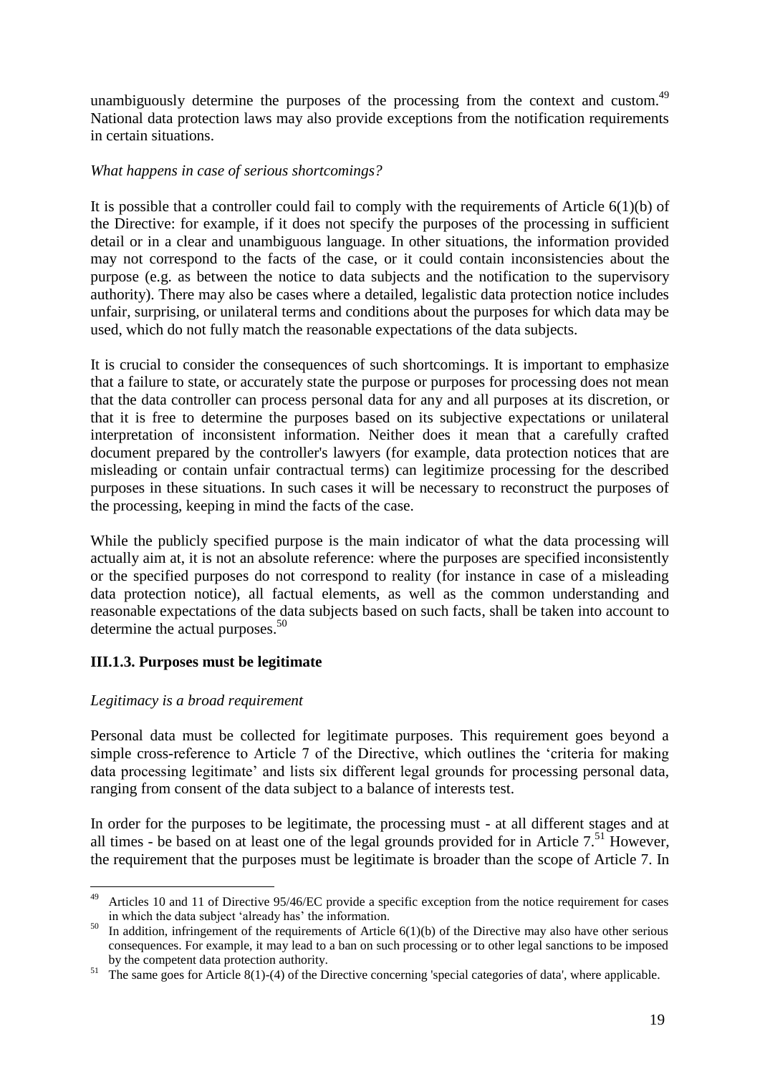unambiguously determine the purposes of the processing from the context and custom.<sup>49</sup> National data protection laws may also provide exceptions from the notification requirements in certain situations.

### *What happens in case of serious shortcomings?*

It is possible that a controller could fail to comply with the requirements of Article 6(1)(b) of the Directive: for example, if it does not specify the purposes of the processing in sufficient detail or in a clear and unambiguous language. In other situations, the information provided may not correspond to the facts of the case, or it could contain inconsistencies about the purpose (e.g. as between the notice to data subjects and the notification to the supervisory authority). There may also be cases where a detailed, legalistic data protection notice includes unfair, surprising, or unilateral terms and conditions about the purposes for which data may be used, which do not fully match the reasonable expectations of the data subjects.

It is crucial to consider the consequences of such shortcomings. It is important to emphasize that a failure to state, or accurately state the purpose or purposes for processing does not mean that the data controller can process personal data for any and all purposes at its discretion, or that it is free to determine the purposes based on its subjective expectations or unilateral interpretation of inconsistent information. Neither does it mean that a carefully crafted document prepared by the controller's lawyers (for example, data protection notices that are misleading or contain unfair contractual terms) can legitimize processing for the described purposes in these situations. In such cases it will be necessary to reconstruct the purposes of the processing, keeping in mind the facts of the case.

While the publicly specified purpose is the main indicator of what the data processing will actually aim at, it is not an absolute reference: where the purposes are specified inconsistently or the specified purposes do not correspond to reality (for instance in case of a misleading data protection notice), all factual elements, as well as the common understanding and reasonable expectations of the data subjects based on such facts, shall be taken into account to determine the actual purposes. $50$ 

## **III.1.3. Purposes must be legitimate**

## *Legitimacy is a broad requirement*

Personal data must be collected for legitimate purposes. This requirement goes beyond a simple cross-reference to Article 7 of the Directive, which outlines the 'criteria for making data processing legitimate' and lists six different legal grounds for processing personal data, ranging from consent of the data subject to a balance of interests test.

In order for the purposes to be legitimate, the processing must - at all different stages and at all times - be based on at least one of the legal grounds provided for in Article  $7<sup>51</sup>$  However, the requirement that the purposes must be legitimate is broader than the scope of Article 7. In

<sup>49</sup> Articles 10 and 11 of Directive 95/46/EC provide a specific exception from the notice requirement for cases in which the data subject 'already has' the information.

In addition, infringement of the requirements of Article  $6(1)(b)$  of the Directive may also have other serious consequences. For example, it may lead to a ban on such processing or to other legal sanctions to be imposed by the competent data protection authority.

 $51$  The same goes for Article 8(1)-(4) of the Directive concerning 'special categories of data', where applicable.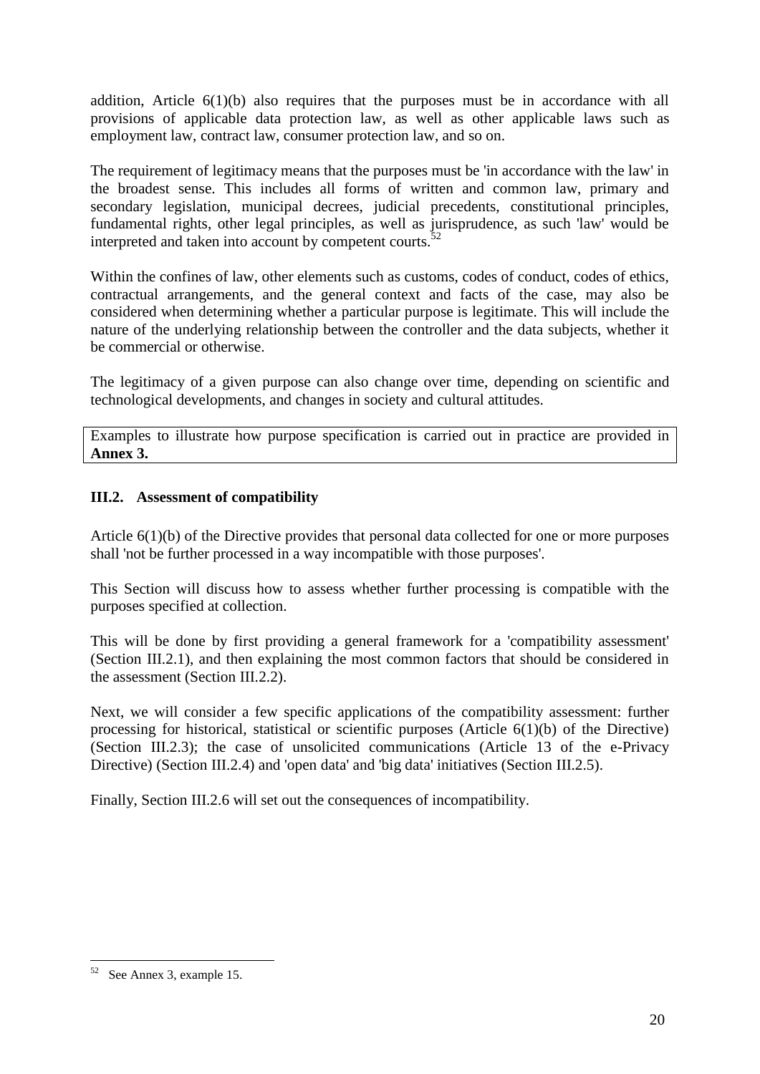addition, Article 6(1)(b) also requires that the purposes must be in accordance with all provisions of applicable data protection law, as well as other applicable laws such as employment law, contract law, consumer protection law, and so on.

The requirement of legitimacy means that the purposes must be 'in accordance with the law' in the broadest sense. This includes all forms of written and common law, primary and secondary legislation, municipal decrees, judicial precedents, constitutional principles, fundamental rights, other legal principles, as well as jurisprudence, as such 'law' would be interpreted and taken into account by competent courts. $52$ 

Within the confines of law, other elements such as customs, codes of conduct, codes of ethics, contractual arrangements, and the general context and facts of the case, may also be considered when determining whether a particular purpose is legitimate. This will include the nature of the underlying relationship between the controller and the data subjects, whether it be commercial or otherwise.

The legitimacy of a given purpose can also change over time, depending on scientific and technological developments, and changes in society and cultural attitudes.

Examples to illustrate how purpose specification is carried out in practice are provided in **Annex 3.**

## **III.2. Assessment of compatibility**

Article 6(1)(b) of the Directive provides that personal data collected for one or more purposes shall 'not be further processed in a way incompatible with those purposes'.

This Section will discuss how to assess whether further processing is compatible with the purposes specified at collection.

This will be done by first providing a general framework for a 'compatibility assessment' (Section III.2.1), and then explaining the most common factors that should be considered in the assessment (Section III.2.2).

Next, we will consider a few specific applications of the compatibility assessment: further processing for historical, statistical or scientific purposes (Article 6(1)(b) of the Directive) (Section III.2.3); the case of unsolicited communications (Article 13 of the e-Privacy Directive) (Section III.2.4) and 'open data' and 'big data' initiatives (Section III.2.5).

Finally, Section III.2.6 will set out the consequences of incompatibility.

 $\overline{a}$  $52$  See Annex 3, example 15.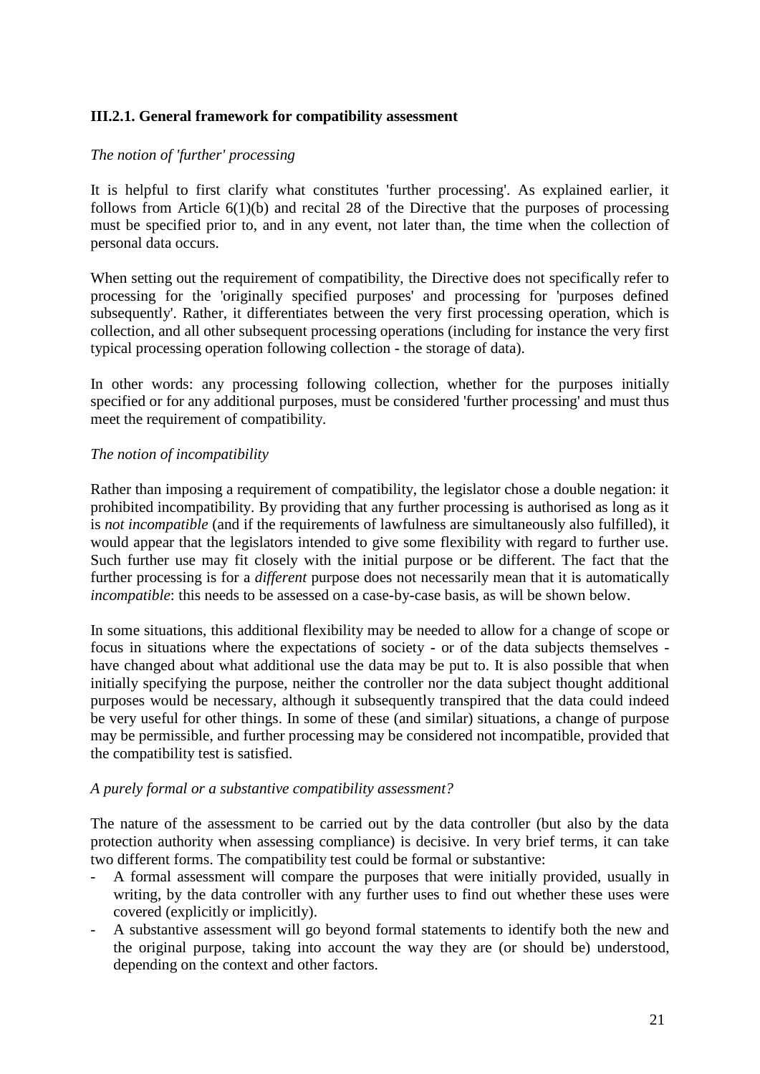## **III.2.1. General framework for compatibility assessment**

### *The notion of 'further' processing*

It is helpful to first clarify what constitutes 'further processing'. As explained earlier, it follows from Article  $6(1)(b)$  and recital 28 of the Directive that the purposes of processing must be specified prior to, and in any event, not later than, the time when the collection of personal data occurs.

When setting out the requirement of compatibility, the Directive does not specifically refer to processing for the 'originally specified purposes' and processing for 'purposes defined subsequently'. Rather, it differentiates between the very first processing operation, which is collection, and all other subsequent processing operations (including for instance the very first typical processing operation following collection - the storage of data).

In other words: any processing following collection, whether for the purposes initially specified or for any additional purposes, must be considered 'further processing' and must thus meet the requirement of compatibility.

#### *The notion of incompatibility*

Rather than imposing a requirement of compatibility, the legislator chose a double negation: it prohibited incompatibility. By providing that any further processing is authorised as long as it is *not incompatible* (and if the requirements of lawfulness are simultaneously also fulfilled), it would appear that the legislators intended to give some flexibility with regard to further use. Such further use may fit closely with the initial purpose or be different. The fact that the further processing is for a *different* purpose does not necessarily mean that it is automatically *incompatible*: this needs to be assessed on a case-by-case basis, as will be shown below.

In some situations, this additional flexibility may be needed to allow for a change of scope or focus in situations where the expectations of society - or of the data subjects themselves have changed about what additional use the data may be put to. It is also possible that when initially specifying the purpose, neither the controller nor the data subject thought additional purposes would be necessary, although it subsequently transpired that the data could indeed be very useful for other things. In some of these (and similar) situations, a change of purpose may be permissible, and further processing may be considered not incompatible, provided that the compatibility test is satisfied.

#### *A purely formal or a substantive compatibility assessment?*

The nature of the assessment to be carried out by the data controller (but also by the data protection authority when assessing compliance) is decisive. In very brief terms, it can take two different forms. The compatibility test could be formal or substantive:

- A formal assessment will compare the purposes that were initially provided, usually in writing, by the data controller with any further uses to find out whether these uses were covered (explicitly or implicitly).
- A substantive assessment will go beyond formal statements to identify both the new and the original purpose, taking into account the way they are (or should be) understood, depending on the context and other factors.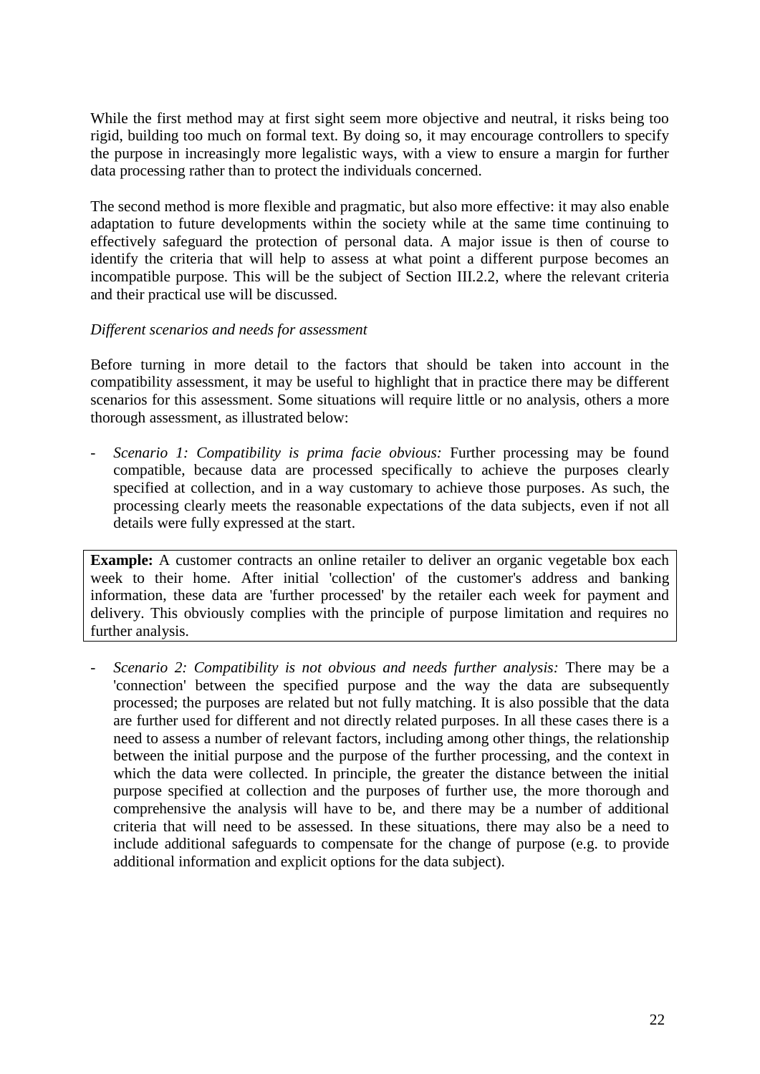While the first method may at first sight seem more objective and neutral, it risks being too rigid, building too much on formal text. By doing so, it may encourage controllers to specify the purpose in increasingly more legalistic ways, with a view to ensure a margin for further data processing rather than to protect the individuals concerned.

The second method is more flexible and pragmatic, but also more effective: it may also enable adaptation to future developments within the society while at the same time continuing to effectively safeguard the protection of personal data. A major issue is then of course to identify the criteria that will help to assess at what point a different purpose becomes an incompatible purpose. This will be the subject of Section III.2.2, where the relevant criteria and their practical use will be discussed.

#### *Different scenarios and needs for assessment*

Before turning in more detail to the factors that should be taken into account in the compatibility assessment, it may be useful to highlight that in practice there may be different scenarios for this assessment. Some situations will require little or no analysis, others a more thorough assessment, as illustrated below:

Scenario 1: Compatibility is prima facie obvious: Further processing may be found compatible, because data are processed specifically to achieve the purposes clearly specified at collection, and in a way customary to achieve those purposes. As such, the processing clearly meets the reasonable expectations of the data subjects, even if not all details were fully expressed at the start.

**Example:** A customer contracts an online retailer to deliver an organic vegetable box each week to their home. After initial 'collection' of the customer's address and banking information, these data are 'further processed' by the retailer each week for payment and delivery. This obviously complies with the principle of purpose limitation and requires no further analysis.

Scenario 2: Compatibility is not obvious and needs further analysis: There may be a 'connection' between the specified purpose and the way the data are subsequently processed; the purposes are related but not fully matching. It is also possible that the data are further used for different and not directly related purposes. In all these cases there is a need to assess a number of relevant factors, including among other things, the relationship between the initial purpose and the purpose of the further processing, and the context in which the data were collected. In principle, the greater the distance between the initial purpose specified at collection and the purposes of further use, the more thorough and comprehensive the analysis will have to be, and there may be a number of additional criteria that will need to be assessed. In these situations, there may also be a need to include additional safeguards to compensate for the change of purpose (e.g. to provide additional information and explicit options for the data subject).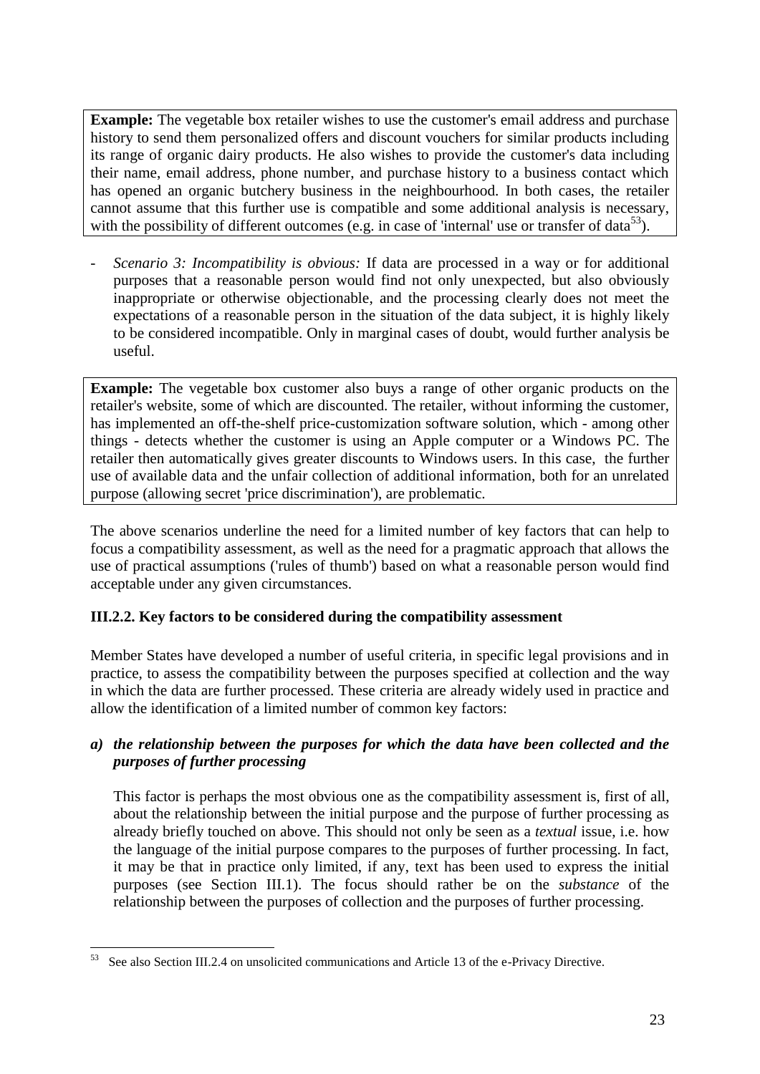**Example:** The vegetable box retailer wishes to use the customer's email address and purchase history to send them personalized offers and discount vouchers for similar products including its range of organic dairy products. He also wishes to provide the customer's data including their name, email address, phone number, and purchase history to a business contact which has opened an organic butchery business in the neighbourhood. In both cases, the retailer cannot assume that this further use is compatible and some additional analysis is necessary, with the possibility of different outcomes (e.g. in case of 'internal' use or transfer of data<sup>53</sup>).

- *Scenario 3: Incompatibility is obvious:* If data are processed in a way or for additional purposes that a reasonable person would find not only unexpected, but also obviously inappropriate or otherwise objectionable, and the processing clearly does not meet the expectations of a reasonable person in the situation of the data subject, it is highly likely to be considered incompatible. Only in marginal cases of doubt, would further analysis be useful.

**Example:** The vegetable box customer also buys a range of other organic products on the retailer's website, some of which are discounted. The retailer, without informing the customer, has implemented an off-the-shelf price-customization software solution, which - among other things - detects whether the customer is using an Apple computer or a Windows PC. The retailer then automatically gives greater discounts to Windows users. In this case, the further use of available data and the unfair collection of additional information, both for an unrelated purpose (allowing secret 'price discrimination'), are problematic.

The above scenarios underline the need for a limited number of key factors that can help to focus a compatibility assessment, as well as the need for a pragmatic approach that allows the use of practical assumptions ('rules of thumb') based on what a reasonable person would find acceptable under any given circumstances.

## **III.2.2. Key factors to be considered during the compatibility assessment**

Member States have developed a number of useful criteria, in specific legal provisions and in practice, to assess the compatibility between the purposes specified at collection and the way in which the data are further processed. These criteria are already widely used in practice and allow the identification of a limited number of common key factors:

## *a) the relationship between the purposes for which the data have been collected and the purposes of further processing*

This factor is perhaps the most obvious one as the compatibility assessment is, first of all, about the relationship between the initial purpose and the purpose of further processing as already briefly touched on above. This should not only be seen as a *textual* issue, i.e. how the language of the initial purpose compares to the purposes of further processing. In fact, it may be that in practice only limited, if any, text has been used to express the initial purposes (see Section III.1). The focus should rather be on the *substance* of the relationship between the purposes of collection and the purposes of further processing.

 $\overline{a}$ See also Section III.2.4 on unsolicited communications and Article 13 of the e-Privacy Directive.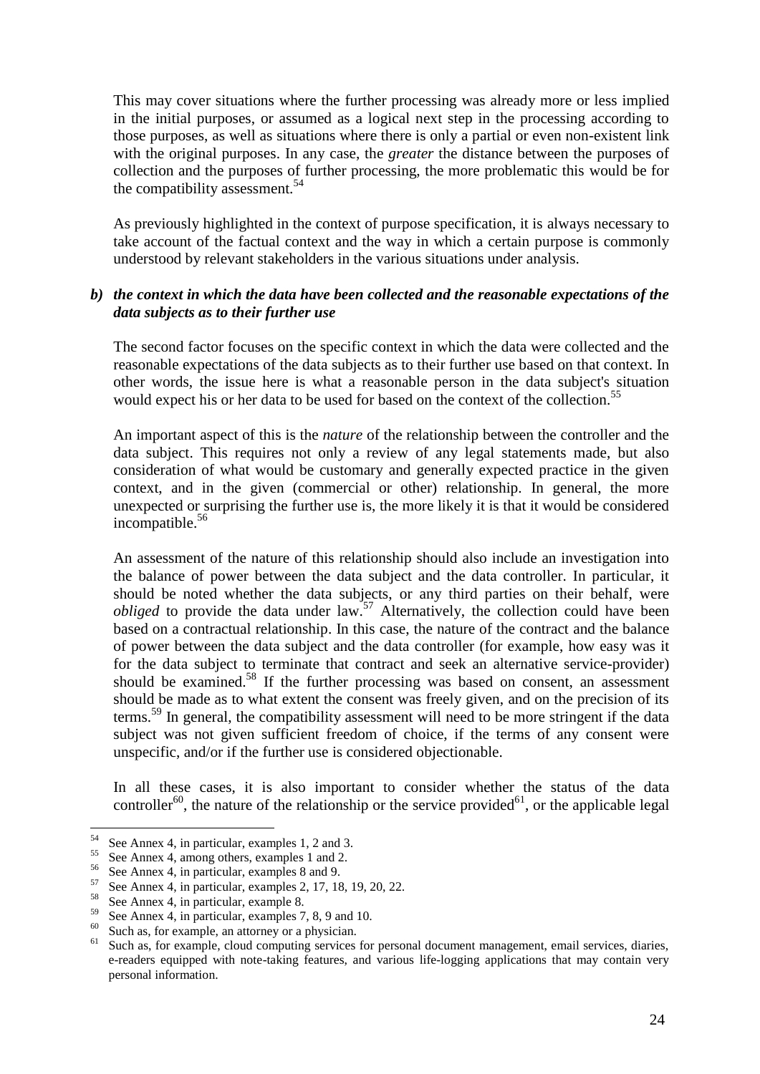This may cover situations where the further processing was already more or less implied in the initial purposes, or assumed as a logical next step in the processing according to those purposes, as well as situations where there is only a partial or even non-existent link with the original purposes. In any case, the *greater* the distance between the purposes of collection and the purposes of further processing, the more problematic this would be for the compatibility assessment.<sup>54</sup>

As previously highlighted in the context of purpose specification, it is always necessary to take account of the factual context and the way in which a certain purpose is commonly understood by relevant stakeholders in the various situations under analysis.

## *b) the context in which the data have been collected and the reasonable expectations of the data subjects as to their further use*

The second factor focuses on the specific context in which the data were collected and the reasonable expectations of the data subjects as to their further use based on that context. In other words, the issue here is what a reasonable person in the data subject's situation would expect his or her data to be used for based on the context of the collection.<sup>55</sup>

An important aspect of this is the *nature* of the relationship between the controller and the data subject. This requires not only a review of any legal statements made, but also consideration of what would be customary and generally expected practice in the given context, and in the given (commercial or other) relationship. In general, the more unexpected or surprising the further use is, the more likely it is that it would be considered incompatible.<sup>56</sup>

An assessment of the nature of this relationship should also include an investigation into the balance of power between the data subject and the data controller. In particular, it should be noted whether the data subjects, or any third parties on their behalf, were *obliged* to provide the data under law.<sup>57</sup> Alternatively, the collection could have been based on a contractual relationship. In this case, the nature of the contract and the balance of power between the data subject and the data controller (for example, how easy was it for the data subject to terminate that contract and seek an alternative service-provider) should be examined.<sup>58</sup> If the further processing was based on consent, an assessment should be made as to what extent the consent was freely given, and on the precision of its terms.<sup>59</sup> In general, the compatibility assessment will need to be more stringent if the data subject was not given sufficient freedom of choice, if the terms of any consent were unspecific, and/or if the further use is considered objectionable.

In all these cases, it is also important to consider whether the status of the data controller<sup>60</sup>, the nature of the relationship or the service provided<sup>61</sup>, or the applicable legal

<sup>54</sup> <sup>54</sup> See Annex 4, in particular, examples 1, 2 and 3.

 $^{55}$  See Annex 4, among others, examples 1 and 2.

<sup>&</sup>lt;sup>56</sup> See Annex 4, in particular, examples 8 and 9.<br> $\frac{57}{2}$  See Annex 4, in particular, examples 2, 17, 18

See Annex 4, in particular, examples 2, 17, 18, 19, 20, 22.

<sup>58</sup> See Annex 4, in particular, example 8.

<sup>&</sup>lt;sup>59</sup> See Annex 4, in particular, examples 7, 8, 9 and 10.<br><sup>60</sup> Stark as for appendix on ethnomy and physician

 $^{60}$  Such as, for example, an attorney or a physician.

Such as, for example, cloud computing services for personal document management, email services, diaries, e-readers equipped with note-taking features, and various life-logging applications that may contain very personal information.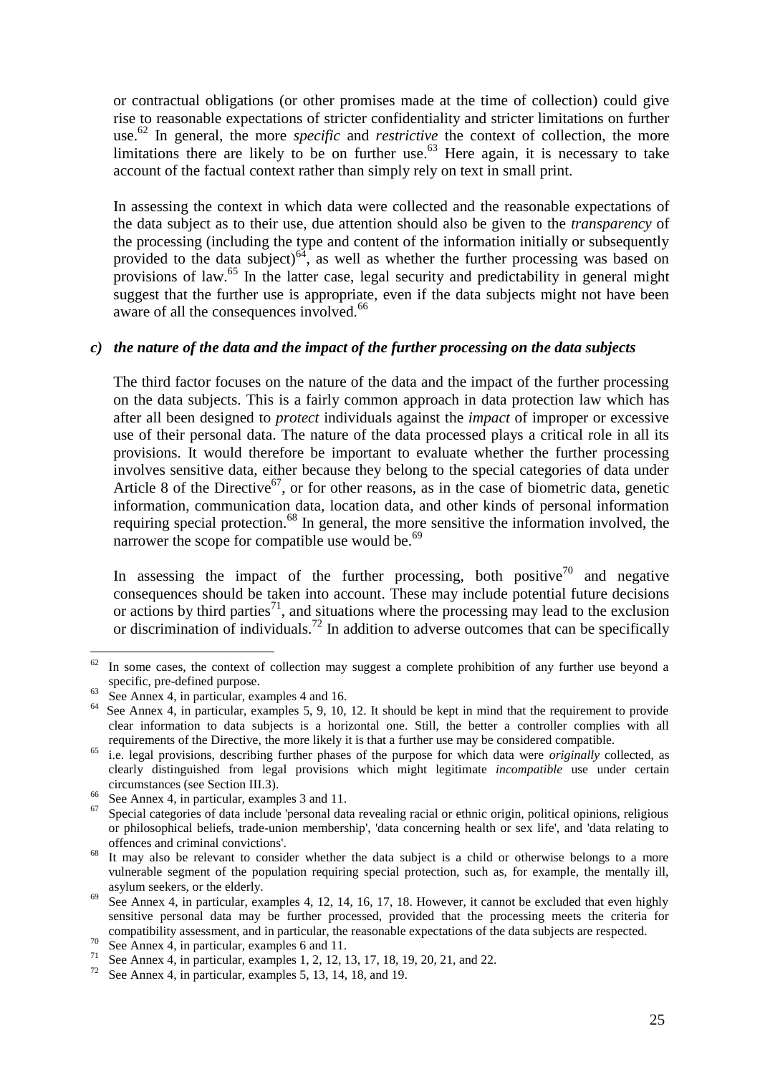or contractual obligations (or other promises made at the time of collection) could give rise to reasonable expectations of stricter confidentiality and stricter limitations on further use. <sup>62</sup> In general, the more *specific* and *restrictive* the context of collection, the more limitations there are likely to be on further use.<sup>63</sup> Here again, it is necessary to take account of the factual context rather than simply rely on text in small print.

In assessing the context in which data were collected and the reasonable expectations of the data subject as to their use, due attention should also be given to the *transparency* of the processing (including the type and content of the information initially or subsequently provided to the data subject) $64$ , as well as whether the further processing was based on provisions of law.<sup>65</sup> In the latter case, legal security and predictability in general might suggest that the further use is appropriate, even if the data subjects might not have been aware of all the consequences involved.<sup>66</sup>

## *c) the nature of the data and the impact of the further processing on the data subjects*

The third factor focuses on the nature of the data and the impact of the further processing on the data subjects. This is a fairly common approach in data protection law which has after all been designed to *protect* individuals against the *impact* of improper or excessive use of their personal data. The nature of the data processed plays a critical role in all its provisions. It would therefore be important to evaluate whether the further processing involves sensitive data, either because they belong to the special categories of data under Article 8 of the Directive<sup>67</sup>, or for other reasons, as in the case of biometric data, genetic information, communication data, location data, and other kinds of personal information requiring special protection.<sup>68</sup> In general, the more sensitive the information involved, the narrower the scope for compatible use would be.<sup>69</sup>

In assessing the impact of the further processing, both positive<sup>70</sup> and negative consequences should be taken into account. These may include potential future decisions or actions by third parties<sup>71</sup>, and situations where the processing may lead to the exclusion or discrimination of individuals.<sup>72</sup> In addition to adverse outcomes that can be specifically

<sup>62</sup> In some cases, the context of collection may suggest a complete prohibition of any further use beyond a specific, pre-defined purpose.

See Annex 4, in particular, examples 4 and 16.

See Annex 4, in particular, examples 5, 9, 10, 12. It should be kept in mind that the requirement to provide clear information to data subjects is a horizontal one. Still, the better a controller complies with all requirements of the Directive, the more likely it is that a further use may be considered compatible.

<sup>65</sup> i.e. legal provisions, describing further phases of the purpose for which data were *originally* collected, as clearly distinguished from legal provisions which might legitimate *incompatible* use under certain circumstances (see Section III.3).

See Annex 4, in particular, examples 3 and 11.

<sup>67</sup> Special categories of data include 'personal data revealing racial or ethnic origin, political opinions, religious or philosophical beliefs, trade-union membership', 'data concerning health or sex life', and 'data relating to offences and criminal convictions'.

<sup>&</sup>lt;sup>68</sup> It may also be relevant to consider whether the data subject is a child or otherwise belongs to a more vulnerable segment of the population requiring special protection, such as, for example, the mentally ill, asylum seekers, or the elderly.

 $\frac{69}{2}$  See Annex 4, in particular, examples 4, 12, 14, 16, 17, 18. However, it cannot be excluded that even highly sensitive personal data may be further processed, provided that the processing meets the criteria for compatibility assessment, and in particular, the reasonable expectations of the data subjects are respected.

 $\frac{70}{71}$  See Annex 4, in particular, examples 6 and 11.

<sup>&</sup>lt;sup>71</sup> See Annex 4, in particular, examples 1, 2, 12, 13, 17, 18, 19, 20, 21, and 22.<br><sup>72</sup> See Annex 4, in particular, examples 5, 13, 14, 18, and 19

See Annex 4, in particular, examples 5, 13, 14, 18, and 19.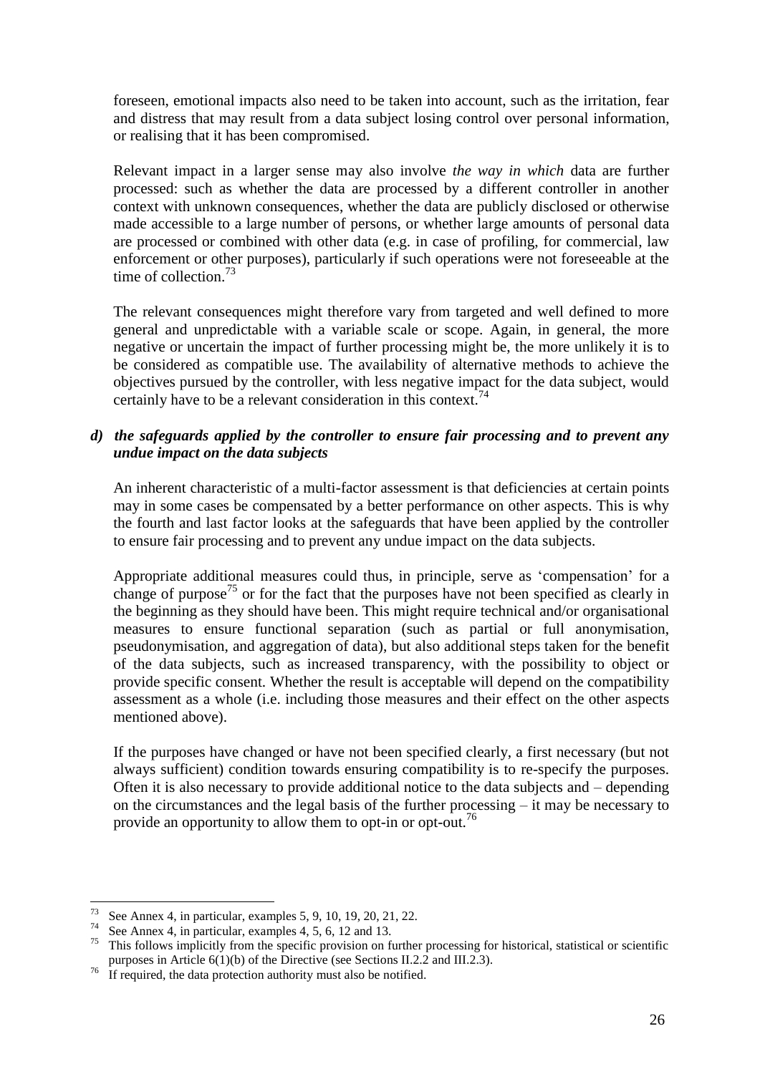foreseen, emotional impacts also need to be taken into account, such as the irritation, fear and distress that may result from a data subject losing control over personal information, or realising that it has been compromised.

Relevant impact in a larger sense may also involve *the way in which* data are further processed: such as whether the data are processed by a different controller in another context with unknown consequences, whether the data are publicly disclosed or otherwise made accessible to a large number of persons, or whether large amounts of personal data are processed or combined with other data (e.g. in case of profiling, for commercial, law enforcement or other purposes), particularly if such operations were not foreseeable at the time of collection. 73

The relevant consequences might therefore vary from targeted and well defined to more general and unpredictable with a variable scale or scope. Again, in general, the more negative or uncertain the impact of further processing might be, the more unlikely it is to be considered as compatible use. The availability of alternative methods to achieve the objectives pursued by the controller, with less negative impact for the data subject, would certainly have to be a relevant consideration in this context.<sup>74</sup>

### *d) the safeguards applied by the controller to ensure fair processing and to prevent any undue impact on the data subjects*

An inherent characteristic of a multi-factor assessment is that deficiencies at certain points may in some cases be compensated by a better performance on other aspects. This is why the fourth and last factor looks at the safeguards that have been applied by the controller to ensure fair processing and to prevent any undue impact on the data subjects.

Appropriate additional measures could thus, in principle, serve as 'compensation' for a change of purpose<sup>75</sup> or for the fact that the purposes have not been specified as clearly in the beginning as they should have been. This might require technical and/or organisational measures to ensure functional separation (such as partial or full anonymisation, pseudonymisation, and aggregation of data), but also additional steps taken for the benefit of the data subjects, such as increased transparency, with the possibility to object or provide specific consent. Whether the result is acceptable will depend on the compatibility assessment as a whole (i.e. including those measures and their effect on the other aspects mentioned above).

If the purposes have changed or have not been specified clearly, a first necessary (but not always sufficient) condition towards ensuring compatibility is to re-specify the purposes. Often it is also necessary to provide additional notice to the data subjects and – depending on the circumstances and the legal basis of the further processing – it may be necessary to provide an opportunity to allow them to opt-in or opt-out.<sup>76</sup>

<sup>73</sup> See Annex 4, in particular, examples 5, 9, 10, 19, 20, 21, 22.

 $74$  See Annex 4, in particular, examples 4, 5, 6, 12 and 13.

<sup>&</sup>lt;sup>75</sup> This follows implicitly from the specific provision on further processing for historical, statistical or scientific purposes in Article  $6(1)(b)$  of the Directive (see Sections II.2.2 and III.2.3).

 $76 \text{ If required, the data protection authority must also be notified.}$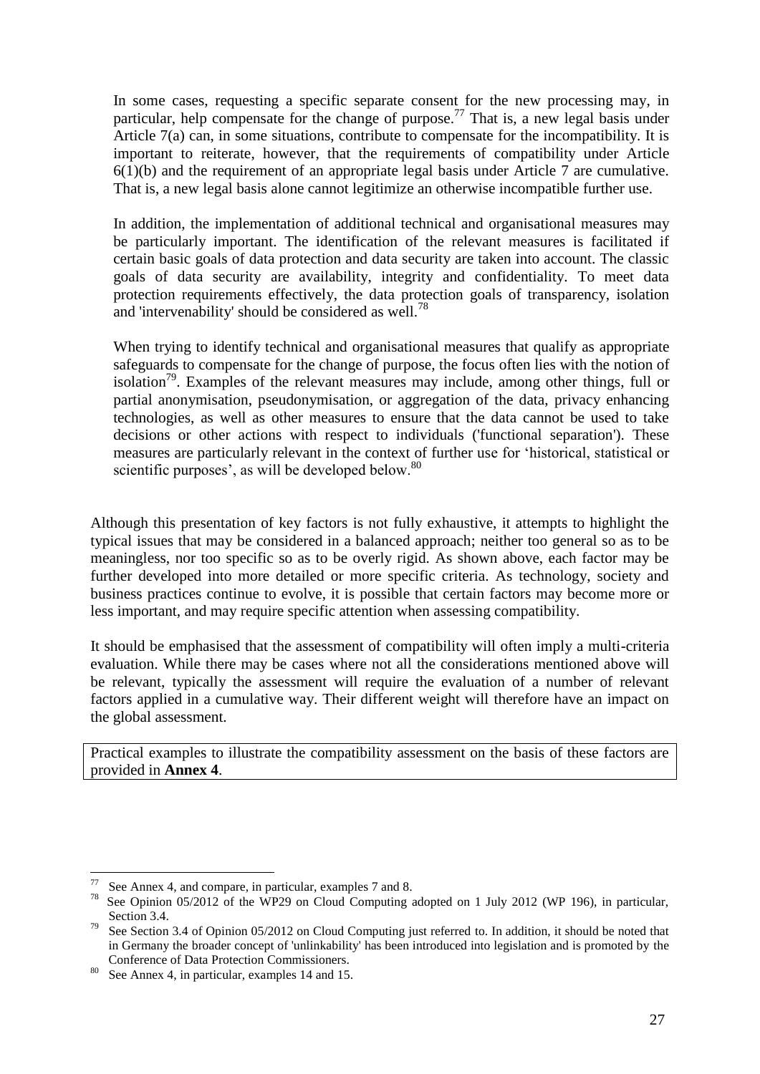In some cases, requesting a specific separate consent for the new processing may, in particular, help compensate for the change of purpose.<sup>77</sup> That is, a new legal basis under Article 7(a) can, in some situations, contribute to compensate for the incompatibility. It is important to reiterate, however, that the requirements of compatibility under Article 6(1)(b) and the requirement of an appropriate legal basis under Article 7 are cumulative. That is, a new legal basis alone cannot legitimize an otherwise incompatible further use.

In addition, the implementation of additional technical and organisational measures may be particularly important. The identification of the relevant measures is facilitated if certain basic goals of data protection and data security are taken into account. The classic goals of data security are availability, integrity and confidentiality. To meet data protection requirements effectively, the data protection goals of transparency, isolation and 'intervenability' should be considered as well.<sup>78</sup>

When trying to identify technical and organisational measures that qualify as appropriate safeguards to compensate for the change of purpose, the focus often lies with the notion of isolation<sup>79</sup>. Examples of the relevant measures may include, among other things, full or partial anonymisation, pseudonymisation, or aggregation of the data, privacy enhancing technologies, as well as other measures to ensure that the data cannot be used to take decisions or other actions with respect to individuals ('functional separation'). These measures are particularly relevant in the context of further use for 'historical, statistical or scientific purposes', as will be developed below. $80$ 

Although this presentation of key factors is not fully exhaustive, it attempts to highlight the typical issues that may be considered in a balanced approach; neither too general so as to be meaningless, nor too specific so as to be overly rigid. As shown above, each factor may be further developed into more detailed or more specific criteria. As technology, society and business practices continue to evolve, it is possible that certain factors may become more or less important, and may require specific attention when assessing compatibility.

It should be emphasised that the assessment of compatibility will often imply a multi-criteria evaluation. While there may be cases where not all the considerations mentioned above will be relevant, typically the assessment will require the evaluation of a number of relevant factors applied in a cumulative way. Their different weight will therefore have an impact on the global assessment.

Practical examples to illustrate the compatibility assessment on the basis of these factors are provided in **Annex 4**.

See Annex 4, and compare, in particular, examples 7 and 8.

<sup>&</sup>lt;sup>78</sup> See Opinion 05/2012 of the WP29 on Cloud Computing adopted on 1 July 2012 (WP 196), in particular, Section 3.4.

See Section 3.4 of Opinion 05/2012 on Cloud Computing just referred to. In addition, it should be noted that in Germany the broader concept of 'unlinkability' has been introduced into legislation and is promoted by the Conference of Data Protection Commissioners.

See Annex 4, in particular, examples 14 and 15.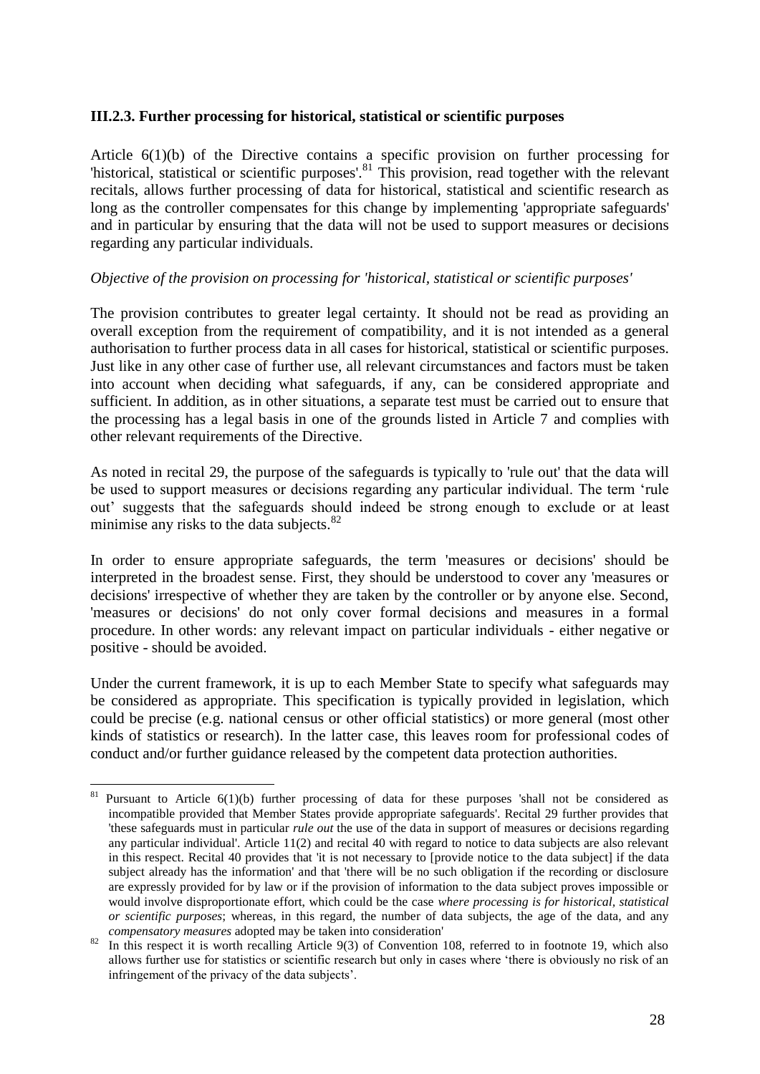### **III.2.3. Further processing for historical, statistical or scientific purposes**

Article 6(1)(b) of the Directive contains a specific provision on further processing for 'historical, statistical or scientific purposes'.<sup>81</sup> This provision, read together with the relevant recitals, allows further processing of data for historical, statistical and scientific research as long as the controller compensates for this change by implementing 'appropriate safeguards' and in particular by ensuring that the data will not be used to support measures or decisions regarding any particular individuals.

#### *Objective of the provision on processing for 'historical, statistical or scientific purposes'*

The provision contributes to greater legal certainty. It should not be read as providing an overall exception from the requirement of compatibility, and it is not intended as a general authorisation to further process data in all cases for historical, statistical or scientific purposes. Just like in any other case of further use, all relevant circumstances and factors must be taken into account when deciding what safeguards, if any, can be considered appropriate and sufficient. In addition, as in other situations, a separate test must be carried out to ensure that the processing has a legal basis in one of the grounds listed in Article 7 and complies with other relevant requirements of the Directive.

As noted in recital 29, the purpose of the safeguards is typically to 'rule out' that the data will be used to support measures or decisions regarding any particular individual. The term 'rule out' suggests that the safeguards should indeed be strong enough to exclude or at least minimise any risks to the data subjects. $82$ 

In order to ensure appropriate safeguards, the term 'measures or decisions' should be interpreted in the broadest sense. First, they should be understood to cover any 'measures or decisions' irrespective of whether they are taken by the controller or by anyone else. Second, 'measures or decisions' do not only cover formal decisions and measures in a formal procedure. In other words: any relevant impact on particular individuals - either negative or positive - should be avoided.

Under the current framework, it is up to each Member State to specify what safeguards may be considered as appropriate. This specification is typically provided in legislation, which could be precise (e.g. national census or other official statistics) or more general (most other kinds of statistics or research). In the latter case, this leaves room for professional codes of conduct and/or further guidance released by the competent data protection authorities.

 $81$  Pursuant to Article 6(1)(b) further processing of data for these purposes 'shall not be considered as incompatible provided that Member States provide appropriate safeguards'. Recital 29 further provides that 'these safeguards must in particular *rule out* the use of the data in support of measures or decisions regarding any particular individual'. Article 11(2) and recital 40 with regard to notice to data subjects are also relevant in this respect. Recital 40 provides that 'it is not necessary to [provide notice to the data subject] if the data subject already has the information' and that 'there will be no such obligation if the recording or disclosure are expressly provided for by law or if the provision of information to the data subject proves impossible or would involve disproportionate effort, which could be the case *where processing is for historical, statistical or scientific purposes*; whereas, in this regard, the number of data subjects, the age of the data, and any *compensatory measures* adopted may be taken into consideration'

<sup>&</sup>lt;sup>82</sup> In this respect it is worth recalling Article 9(3) of Convention 108, referred to in footnote 19, which also allows further use for statistics or scientific research but only in cases where 'there is obviously no risk of an infringement of the privacy of the data subjects'.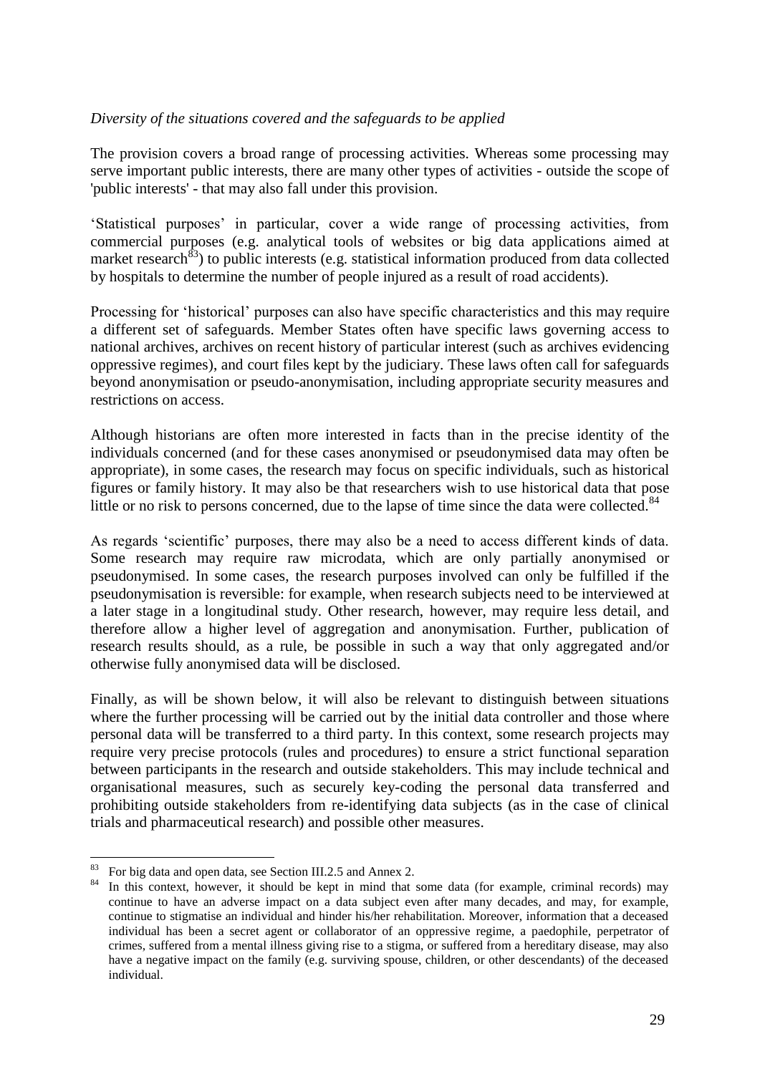### *Diversity of the situations covered and the safeguards to be applied*

The provision covers a broad range of processing activities. Whereas some processing may serve important public interests, there are many other types of activities - outside the scope of 'public interests' - that may also fall under this provision.

'Statistical purposes' in particular, cover a wide range of processing activities, from commercial purposes (e.g. analytical tools of websites or big data applications aimed at market research<sup>83</sup>) to public interests (e.g. statistical information produced from data collected by hospitals to determine the number of people injured as a result of road accidents).

Processing for 'historical' purposes can also have specific characteristics and this may require a different set of safeguards. Member States often have specific laws governing access to national archives, archives on recent history of particular interest (such as archives evidencing oppressive regimes), and court files kept by the judiciary. These laws often call for safeguards beyond anonymisation or pseudo-anonymisation, including appropriate security measures and restrictions on access.

Although historians are often more interested in facts than in the precise identity of the individuals concerned (and for these cases anonymised or pseudonymised data may often be appropriate), in some cases, the research may focus on specific individuals, such as historical figures or family history. It may also be that researchers wish to use historical data that pose little or no risk to persons concerned, due to the lapse of time since the data were collected.<sup>84</sup>

As regards 'scientific' purposes, there may also be a need to access different kinds of data. Some research may require raw microdata, which are only partially anonymised or pseudonymised. In some cases, the research purposes involved can only be fulfilled if the pseudonymisation is reversible: for example, when research subjects need to be interviewed at a later stage in a longitudinal study. Other research, however, may require less detail, and therefore allow a higher level of aggregation and anonymisation. Further, publication of research results should, as a rule, be possible in such a way that only aggregated and/or otherwise fully anonymised data will be disclosed.

Finally, as will be shown below, it will also be relevant to distinguish between situations where the further processing will be carried out by the initial data controller and those where personal data will be transferred to a third party. In this context, some research projects may require very precise protocols (rules and procedures) to ensure a strict functional separation between participants in the research and outside stakeholders. This may include technical and organisational measures, such as securely key-coding the personal data transferred and prohibiting outside stakeholders from re-identifying data subjects (as in the case of clinical trials and pharmaceutical research) and possible other measures.

<sup>83</sup> For big data and open data, see Section III.2.5 and Annex 2.

<sup>&</sup>lt;sup>84</sup> In this context, however, it should be kept in mind that some data (for example, criminal records) may continue to have an adverse impact on a data subject even after many decades, and may, for example, continue to stigmatise an individual and hinder his/her rehabilitation. Moreover, information that a deceased individual has been a secret agent or collaborator of an oppressive regime, a paedophile, perpetrator of crimes, suffered from a mental illness giving rise to a stigma, or suffered from a hereditary disease, may also have a negative impact on the family (e.g. surviving spouse, children, or other descendants) of the deceased individual.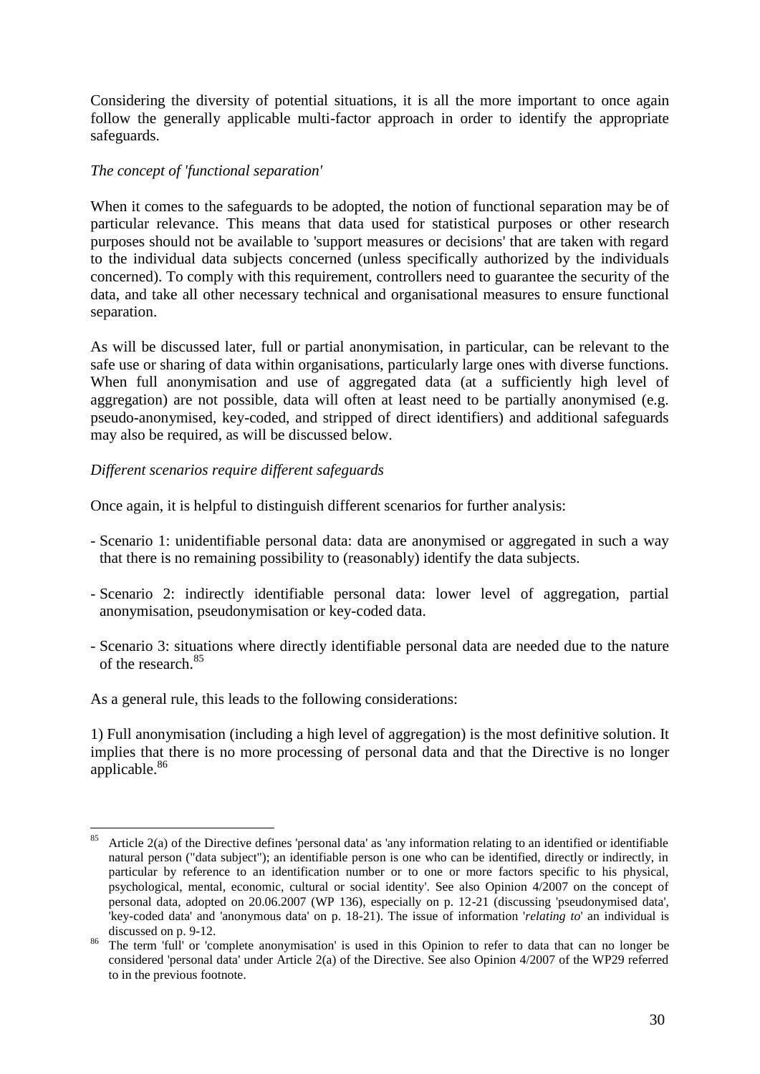Considering the diversity of potential situations, it is all the more important to once again follow the generally applicable multi-factor approach in order to identify the appropriate safeguards.

### *The concept of 'functional separation'*

When it comes to the safeguards to be adopted, the notion of functional separation may be of particular relevance. This means that data used for statistical purposes or other research purposes should not be available to 'support measures or decisions' that are taken with regard to the individual data subjects concerned (unless specifically authorized by the individuals concerned). To comply with this requirement, controllers need to guarantee the security of the data, and take all other necessary technical and organisational measures to ensure functional separation.

As will be discussed later, full or partial anonymisation, in particular, can be relevant to the safe use or sharing of data within organisations, particularly large ones with diverse functions. When full anonymisation and use of aggregated data (at a sufficiently high level of aggregation) are not possible, data will often at least need to be partially anonymised (e.g. pseudo-anonymised, key-coded, and stripped of direct identifiers) and additional safeguards may also be required, as will be discussed below.

## *Different scenarios require different safeguards*

Once again, it is helpful to distinguish different scenarios for further analysis:

- Scenario 1: unidentifiable personal data: data are anonymised or aggregated in such a way that there is no remaining possibility to (reasonably) identify the data subjects.
- Scenario 2: indirectly identifiable personal data: lower level of aggregation, partial anonymisation, pseudonymisation or key-coded data.
- Scenario 3: situations where directly identifiable personal data are needed due to the nature of the research.<sup>85</sup>

As a general rule, this leads to the following considerations:

1) Full anonymisation (including a high level of aggregation) is the most definitive solution. It implies that there is no more processing of personal data and that the Directive is no longer applicable.<sup>86</sup>

 $\overline{a}$ <sup>85</sup> Article 2(a) of the Directive defines 'personal data' as 'any information relating to an identified or identifiable natural person ("data subject"); an identifiable person is one who can be identified, directly or indirectly, in particular by reference to an identification number or to one or more factors specific to his physical, psychological, mental, economic, cultural or social identity'. See also Opinion 4/2007 on the concept of personal data, adopted on 20.06.2007 (WP 136), especially on p. 12-21 (discussing 'pseudonymised data', 'key-coded data' and 'anonymous data' on p. 18-21). The issue of information '*relating to*' an individual is discussed on p. 9-12.

<sup>86</sup> The term 'full' or 'complete anonymisation' is used in this Opinion to refer to data that can no longer be considered 'personal data' under Article 2(a) of the Directive. See also Opinion 4/2007 of the WP29 referred to in the previous footnote.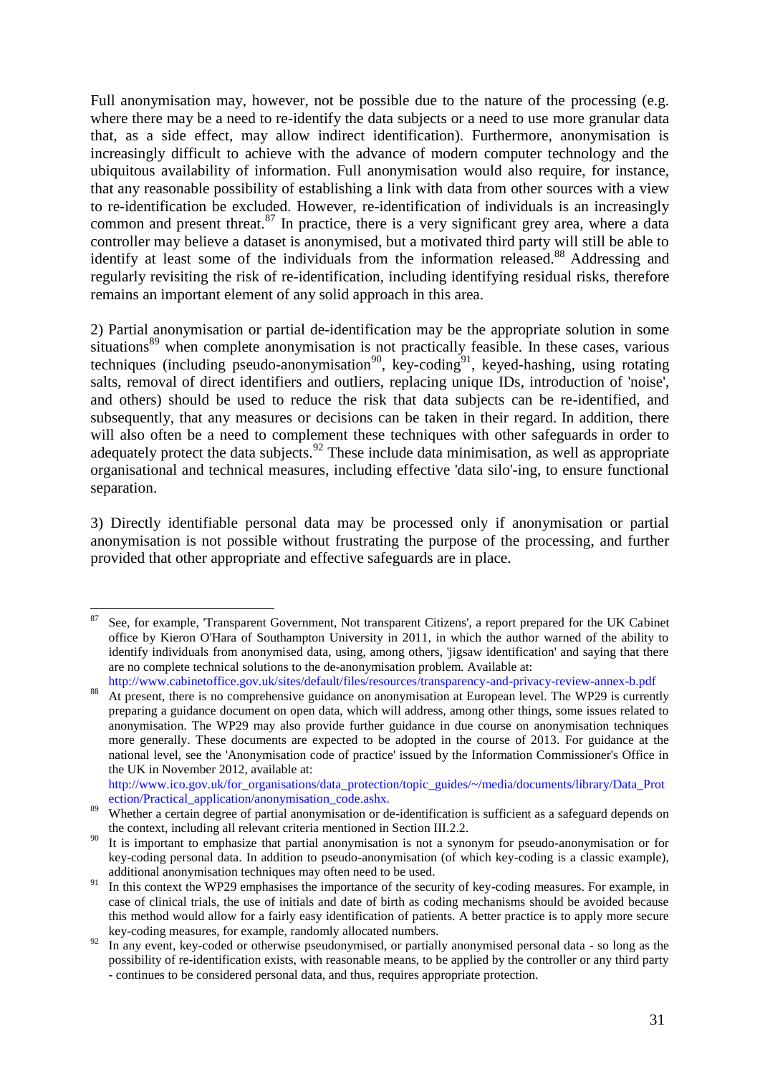Full anonymisation may, however, not be possible due to the nature of the processing (e.g. where there may be a need to re-identify the data subjects or a need to use more granular data that, as a side effect, may allow indirect identification). Furthermore, anonymisation is increasingly difficult to achieve with the advance of modern computer technology and the ubiquitous availability of information. Full anonymisation would also require, for instance, that any reasonable possibility of establishing a link with data from other sources with a view to re-identification be excluded. However, re-identification of individuals is an increasingly common and present threat.<sup>87</sup> In practice, there is a very significant grey area, where a data controller may believe a dataset is anonymised, but a motivated third party will still be able to identify at least some of the individuals from the information released.<sup>88</sup> Addressing and regularly revisiting the risk of re-identification, including identifying residual risks, therefore remains an important element of any solid approach in this area.

2) Partial anonymisation or partial de-identification may be the appropriate solution in some situations<sup>89</sup> when complete anonymisation is not practically feasible. In these cases, various techniques (including pseudo-anonymisation<sup>90</sup>, key-coding<sup>91</sup>, keyed-hashing, using rotating salts, removal of direct identifiers and outliers, replacing unique IDs, introduction of 'noise', and others) should be used to reduce the risk that data subjects can be re-identified, and subsequently, that any measures or decisions can be taken in their regard. In addition, there will also often be a need to complement these techniques with other safeguards in order to adequately protect the data subjects.  $92$  These include data minimisation, as well as appropriate organisational and technical measures, including effective 'data silo'-ing, to ensure functional separation.

3) Directly identifiable personal data may be processed only if anonymisation or partial anonymisation is not possible without frustrating the purpose of the processing, and further provided that other appropriate and effective safeguards are in place.

 $\overline{a}$ See, for example, 'Transparent Government, Not transparent Citizens', a report prepared for the UK Cabinet office by Kieron O'Hara of Southampton University in 2011, in which the author warned of the ability to identify individuals from anonymised data, using, among others, 'jigsaw identification' and saying that there are no complete technical solutions to the de-anonymisation problem. Available at:

http://www.cabinetoffice.gov.uk/sites/default/files/resources/transparency-and-privacy-review-annex-b.pdf

At present, there is no comprehensive guidance on anonymisation at European level. The WP29 is currently preparing a guidance document on open data, which will address, among other things, some issues related to anonymisation. The WP29 may also provide further guidance in due course on anonymisation techniques more generally. These documents are expected to be adopted in the course of 2013. For guidance at the national level, see the 'Anonymisation code of practice' issued by the Information Commissioner's Office in the UK in November 2012, available at:

[http://www.ico.gov.uk/for\\_organisations/data\\_protection/topic\\_guides/~/media/documents/library/Data\\_Prot](http://www.ico.gov.uk/for_organisations/data_protection/topic_guides/~/media/documents/library/Data_Protection/Practical_application/anonymisation_code.ashx) [ection/Practical\\_application/anonymisation\\_code.ashx.](http://www.ico.gov.uk/for_organisations/data_protection/topic_guides/~/media/documents/library/Data_Protection/Practical_application/anonymisation_code.ashx)

<sup>&</sup>lt;sup>89</sup> Whether a certain degree of partial anonymisation or de-identification is sufficient as a safeguard depends on the context, including all relevant criteria mentioned in Section III.2.2.

<sup>&</sup>lt;sup>90</sup> It is important to emphasize that partial anonymisation is not a synonym for pseudo-anonymisation or for key-coding personal data. In addition to pseudo-anonymisation (of which key-coding is a classic example), additional anonymisation techniques may often need to be used.

<sup>&</sup>lt;sup>91</sup> In this context the WP29 emphasises the importance of the security of key-coding measures. For example, in case of clinical trials, the use of initials and date of birth as coding mechanisms should be avoided because this method would allow for a fairly easy identification of patients. A better practice is to apply more secure key-coding measures, for example, randomly allocated numbers.

In any event, key-coded or otherwise pseudonymised, or partially anonymised personal data - so long as the possibility of re-identification exists, with reasonable means, to be applied by the controller or any third party - continues to be considered personal data, and thus, requires appropriate protection.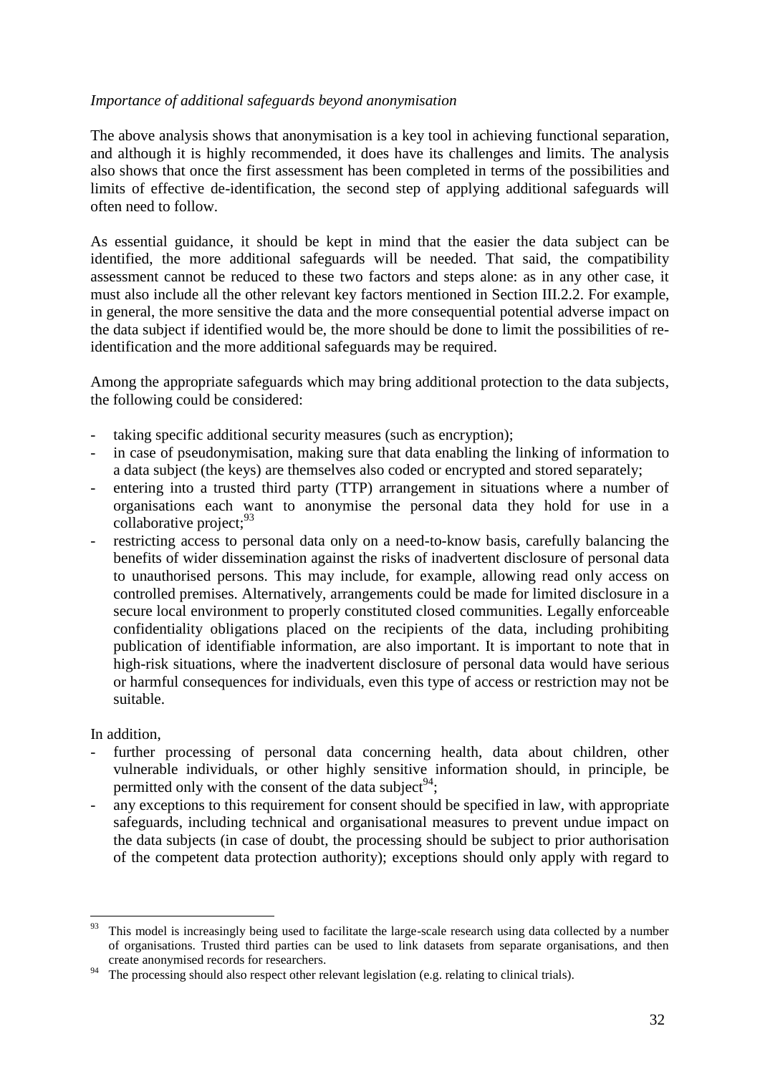### *Importance of additional safeguards beyond anonymisation*

The above analysis shows that anonymisation is a key tool in achieving functional separation, and although it is highly recommended, it does have its challenges and limits. The analysis also shows that once the first assessment has been completed in terms of the possibilities and limits of effective de-identification, the second step of applying additional safeguards will often need to follow.

As essential guidance, it should be kept in mind that the easier the data subject can be identified, the more additional safeguards will be needed. That said, the compatibility assessment cannot be reduced to these two factors and steps alone: as in any other case, it must also include all the other relevant key factors mentioned in Section III.2.2. For example, in general, the more sensitive the data and the more consequential potential adverse impact on the data subject if identified would be, the more should be done to limit the possibilities of reidentification and the more additional safeguards may be required.

Among the appropriate safeguards which may bring additional protection to the data subjects, the following could be considered:

- taking specific additional security measures (such as encryption);
- in case of pseudonymisation, making sure that data enabling the linking of information to a data subject (the keys) are themselves also coded or encrypted and stored separately;
- entering into a trusted third party (TTP) arrangement in situations where a number of organisations each want to anonymise the personal data they hold for use in a collaborative project;<sup>93</sup>
- restricting access to personal data only on a need-to-know basis, carefully balancing the benefits of wider dissemination against the risks of inadvertent disclosure of personal data to unauthorised persons. This may include, for example, allowing read only access on controlled premises. Alternatively, arrangements could be made for limited disclosure in a secure local environment to properly constituted closed communities. Legally enforceable confidentiality obligations placed on the recipients of the data, including prohibiting publication of identifiable information, are also important. It is important to note that in high-risk situations, where the inadvertent disclosure of personal data would have serious or harmful consequences for individuals, even this type of access or restriction may not be suitable.

In addition,

- further processing of personal data concerning health, data about children, other vulnerable individuals, or other highly sensitive information should, in principle, be permitted only with the consent of the data subject<sup>94</sup>;
- any exceptions to this requirement for consent should be specified in law, with appropriate safeguards, including technical and organisational measures to prevent undue impact on the data subjects (in case of doubt, the processing should be subject to prior authorisation of the competent data protection authority); exceptions should only apply with regard to

This model is increasingly being used to facilitate the large-scale research using data collected by a number of organisations. Trusted third parties can be used to link datasets from separate organisations, and then create anonymised records for researchers.

<sup>&</sup>lt;sup>94</sup> The processing should also respect other relevant legislation (e.g. relating to clinical trials).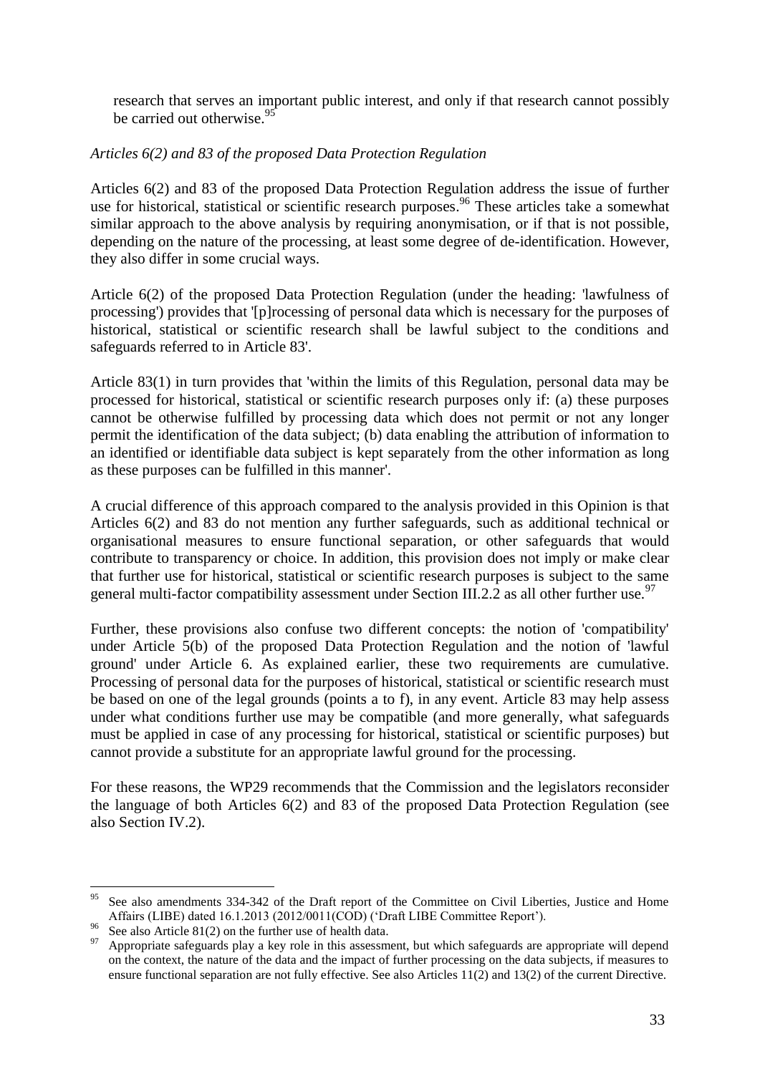research that serves an important public interest, and only if that research cannot possibly be carried out otherwise.<sup>95</sup>

#### *Articles 6(2) and 83 of the proposed Data Protection Regulation*

Articles 6(2) and 83 of the proposed Data Protection Regulation address the issue of further use for historical, statistical or scientific research purposes.<sup>96</sup> These articles take a somewhat similar approach to the above analysis by requiring anonymisation, or if that is not possible, depending on the nature of the processing, at least some degree of de-identification. However, they also differ in some crucial ways.

Article 6(2) of the proposed Data Protection Regulation (under the heading: 'lawfulness of processing') provides that '[p]rocessing of personal data which is necessary for the purposes of historical, statistical or scientific research shall be lawful subject to the conditions and safeguards referred to in Article 83'.

Article 83(1) in turn provides that 'within the limits of this Regulation, personal data may be processed for historical, statistical or scientific research purposes only if: (a) these purposes cannot be otherwise fulfilled by processing data which does not permit or not any longer permit the identification of the data subject; (b) data enabling the attribution of information to an identified or identifiable data subject is kept separately from the other information as long as these purposes can be fulfilled in this manner'.

A crucial difference of this approach compared to the analysis provided in this Opinion is that Articles 6(2) and 83 do not mention any further safeguards, such as additional technical or organisational measures to ensure functional separation, or other safeguards that would contribute to transparency or choice. In addition, this provision does not imply or make clear that further use for historical, statistical or scientific research purposes is subject to the same general multi-factor compatibility assessment under Section III.2.2 as all other further use.<sup>97</sup>

Further, these provisions also confuse two different concepts: the notion of 'compatibility' under Article 5(b) of the proposed Data Protection Regulation and the notion of 'lawful ground' under Article 6. As explained earlier, these two requirements are cumulative. Processing of personal data for the purposes of historical, statistical or scientific research must be based on one of the legal grounds (points a to f), in any event. Article 83 may help assess under what conditions further use may be compatible (and more generally, what safeguards must be applied in case of any processing for historical, statistical or scientific purposes) but cannot provide a substitute for an appropriate lawful ground for the processing.

For these reasons, the WP29 recommends that the Commission and the legislators reconsider the language of both Articles 6(2) and 83 of the proposed Data Protection Regulation (see also Section IV.2).

<sup>&</sup>lt;sup>95</sup> See also amendments 334-342 of the Draft report of the Committee on Civil Liberties, Justice and Home Affairs (LIBE) dated 16.1.2013 (2012/0011(COD) ('Draft LIBE Committee Report').

<sup>96</sup> See also Article 81(2) on the further use of health data.

Appropriate safeguards play a key role in this assessment, but which safeguards are appropriate will depend on the context, the nature of the data and the impact of further processing on the data subjects, if measures to ensure functional separation are not fully effective. See also Articles 11(2) and 13(2) of the current Directive.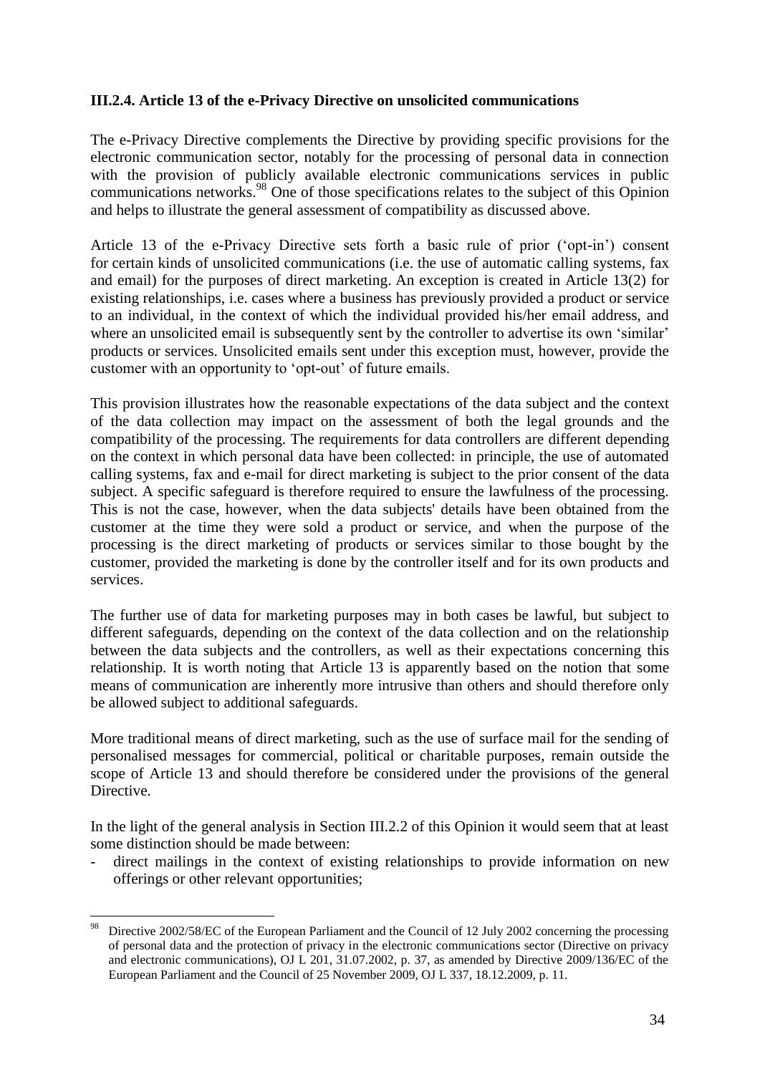## **III.2.4. Article 13 of the e-Privacy Directive on unsolicited communications**

The e-Privacy Directive complements the Directive by providing specific provisions for the electronic communication sector, notably for the processing of personal data in connection with the provision of publicly available electronic communications services in public communications networks.<sup>98</sup> One of those specifications relates to the subject of this Opinion and helps to illustrate the general assessment of compatibility as discussed above.

Article 13 of the e-Privacy Directive sets forth a basic rule of prior ('opt-in') consent for certain kinds of unsolicited communications (i.e. the use of automatic calling systems, fax and email) for the purposes of direct marketing. An exception is created in Article 13(2) for existing relationships, i.e. cases where a business has previously provided a product or service to an individual, in the context of which the individual provided his/her email address, and where an unsolicited email is subsequently sent by the controller to advertise its own 'similar' products or services. Unsolicited emails sent under this exception must, however, provide the customer with an opportunity to 'opt-out' of future emails.

This provision illustrates how the reasonable expectations of the data subject and the context of the data collection may impact on the assessment of both the legal grounds and the compatibility of the processing. The requirements for data controllers are different depending on the context in which personal data have been collected: in principle, the use of automated calling systems, fax and e-mail for direct marketing is subject to the prior consent of the data subject. A specific safeguard is therefore required to ensure the lawfulness of the processing. This is not the case, however, when the data subjects' details have been obtained from the customer at the time they were sold a product or service, and when the purpose of the processing is the direct marketing of products or services similar to those bought by the customer, provided the marketing is done by the controller itself and for its own products and services.

The further use of data for marketing purposes may in both cases be lawful, but subject to different safeguards, depending on the context of the data collection and on the relationship between the data subjects and the controllers, as well as their expectations concerning this relationship. It is worth noting that Article 13 is apparently based on the notion that some means of communication are inherently more intrusive than others and should therefore only be allowed subject to additional safeguards.

More traditional means of direct marketing, such as the use of surface mail for the sending of personalised messages for commercial, political or charitable purposes, remain outside the scope of Article 13 and should therefore be considered under the provisions of the general **Directive** 

In the light of the general analysis in Section III.2.2 of this Opinion it would seem that at least some distinction should be made between:

direct mailings in the context of existing relationships to provide information on new offerings or other relevant opportunities;

<sup>98</sup> Directive 2002/58/EC of the European Parliament and the Council of 12 July 2002 concerning the processing of personal data and the protection of privacy in the electronic communications sector (Directive on privacy and electronic communications), OJ L 201, 31.07.2002, p. 37, as amended by Directive 2009/136/EC of the European Parliament and the Council of 25 November 2009, OJ L 337, 18.12.2009, p. 11.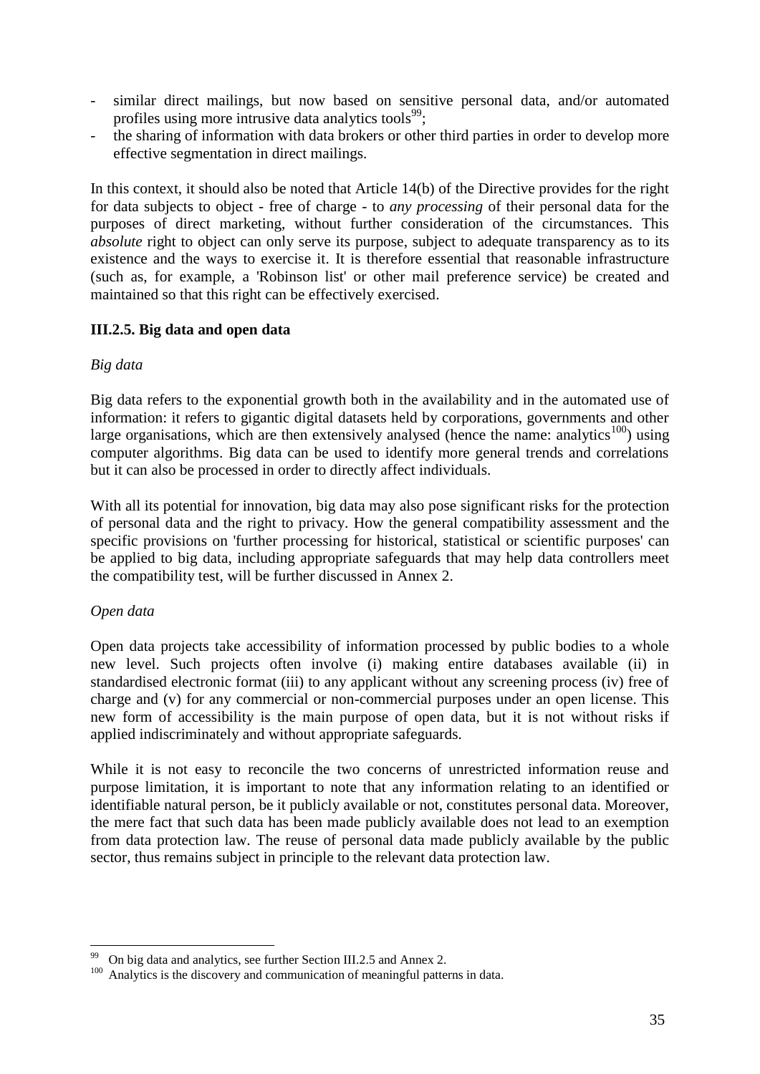- similar direct mailings, but now based on sensitive personal data, and/or automated profiles using more intrusive data analytics tools<sup>99</sup>;
- the sharing of information with data brokers or other third parties in order to develop more effective segmentation in direct mailings.

In this context, it should also be noted that Article 14(b) of the Directive provides for the right for data subjects to object - free of charge - to *any processing* of their personal data for the purposes of direct marketing, without further consideration of the circumstances. This *absolute* right to object can only serve its purpose, subject to adequate transparency as to its existence and the ways to exercise it. It is therefore essential that reasonable infrastructure (such as, for example, a 'Robinson list' or other mail preference service) be created and maintained so that this right can be effectively exercised.

#### **III.2.5. Big data and open data**

#### *Big data*

Big data refers to the exponential growth both in the availability and in the automated use of information: it refers to gigantic digital datasets held by corporations, governments and other large organisations, which are then extensively analysed (hence the name: analytics<sup>100</sup>) using computer algorithms. Big data can be used to identify more general trends and correlations but it can also be processed in order to directly affect individuals.

With all its potential for innovation, big data may also pose significant risks for the protection of personal data and the right to privacy. How the general compatibility assessment and the specific provisions on 'further processing for historical, statistical or scientific purposes' can be applied to big data, including appropriate safeguards that may help data controllers meet the compatibility test, will be further discussed in Annex 2.

## *Open data*

 $\overline{a}$ 

Open data projects take accessibility of information processed by public bodies to a whole new level. Such projects often involve (i) making entire databases available (ii) in standardised electronic format (iii) to any applicant without any screening process (iv) free of charge and (v) for any commercial or non-commercial purposes under an open license. This new form of accessibility is the main purpose of open data, but it is not without risks if applied indiscriminately and without appropriate safeguards.

While it is not easy to reconcile the two concerns of unrestricted information reuse and purpose limitation, it is important to note that any information relating to an identified or identifiable natural person, be it publicly available or not, constitutes personal data. Moreover, the mere fact that such data has been made publicly available does not lead to an exemption from data protection law. The reuse of personal data made publicly available by the public sector, thus remains subject in principle to the relevant data protection law.

 $99$  On big data and analytics, see further Section III.2.5 and Annex 2.

<sup>&</sup>lt;sup>100</sup> Analytics is the discovery and communication of meaningful patterns in data.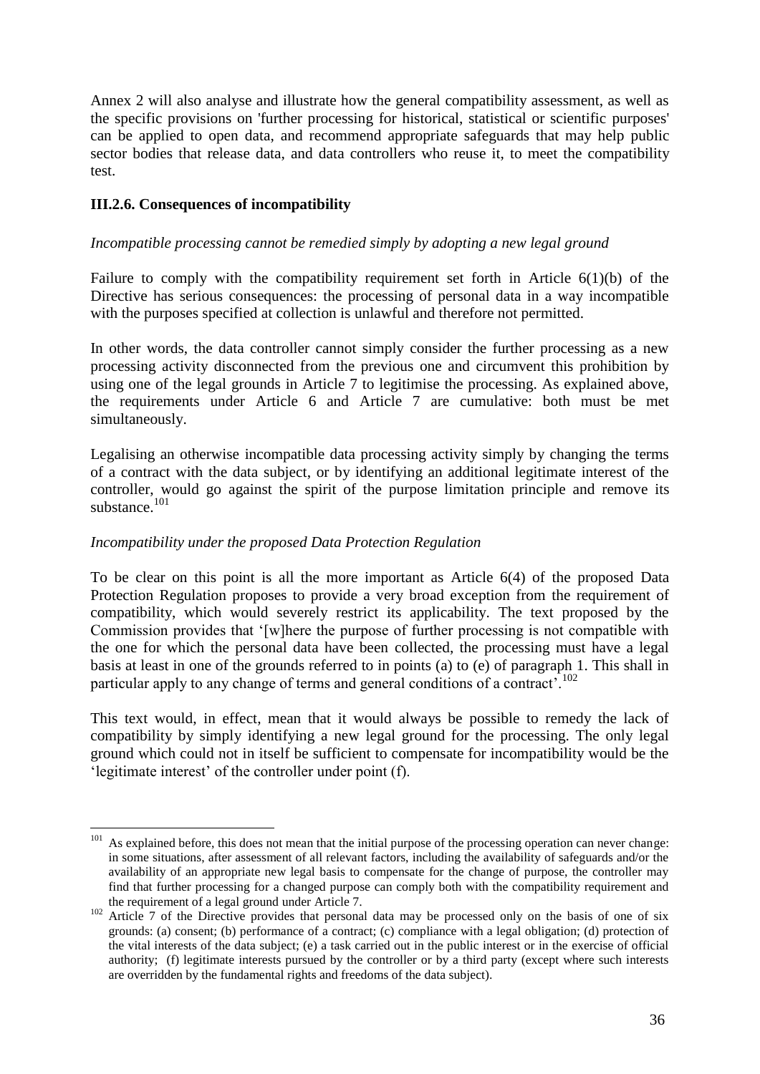Annex 2 will also analyse and illustrate how the general compatibility assessment, as well as the specific provisions on 'further processing for historical, statistical or scientific purposes' can be applied to open data, and recommend appropriate safeguards that may help public sector bodies that release data, and data controllers who reuse it, to meet the compatibility test.

## **III.2.6. Consequences of incompatibility**

### *Incompatible processing cannot be remedied simply by adopting a new legal ground*

Failure to comply with the compatibility requirement set forth in Article  $6(1)(b)$  of the Directive has serious consequences: the processing of personal data in a way incompatible with the purposes specified at collection is unlawful and therefore not permitted.

In other words, the data controller cannot simply consider the further processing as a new processing activity disconnected from the previous one and circumvent this prohibition by using one of the legal grounds in Article 7 to legitimise the processing. As explained above, the requirements under Article 6 and Article 7 are cumulative: both must be met simultaneously.

Legalising an otherwise incompatible data processing activity simply by changing the terms of a contract with the data subject, or by identifying an additional legitimate interest of the controller, would go against the spirit of the purpose limitation principle and remove its substance.<sup>101</sup>

#### *Incompatibility under the proposed Data Protection Regulation*

 $\overline{a}$ 

To be clear on this point is all the more important as Article 6(4) of the proposed Data Protection Regulation proposes to provide a very broad exception from the requirement of compatibility, which would severely restrict its applicability. The text proposed by the Commission provides that '[w]here the purpose of further processing is not compatible with the one for which the personal data have been collected, the processing must have a legal basis at least in one of the grounds referred to in points (a) to (e) of paragraph 1. This shall in particular apply to any change of terms and general conditions of a contract<sup>7</sup>.<sup>102</sup>

This text would, in effect, mean that it would always be possible to remedy the lack of compatibility by simply identifying a new legal ground for the processing. The only legal ground which could not in itself be sufficient to compensate for incompatibility would be the 'legitimate interest' of the controller under point (f).

 $101$  As explained before, this does not mean that the initial purpose of the processing operation can never change: in some situations, after assessment of all relevant factors, including the availability of safeguards and/or the availability of an appropriate new legal basis to compensate for the change of purpose, the controller may find that further processing for a changed purpose can comply both with the compatibility requirement and the requirement of a legal ground under Article 7.

<sup>&</sup>lt;sup>102</sup> Article 7 of the Directive provides that personal data may be processed only on the basis of one of six grounds: (a) consent; (b) performance of a contract; (c) compliance with a legal obligation; (d) protection of the vital interests of the data subject; (e) a task carried out in the public interest or in the exercise of official authority; (f) legitimate interests pursued by the controller or by a third party (except where such interests are overridden by the fundamental rights and freedoms of the data subject).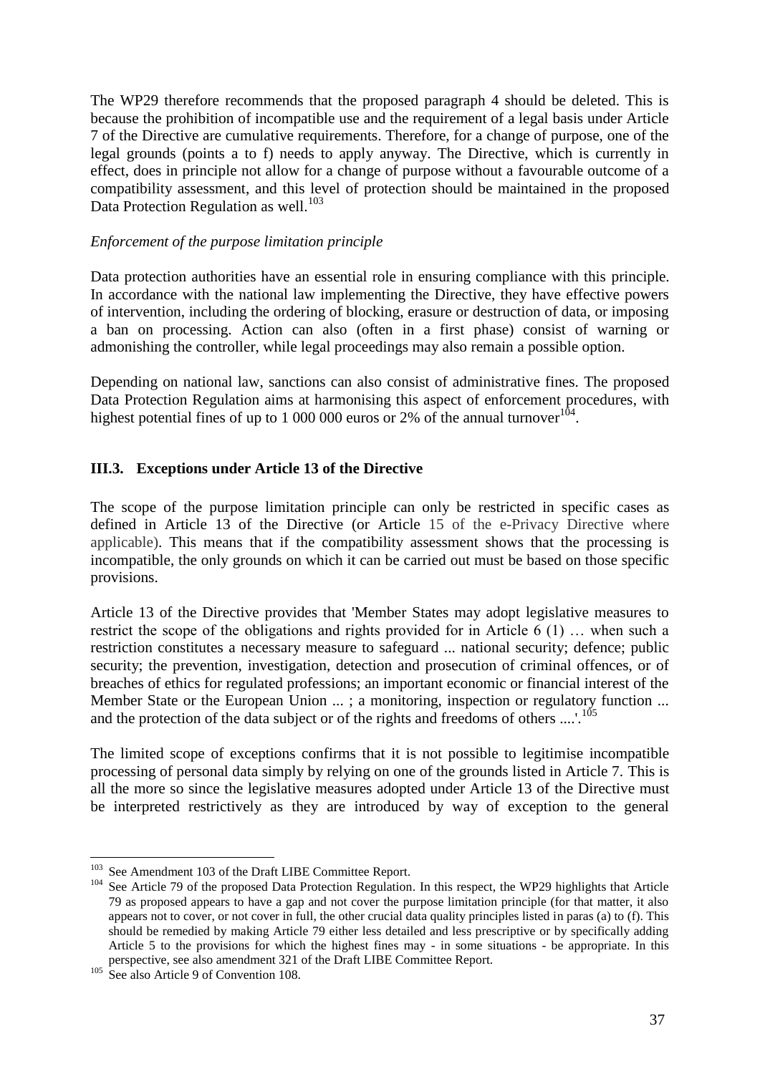The WP29 therefore recommends that the proposed paragraph 4 should be deleted. This is because the prohibition of incompatible use and the requirement of a legal basis under Article 7 of the Directive are cumulative requirements. Therefore, for a change of purpose, one of the legal grounds (points a to f) needs to apply anyway. The Directive, which is currently in effect, does in principle not allow for a change of purpose without a favourable outcome of a compatibility assessment, and this level of protection should be maintained in the proposed Data Protection Regulation as well.<sup>103</sup>

#### *Enforcement of the purpose limitation principle*

Data protection authorities have an essential role in ensuring compliance with this principle. In accordance with the national law implementing the Directive, they have effective powers of intervention, including the ordering of blocking, erasure or destruction of data, or imposing a ban on processing. Action can also (often in a first phase) consist of warning or admonishing the controller, while legal proceedings may also remain a possible option.

Depending on national law, sanctions can also consist of administrative fines. The proposed Data Protection Regulation aims at harmonising this aspect of enforcement procedures, with highest potential fines of up to 1 000 000 euros or 2% of the annual turnover  $104$ .

## **III.3. Exceptions under Article 13 of the Directive**

The scope of the purpose limitation principle can only be restricted in specific cases as defined in Article 13 of the Directive (or Article 15 of the e-Privacy Directive where applicable). This means that if the compatibility assessment shows that the processing is incompatible, the only grounds on which it can be carried out must be based on those specific provisions.

Article 13 of the Directive provides that 'Member States may adopt legislative measures to restrict the scope of the obligations and rights provided for in Article 6 (1) … when such a restriction constitutes a necessary measure to safeguard ... national security; defence; public security; the prevention, investigation, detection and prosecution of criminal offences, or of breaches of ethics for regulated professions; an important economic or financial interest of the Member State or the European Union ...; a monitoring, inspection or regulatory function ... and the protection of the data subject or of the rights and freedoms of others ....'.<sup>105</sup>

The limited scope of exceptions confirms that it is not possible to legitimise incompatible processing of personal data simply by relying on one of the grounds listed in Article 7. This is all the more so since the legislative measures adopted under Article 13 of the Directive must be interpreted restrictively as they are introduced by way of exception to the general

 $\overline{a}$ <sup>103</sup> See Amendment 103 of the Draft LIBE Committee Report.

<sup>&</sup>lt;sup>104</sup> See Article 79 of the proposed Data Protection Regulation. In this respect, the WP29 highlights that Article 79 as proposed appears to have a gap and not cover the purpose limitation principle (for that matter, it also appears not to cover, or not cover in full, the other crucial data quality principles listed in paras (a) to (f). This should be remedied by making Article 79 either less detailed and less prescriptive or by specifically adding Article 5 to the provisions for which the highest fines may - in some situations - be appropriate. In this perspective, see also amendment 321 of the Draft LIBE Committee Report.

 $105$  See also Article 9 of Convention 108.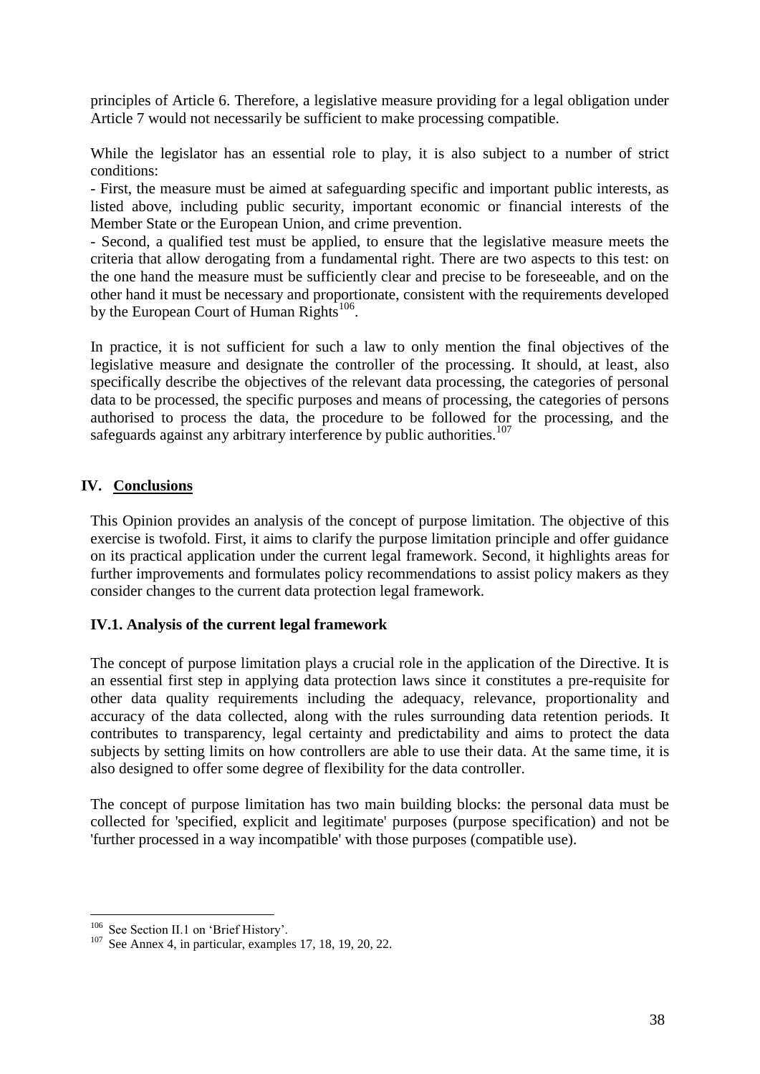principles of Article 6. Therefore, a legislative measure providing for a legal obligation under Article 7 would not necessarily be sufficient to make processing compatible.

While the legislator has an essential role to play, it is also subject to a number of strict conditions:

- First, the measure must be aimed at safeguarding specific and important public interests, as listed above, including public security, important economic or financial interests of the Member State or the European Union, and crime prevention.

- Second, a qualified test must be applied, to ensure that the legislative measure meets the criteria that allow derogating from a fundamental right. There are two aspects to this test: on the one hand the measure must be sufficiently clear and precise to be foreseeable, and on the other hand it must be necessary and proportionate, consistent with the requirements developed by the European Court of Human Rights<sup>106</sup>.

In practice, it is not sufficient for such a law to only mention the final objectives of the legislative measure and designate the controller of the processing. It should, at least, also specifically describe the objectives of the relevant data processing, the categories of personal data to be processed, the specific purposes and means of processing, the categories of persons authorised to process the data, the procedure to be followed for the processing, and the safeguards against any arbitrary interference by public authorities. $107$ 

## **IV. Conclusions**

This Opinion provides an analysis of the concept of purpose limitation. The objective of this exercise is twofold. First, it aims to clarify the purpose limitation principle and offer guidance on its practical application under the current legal framework. Second, it highlights areas for further improvements and formulates policy recommendations to assist policy makers as they consider changes to the current data protection legal framework.

## **IV.1. Analysis of the current legal framework**

The concept of purpose limitation plays a crucial role in the application of the Directive. It is an essential first step in applying data protection laws since it constitutes a pre-requisite for other data quality requirements including the adequacy, relevance, proportionality and accuracy of the data collected, along with the rules surrounding data retention periods. It contributes to transparency, legal certainty and predictability and aims to protect the data subjects by setting limits on how controllers are able to use their data. At the same time, it is also designed to offer some degree of flexibility for the data controller.

The concept of purpose limitation has two main building blocks: the personal data must be collected for 'specified, explicit and legitimate' purposes (purpose specification) and not be 'further processed in a way incompatible' with those purposes (compatible use).

<sup>&</sup>lt;sup>106</sup> See Section II.1 on 'Brief History'.

<sup>107</sup> See Annex 4, in particular, examples 17, 18, 19, 20, 22.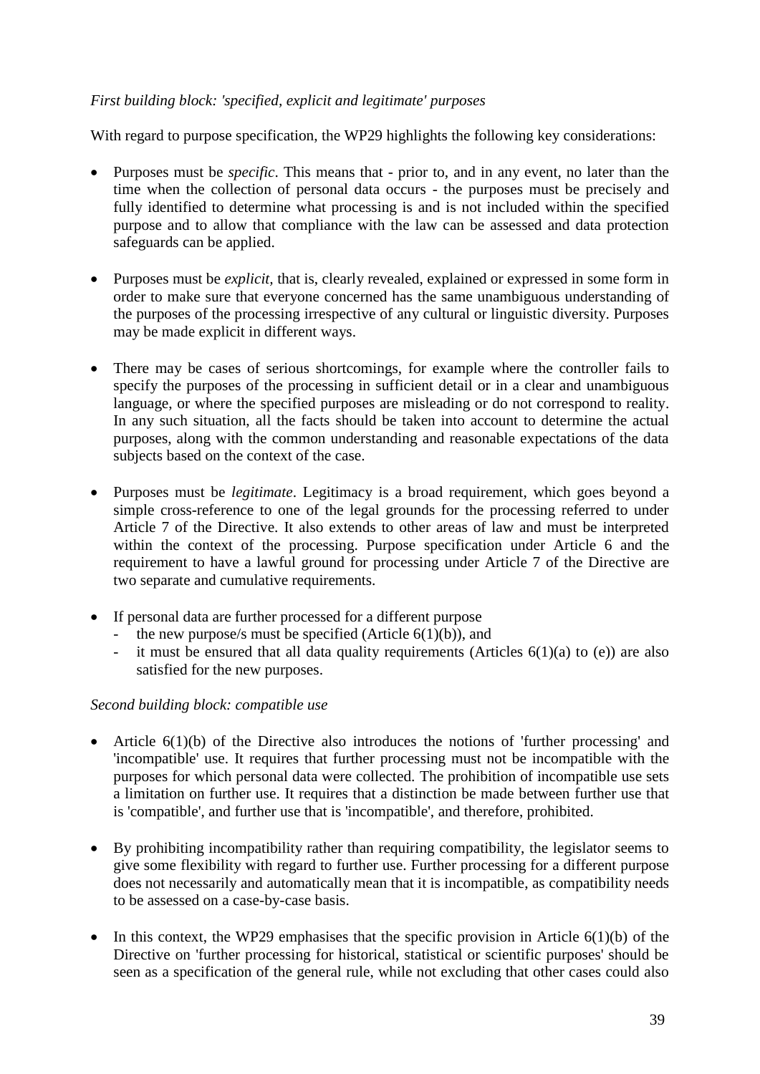## *First building block: 'specified, explicit and legitimate' purposes*

With regard to purpose specification, the WP29 highlights the following key considerations:

- Purposes must be *specific*. This means that prior to, and in any event, no later than the time when the collection of personal data occurs - the purposes must be precisely and fully identified to determine what processing is and is not included within the specified purpose and to allow that compliance with the law can be assessed and data protection safeguards can be applied.
- Purposes must be *explicit,* that is, clearly revealed, explained or expressed in some form in order to make sure that everyone concerned has the same unambiguous understanding of the purposes of the processing irrespective of any cultural or linguistic diversity. Purposes may be made explicit in different ways.
- There may be cases of serious shortcomings, for example where the controller fails to specify the purposes of the processing in sufficient detail or in a clear and unambiguous language, or where the specified purposes are misleading or do not correspond to reality. In any such situation, all the facts should be taken into account to determine the actual purposes, along with the common understanding and reasonable expectations of the data subjects based on the context of the case.
- Purposes must be *legitimate*. Legitimacy is a broad requirement, which goes beyond a simple cross-reference to one of the legal grounds for the processing referred to under Article 7 of the Directive. It also extends to other areas of law and must be interpreted within the context of the processing. Purpose specification under Article 6 and the requirement to have a lawful ground for processing under Article 7 of the Directive are two separate and cumulative requirements.
- If personal data are further processed for a different purpose
	- the new purpose/s must be specified (Article  $6(1)(b)$ ), and
	- it must be ensured that all data quality requirements (Articles  $6(1)(a)$  to (e)) are also satisfied for the new purposes.

## *Second building block: compatible use*

- Article 6(1)(b) of the Directive also introduces the notions of 'further processing' and 'incompatible' use. It requires that further processing must not be incompatible with the purposes for which personal data were collected. The prohibition of incompatible use sets a limitation on further use. It requires that a distinction be made between further use that is 'compatible', and further use that is 'incompatible', and therefore, prohibited.
- By prohibiting incompatibility rather than requiring compatibility, the legislator seems to give some flexibility with regard to further use. Further processing for a different purpose does not necessarily and automatically mean that it is incompatible, as compatibility needs to be assessed on a case-by-case basis.
- In this context, the WP29 emphasises that the specific provision in Article  $6(1)(b)$  of the Directive on 'further processing for historical, statistical or scientific purposes' should be seen as a specification of the general rule, while not excluding that other cases could also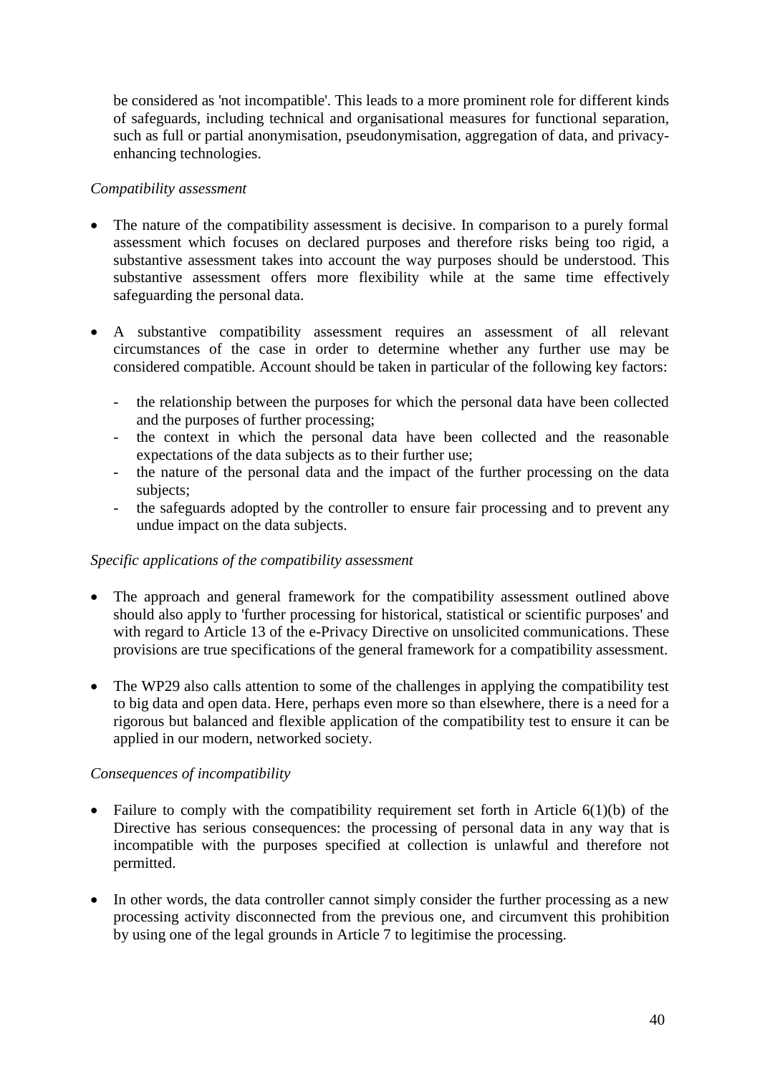be considered as 'not incompatible'. This leads to a more prominent role for different kinds of safeguards, including technical and organisational measures for functional separation, such as full or partial anonymisation, pseudonymisation, aggregation of data, and privacyenhancing technologies.

## *Compatibility assessment*

- The nature of the compatibility assessment is decisive. In comparison to a purely formal assessment which focuses on declared purposes and therefore risks being too rigid, a substantive assessment takes into account the way purposes should be understood. This substantive assessment offers more flexibility while at the same time effectively safeguarding the personal data.
- A substantive compatibility assessment requires an assessment of all relevant circumstances of the case in order to determine whether any further use may be considered compatible. Account should be taken in particular of the following key factors:
	- the relationship between the purposes for which the personal data have been collected and the purposes of further processing;
	- the context in which the personal data have been collected and the reasonable expectations of the data subjects as to their further use;
	- the nature of the personal data and the impact of the further processing on the data subjects;
	- the safeguards adopted by the controller to ensure fair processing and to prevent any undue impact on the data subjects.

## *Specific applications of the compatibility assessment*

- The approach and general framework for the compatibility assessment outlined above should also apply to 'further processing for historical, statistical or scientific purposes' and with regard to Article 13 of the e-Privacy Directive on unsolicited communications. These provisions are true specifications of the general framework for a compatibility assessment.
- The WP29 also calls attention to some of the challenges in applying the compatibility test to big data and open data. Here, perhaps even more so than elsewhere, there is a need for a rigorous but balanced and flexible application of the compatibility test to ensure it can be applied in our modern, networked society.

## *Consequences of incompatibility*

- Failure to comply with the compatibility requirement set forth in Article  $6(1)(b)$  of the Directive has serious consequences: the processing of personal data in any way that is incompatible with the purposes specified at collection is unlawful and therefore not permitted.
- In other words, the data controller cannot simply consider the further processing as a new processing activity disconnected from the previous one, and circumvent this prohibition by using one of the legal grounds in Article 7 to legitimise the processing.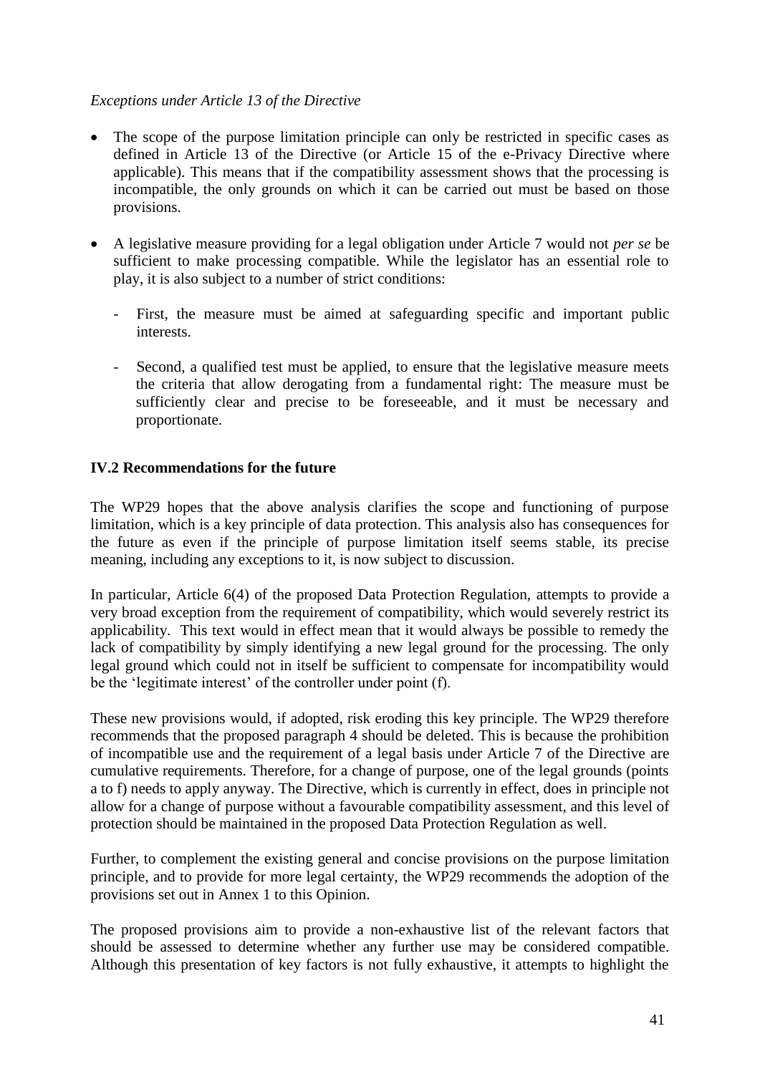#### *Exceptions under Article 13 of the Directive*

- The scope of the purpose limitation principle can only be restricted in specific cases as defined in Article 13 of the Directive (or Article 15 of the e-Privacy Directive where applicable). This means that if the compatibility assessment shows that the processing is incompatible, the only grounds on which it can be carried out must be based on those provisions.
- A legislative measure providing for a legal obligation under Article 7 would not *per se* be sufficient to make processing compatible. While the legislator has an essential role to play, it is also subject to a number of strict conditions:
	- First, the measure must be aimed at safeguarding specific and important public interests.
	- Second, a qualified test must be applied, to ensure that the legislative measure meets the criteria that allow derogating from a fundamental right: The measure must be sufficiently clear and precise to be foreseeable, and it must be necessary and proportionate.

## **IV.2 Recommendations for the future**

The WP29 hopes that the above analysis clarifies the scope and functioning of purpose limitation, which is a key principle of data protection. This analysis also has consequences for the future as even if the principle of purpose limitation itself seems stable, its precise meaning, including any exceptions to it, is now subject to discussion.

In particular, Article 6(4) of the proposed Data Protection Regulation, attempts to provide a very broad exception from the requirement of compatibility, which would severely restrict its applicability. This text would in effect mean that it would always be possible to remedy the lack of compatibility by simply identifying a new legal ground for the processing. The only legal ground which could not in itself be sufficient to compensate for incompatibility would be the 'legitimate interest' of the controller under point (f).

These new provisions would, if adopted, risk eroding this key principle. The WP29 therefore recommends that the proposed paragraph 4 should be deleted. This is because the prohibition of incompatible use and the requirement of a legal basis under Article 7 of the Directive are cumulative requirements. Therefore, for a change of purpose, one of the legal grounds (points a to f) needs to apply anyway. The Directive, which is currently in effect, does in principle not allow for a change of purpose without a favourable compatibility assessment, and this level of protection should be maintained in the proposed Data Protection Regulation as well.

Further, to complement the existing general and concise provisions on the purpose limitation principle, and to provide for more legal certainty, the WP29 recommends the adoption of the provisions set out in Annex 1 to this Opinion.

The proposed provisions aim to provide a non-exhaustive list of the relevant factors that should be assessed to determine whether any further use may be considered compatible. Although this presentation of key factors is not fully exhaustive, it attempts to highlight the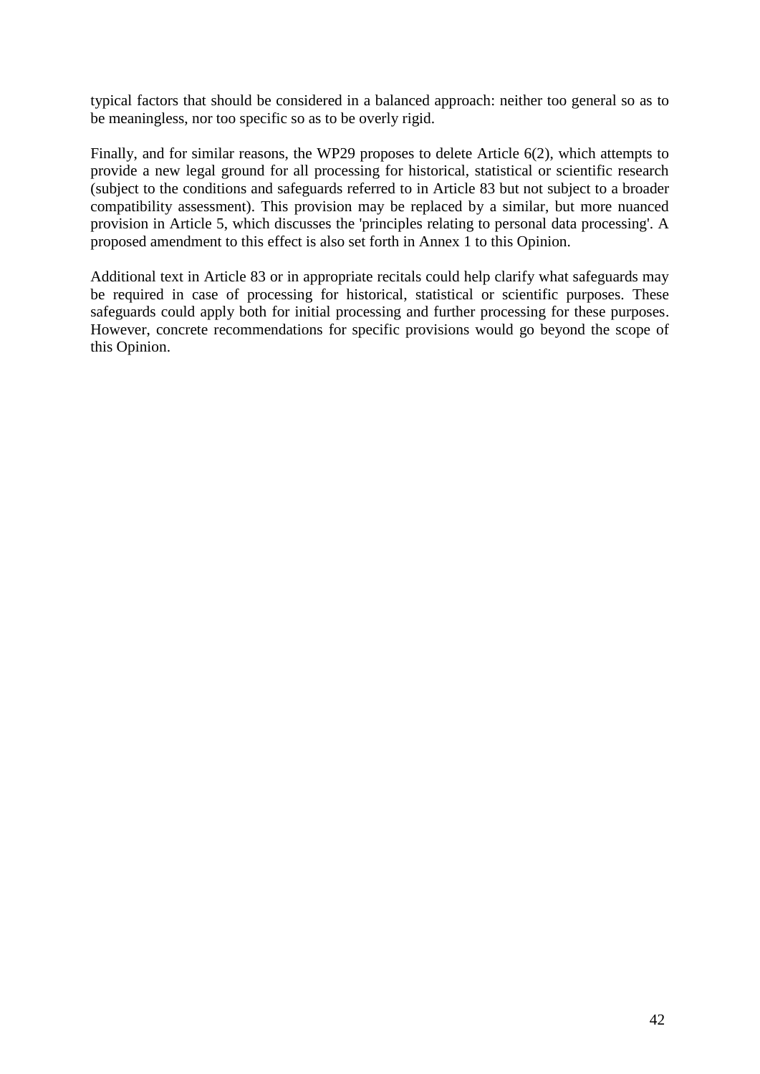typical factors that should be considered in a balanced approach: neither too general so as to be meaningless, nor too specific so as to be overly rigid.

Finally, and for similar reasons, the WP29 proposes to delete Article 6(2), which attempts to provide a new legal ground for all processing for historical, statistical or scientific research (subject to the conditions and safeguards referred to in Article 83 but not subject to a broader compatibility assessment). This provision may be replaced by a similar, but more nuanced provision in Article 5, which discusses the 'principles relating to personal data processing'. A proposed amendment to this effect is also set forth in Annex 1 to this Opinion.

Additional text in Article 83 or in appropriate recitals could help clarify what safeguards may be required in case of processing for historical, statistical or scientific purposes. These safeguards could apply both for initial processing and further processing for these purposes. However, concrete recommendations for specific provisions would go beyond the scope of this Opinion.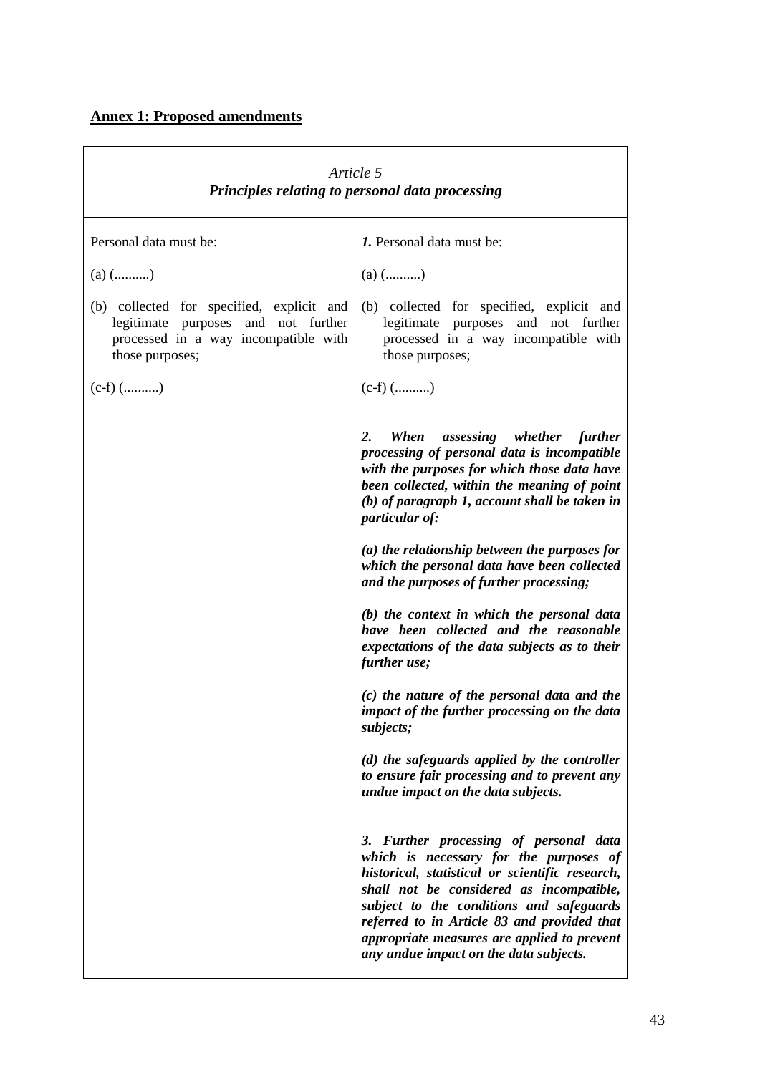## **Annex 1: Proposed amendments**

| Article 5<br>Principles relating to personal data processing                                                                                |                                                                                                                                                                                                                                                                                                                                                                     |  |
|---------------------------------------------------------------------------------------------------------------------------------------------|---------------------------------------------------------------------------------------------------------------------------------------------------------------------------------------------------------------------------------------------------------------------------------------------------------------------------------------------------------------------|--|
| Personal data must be:                                                                                                                      | <i>I</i> . Personal data must be:                                                                                                                                                                                                                                                                                                                                   |  |
| $(a)$ ()                                                                                                                                    | $(a)$ ()                                                                                                                                                                                                                                                                                                                                                            |  |
| (b) collected for specified, explicit and<br>legitimate purposes and not further<br>processed in a way incompatible with<br>those purposes; | (b) collected for specified, explicit and<br>legitimate purposes and not further<br>processed in a way incompatible with<br>those purposes;                                                                                                                                                                                                                         |  |
| $(c-f)$ ()                                                                                                                                  | $(c-f)$ ()                                                                                                                                                                                                                                                                                                                                                          |  |
|                                                                                                                                             | 2.<br>When<br>assessing whether further<br>processing of personal data is incompatible<br>with the purposes for which those data have<br>been collected, within the meaning of point<br>$(b)$ of paragraph 1, account shall be taken in<br><i>particular of:</i>                                                                                                    |  |
|                                                                                                                                             | $(a)$ the relationship between the purposes for<br>which the personal data have been collected<br>and the purposes of further processing;                                                                                                                                                                                                                           |  |
|                                                                                                                                             | (b) the context in which the personal data<br>have been collected and the reasonable<br>expectations of the data subjects as to their<br>further use;                                                                                                                                                                                                               |  |
|                                                                                                                                             | $(c)$ the nature of the personal data and the<br>impact of the further processing on the data<br>subjects;                                                                                                                                                                                                                                                          |  |
|                                                                                                                                             | (d) the safeguards applied by the controller<br>to ensure fair processing and to prevent any<br>undue impact on the data subjects.                                                                                                                                                                                                                                  |  |
|                                                                                                                                             | 3. Further processing of personal data<br>which is necessary for the purposes of<br>historical, statistical or scientific research,<br>shall not be considered as incompatible,<br>subject to the conditions and safeguards<br>referred to in Article 83 and provided that<br>appropriate measures are applied to prevent<br>any undue impact on the data subjects. |  |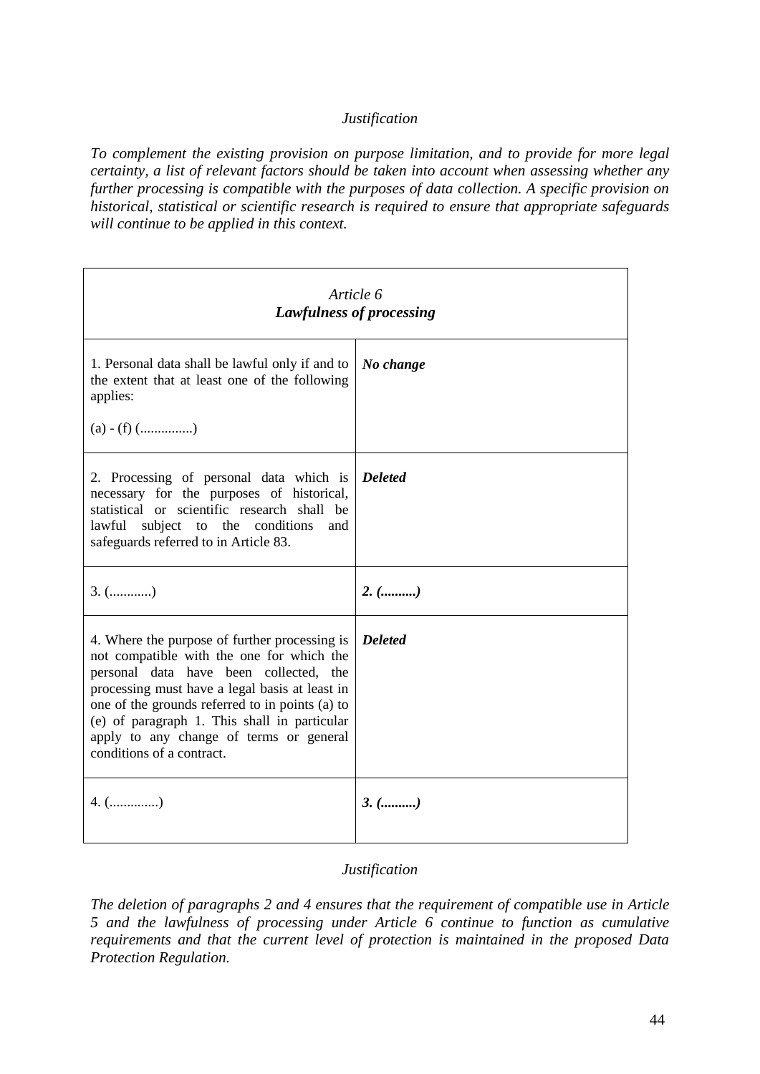### *Justification*

*To complement the existing provision on purpose limitation, and to provide for more legal certainty, a list of relevant factors should be taken into account when assessing whether any further processing is compatible with the purposes of data collection. A specific provision on historical, statistical or scientific research is required to ensure that appropriate safeguards will continue to be applied in this context.* 

| Article 6<br>Lawfulness of processing                                                                                                                                                                                                                                                                                                                             |                |
|-------------------------------------------------------------------------------------------------------------------------------------------------------------------------------------------------------------------------------------------------------------------------------------------------------------------------------------------------------------------|----------------|
| 1. Personal data shall be lawful only if and to<br>the extent that at least one of the following<br>applies:                                                                                                                                                                                                                                                      | No change      |
| 2. Processing of personal data which is<br>necessary for the purposes of historical,<br>statistical or scientific research shall be<br>lawful subject to the conditions<br>and<br>safeguards referred to in Article 83.                                                                                                                                           | <b>Deleted</b> |
| 3. ( )                                                                                                                                                                                                                                                                                                                                                            | 2. ()          |
| 4. Where the purpose of further processing is<br>not compatible with the one for which the<br>personal data have been collected, the<br>processing must have a legal basis at least in<br>one of the grounds referred to in points (a) to<br>(e) of paragraph 1. This shall in particular<br>apply to any change of terms or general<br>conditions of a contract. | <b>Deleted</b> |
|                                                                                                                                                                                                                                                                                                                                                                   | 3. ( )         |

#### *Justification*

*The deletion of paragraphs 2 and 4 ensures that the requirement of compatible use in Article 5 and the lawfulness of processing under Article 6 continue to function as cumulative requirements and that the current level of protection is maintained in the proposed Data Protection Regulation.*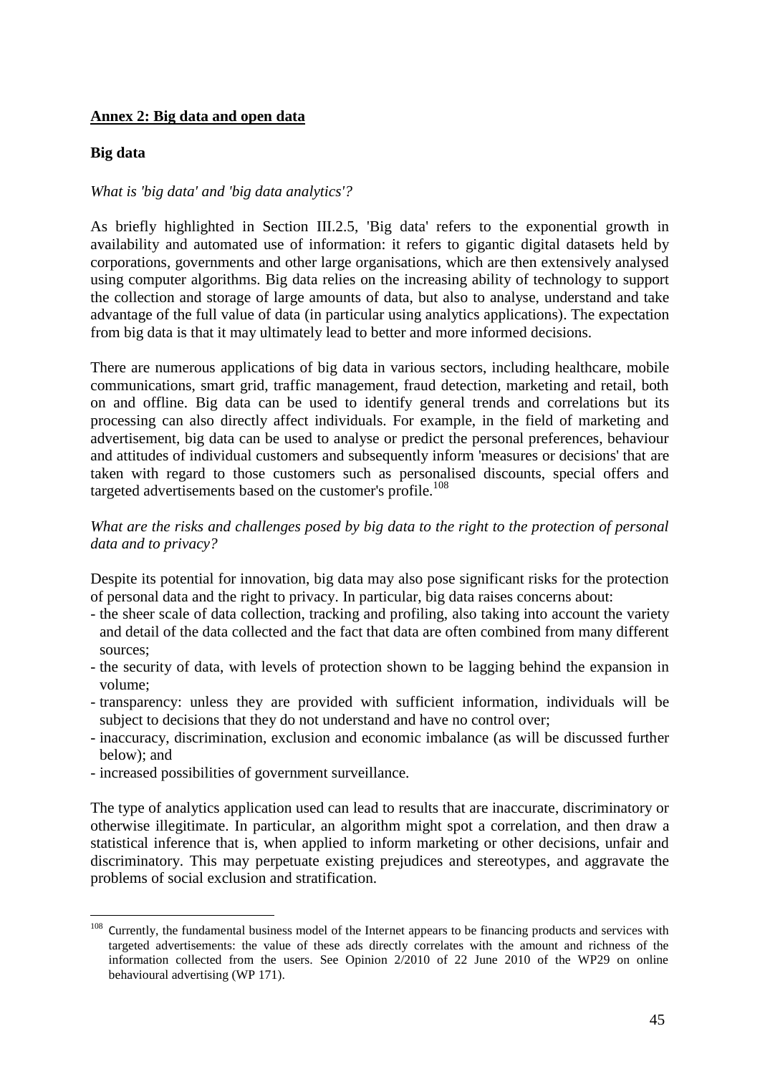## **Annex 2: Big data and open data**

#### **Big data**

 $\overline{a}$ 

#### *What is 'big data' and 'big data analytics'?*

As briefly highlighted in Section III.2.5, 'Big data' refers to the exponential growth in availability and automated use of information: it refers to gigantic digital datasets held by corporations, governments and other large organisations, which are then extensively analysed using computer algorithms. Big data relies on the increasing ability of technology to support the collection and storage of large amounts of data, but also to analyse, understand and take advantage of the full value of data (in particular using analytics applications). The expectation from big data is that it may ultimately lead to better and more informed decisions.

There are numerous applications of big data in various sectors, including healthcare, mobile communications, smart grid, traffic management, fraud detection, marketing and retail, both on and offline. Big data can be used to identify general trends and correlations but its processing can also directly affect individuals. For example, in the field of marketing and advertisement, big data can be used to analyse or predict the personal preferences, behaviour and attitudes of individual customers and subsequently inform 'measures or decisions' that are taken with regard to those customers such as personalised discounts, special offers and targeted advertisements based on the customer's profile.<sup>108</sup>

*What are the risks and challenges posed by big data to the right to the protection of personal data and to privacy?*

Despite its potential for innovation, big data may also pose significant risks for the protection of personal data and the right to privacy. In particular, big data raises concerns about:

- the sheer scale of data collection, tracking and profiling, also taking into account the variety and detail of the data collected and the fact that data are often combined from many different sources;
- the security of data, with levels of protection shown to be lagging behind the expansion in volume;
- transparency: unless they are provided with sufficient information, individuals will be subject to decisions that they do not understand and have no control over;
- inaccuracy, discrimination, exclusion and economic imbalance (as will be discussed further below); and
- increased possibilities of government surveillance.

The type of analytics application used can lead to results that are inaccurate, discriminatory or otherwise illegitimate. In particular, an algorithm might spot a correlation, and then draw a statistical inference that is, when applied to inform marketing or other decisions, unfair and discriminatory. This may perpetuate existing prejudices and stereotypes, and aggravate the problems of social exclusion and stratification.

<sup>&</sup>lt;sup>108</sup> Currently, the fundamental business model of the Internet appears to be financing products and services with targeted advertisements: the value of these ads directly correlates with the amount and richness of the information collected from the users. See Opinion 2/2010 of 22 June 2010 of the WP29 on online behavioural advertising (WP 171).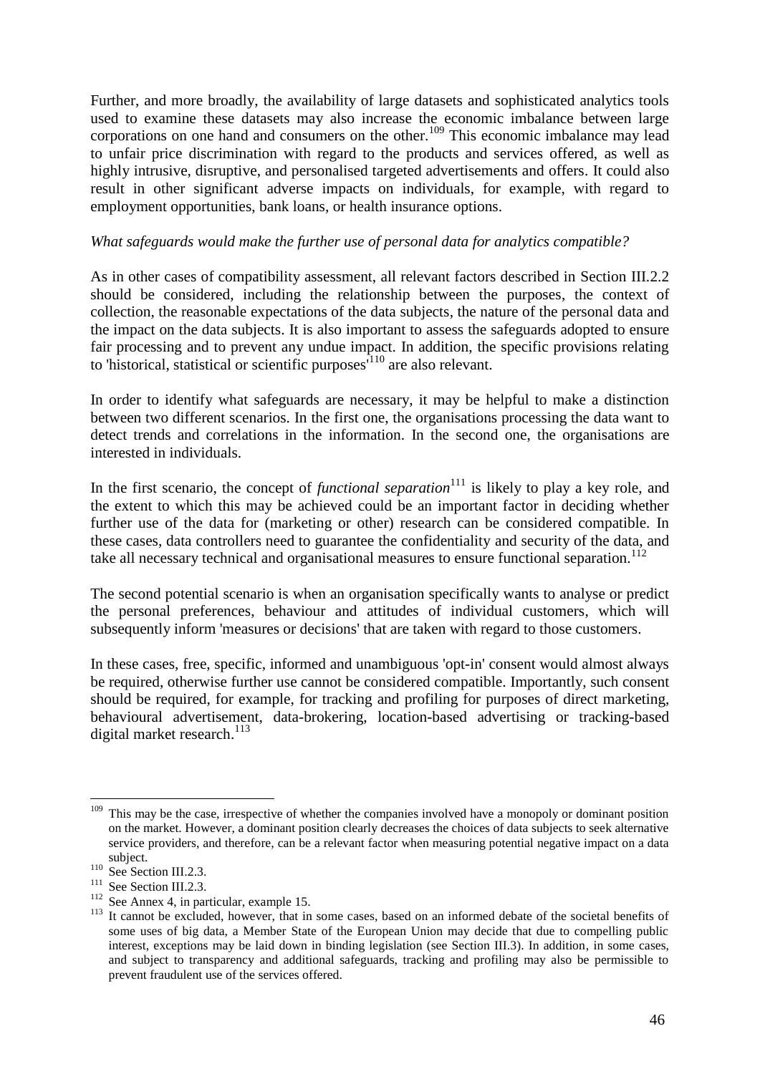Further, and more broadly, the availability of large datasets and sophisticated analytics tools used to examine these datasets may also increase the economic imbalance between large corporations on one hand and consumers on the other.<sup>109</sup> This economic imbalance may lead to unfair price discrimination with regard to the products and services offered, as well as highly intrusive, disruptive, and personalised targeted advertisements and offers. It could also result in other significant adverse impacts on individuals, for example, with regard to employment opportunities, bank loans, or health insurance options.

#### *What safeguards would make the further use of personal data for analytics compatible?*

As in other cases of compatibility assessment, all relevant factors described in Section III.2.2 should be considered, including the relationship between the purposes, the context of collection, the reasonable expectations of the data subjects, the nature of the personal data and the impact on the data subjects. It is also important to assess the safeguards adopted to ensure fair processing and to prevent any undue impact. In addition, the specific provisions relating to 'historical, statistical or scientific purposes'<sup>110</sup> are also relevant.

In order to identify what safeguards are necessary, it may be helpful to make a distinction between two different scenarios. In the first one, the organisations processing the data want to detect trends and correlations in the information. In the second one, the organisations are interested in individuals.

In the first scenario, the concept of *functional separation*<sup>111</sup> is likely to play a key role, and the extent to which this may be achieved could be an important factor in deciding whether further use of the data for (marketing or other) research can be considered compatible. In these cases, data controllers need to guarantee the confidentiality and security of the data, and take all necessary technical and organisational measures to ensure functional separation.<sup>112</sup>

The second potential scenario is when an organisation specifically wants to analyse or predict the personal preferences, behaviour and attitudes of individual customers, which will subsequently inform 'measures or decisions' that are taken with regard to those customers.

In these cases, free, specific, informed and unambiguous 'opt-in' consent would almost always be required, otherwise further use cannot be considered compatible. Importantly, such consent should be required, for example, for tracking and profiling for purposes of direct marketing, behavioural advertisement, data-brokering, location-based advertising or tracking-based digital market research. 113

<sup>&</sup>lt;sup>109</sup> This may be the case, irrespective of whether the companies involved have a monopoly or dominant position on the market. However, a dominant position clearly decreases the choices of data subjects to seek alternative service providers, and therefore, can be a relevant factor when measuring potential negative impact on a data subject.

 $110$  See Section III.2.3.

<sup>&</sup>lt;sup>111</sup> See Section III.2.3.

<sup>112</sup> See Annex 4, in particular, example 15.

<sup>&</sup>lt;sup>113</sup> It cannot be excluded, however, that in some cases, based on an informed debate of the societal benefits of some uses of big data, a Member State of the European Union may decide that due to compelling public interest, exceptions may be laid down in binding legislation (see Section III.3). In addition, in some cases, and subject to transparency and additional safeguards, tracking and profiling may also be permissible to prevent fraudulent use of the services offered.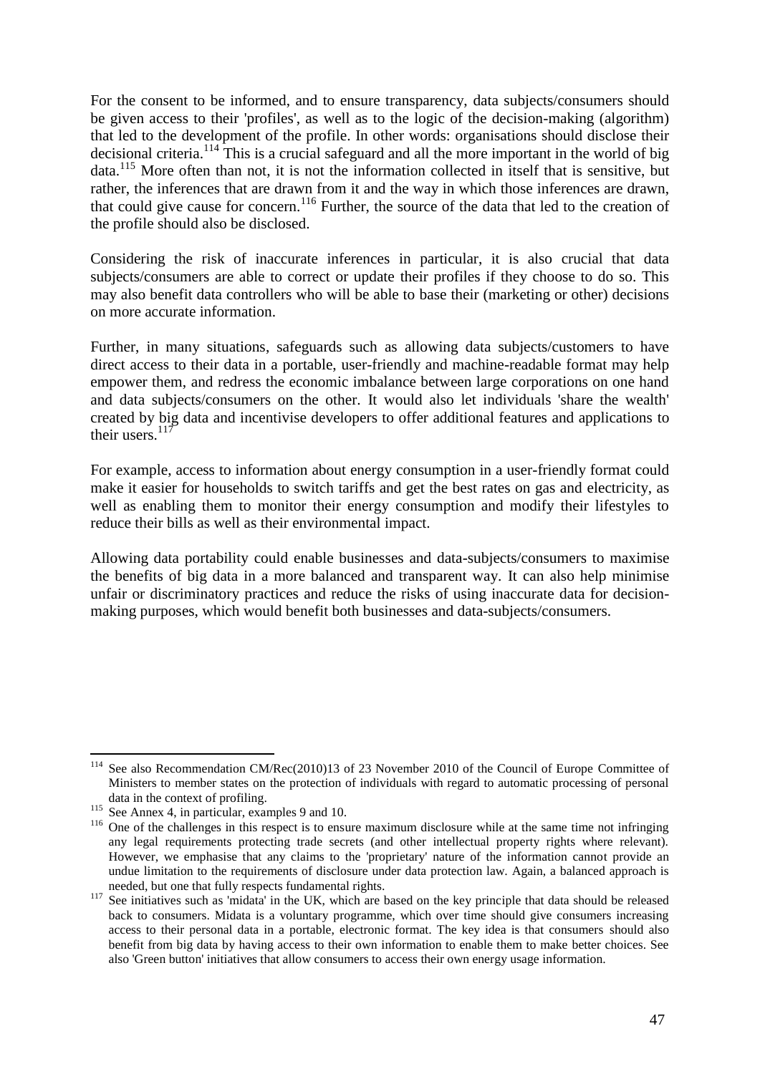For the consent to be informed, and to ensure transparency, data subjects/consumers should be given access to their 'profiles', as well as to the logic of the decision-making (algorithm) that led to the development of the profile. In other words: organisations should disclose their decisional criteria.<sup>114</sup> This is a crucial safeguard and all the more important in the world of big data.<sup>115</sup> More often than not, it is not the information collected in itself that is sensitive, but rather, the inferences that are drawn from it and the way in which those inferences are drawn, that could give cause for concern.<sup>116</sup> Further, the source of the data that led to the creation of the profile should also be disclosed.

Considering the risk of inaccurate inferences in particular, it is also crucial that data subjects/consumers are able to correct or update their profiles if they choose to do so. This may also benefit data controllers who will be able to base their (marketing or other) decisions on more accurate information.

Further, in many situations, safeguards such as allowing data subjects/customers to have direct access to their data in a portable, user-friendly and machine-readable format may help empower them, and redress the economic imbalance between large corporations on one hand and data subjects/consumers on the other. It would also let individuals 'share the wealth' created by big data and incentivise developers to offer additional features and applications to their users. $117$ 

For example, access to information about energy consumption in a user-friendly format could make it easier for households to switch tariffs and get the best rates on gas and electricity, as well as enabling them to monitor their energy consumption and modify their lifestyles to reduce their bills as well as their environmental impact.

Allowing data portability could enable businesses and data-subjects/consumers to maximise the benefits of big data in a more balanced and transparent way. It can also help minimise unfair or discriminatory practices and reduce the risks of using inaccurate data for decisionmaking purposes, which would benefit both businesses and data-subjects/consumers.

<sup>&</sup>lt;sup>114</sup> See also Recommendation CM/Rec(2010)13 of 23 November 2010 of the Council of Europe Committee of Ministers to member states on the protection of individuals with regard to automatic processing of personal data in the context of profiling.

<sup>&</sup>lt;sup>115</sup> See Annex 4, in particular, examples 9 and 10.

<sup>&</sup>lt;sup>116</sup> One of the challenges in this respect is to ensure maximum disclosure while at the same time not infringing any legal requirements protecting trade secrets (and other intellectual property rights where relevant). However, we emphasise that any claims to the 'proprietary' nature of the information cannot provide an undue limitation to the requirements of disclosure under data protection law. Again, a balanced approach is needed, but one that fully respects fundamental rights.

<sup>117</sup> See initiatives such as 'midata' in the UK, which are based on the key principle that data should be released back to consumers. Midata is a voluntary programme, which over time should give consumers increasing access to their personal data in a portable, electronic format. The key idea is that consumers should also benefit from big data by having access to their own information to enable them to make better choices. See also 'Green button' initiatives that allow consumers to access their own energy usage information.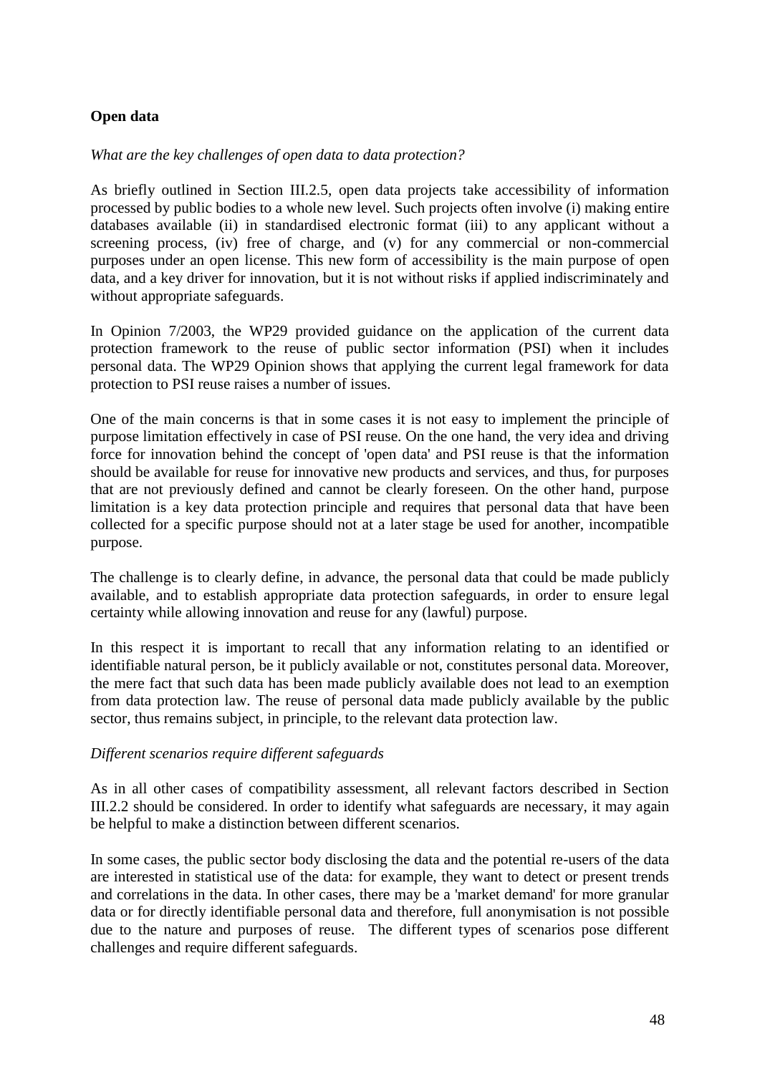## **Open data**

#### *What are the key challenges of open data to data protection?*

As briefly outlined in Section III.2.5, open data projects take accessibility of information processed by public bodies to a whole new level. Such projects often involve (i) making entire databases available (ii) in standardised electronic format (iii) to any applicant without a screening process, (iv) free of charge, and (v) for any commercial or non-commercial purposes under an open license. This new form of accessibility is the main purpose of open data, and a key driver for innovation, but it is not without risks if applied indiscriminately and without appropriate safeguards.

In Opinion 7/2003, the WP29 provided guidance on the application of the current data protection framework to the reuse of public sector information (PSI) when it includes personal data. The WP29 Opinion shows that applying the current legal framework for data protection to PSI reuse raises a number of issues.

One of the main concerns is that in some cases it is not easy to implement the principle of purpose limitation effectively in case of PSI reuse. On the one hand, the very idea and driving force for innovation behind the concept of 'open data' and PSI reuse is that the information should be available for reuse for innovative new products and services, and thus, for purposes that are not previously defined and cannot be clearly foreseen. On the other hand, purpose limitation is a key data protection principle and requires that personal data that have been collected for a specific purpose should not at a later stage be used for another, incompatible purpose.

The challenge is to clearly define, in advance, the personal data that could be made publicly available, and to establish appropriate data protection safeguards, in order to ensure legal certainty while allowing innovation and reuse for any (lawful) purpose.

In this respect it is important to recall that any information relating to an identified or identifiable natural person, be it publicly available or not, constitutes personal data. Moreover, the mere fact that such data has been made publicly available does not lead to an exemption from data protection law. The reuse of personal data made publicly available by the public sector, thus remains subject, in principle, to the relevant data protection law.

#### *Different scenarios require different safeguards*

As in all other cases of compatibility assessment, all relevant factors described in Section III.2.2 should be considered. In order to identify what safeguards are necessary, it may again be helpful to make a distinction between different scenarios.

In some cases, the public sector body disclosing the data and the potential re-users of the data are interested in statistical use of the data: for example, they want to detect or present trends and correlations in the data. In other cases, there may be a 'market demand' for more granular data or for directly identifiable personal data and therefore, full anonymisation is not possible due to the nature and purposes of reuse. The different types of scenarios pose different challenges and require different safeguards.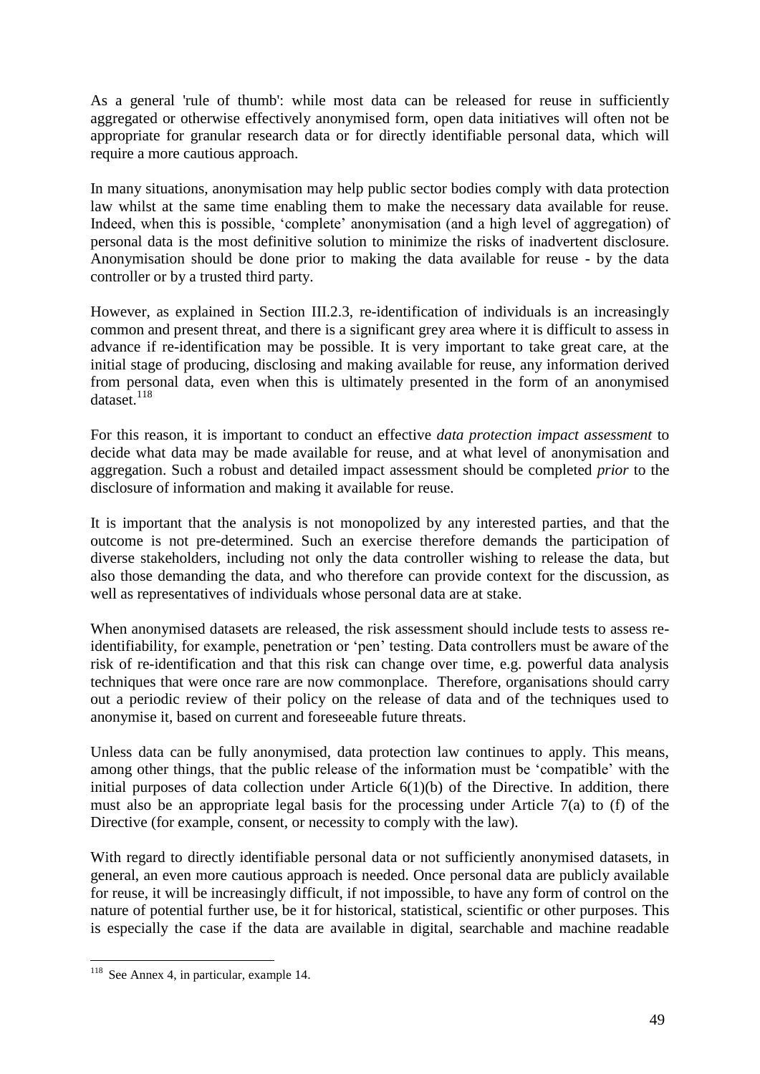As a general 'rule of thumb': while most data can be released for reuse in sufficiently aggregated or otherwise effectively anonymised form, open data initiatives will often not be appropriate for granular research data or for directly identifiable personal data, which will require a more cautious approach.

In many situations, anonymisation may help public sector bodies comply with data protection law whilst at the same time enabling them to make the necessary data available for reuse. Indeed, when this is possible, 'complete' anonymisation (and a high level of aggregation) of personal data is the most definitive solution to minimize the risks of inadvertent disclosure. Anonymisation should be done prior to making the data available for reuse - by the data controller or by a trusted third party.

However, as explained in Section III.2.3, re-identification of individuals is an increasingly common and present threat, and there is a significant grey area where it is difficult to assess in advance if re-identification may be possible. It is very important to take great care, at the initial stage of producing, disclosing and making available for reuse, any information derived from personal data, even when this is ultimately presented in the form of an anonymised dataset.<sup>118</sup>

For this reason, it is important to conduct an effective *data protection impact assessment* to decide what data may be made available for reuse, and at what level of anonymisation and aggregation. Such a robust and detailed impact assessment should be completed *prior* to the disclosure of information and making it available for reuse.

It is important that the analysis is not monopolized by any interested parties, and that the outcome is not pre-determined. Such an exercise therefore demands the participation of diverse stakeholders, including not only the data controller wishing to release the data, but also those demanding the data, and who therefore can provide context for the discussion, as well as representatives of individuals whose personal data are at stake.

When anonymised datasets are released, the risk assessment should include tests to assess reidentifiability, for example, penetration or 'pen' testing. Data controllers must be aware of the risk of re-identification and that this risk can change over time, e.g. powerful data analysis techniques that were once rare are now commonplace. Therefore, organisations should carry out a periodic review of their policy on the release of data and of the techniques used to anonymise it, based on current and foreseeable future threats.

Unless data can be fully anonymised, data protection law continues to apply. This means, among other things, that the public release of the information must be 'compatible' with the initial purposes of data collection under Article  $6(1)(b)$  of the Directive. In addition, there must also be an appropriate legal basis for the processing under Article 7(a) to (f) of the Directive (for example, consent, or necessity to comply with the law).

With regard to directly identifiable personal data or not sufficiently anonymised datasets, in general, an even more cautious approach is needed. Once personal data are publicly available for reuse, it will be increasingly difficult, if not impossible, to have any form of control on the nature of potential further use, be it for historical, statistical, scientific or other purposes. This is especially the case if the data are available in digital, searchable and machine readable

 $118$  See Annex 4, in particular, example 14.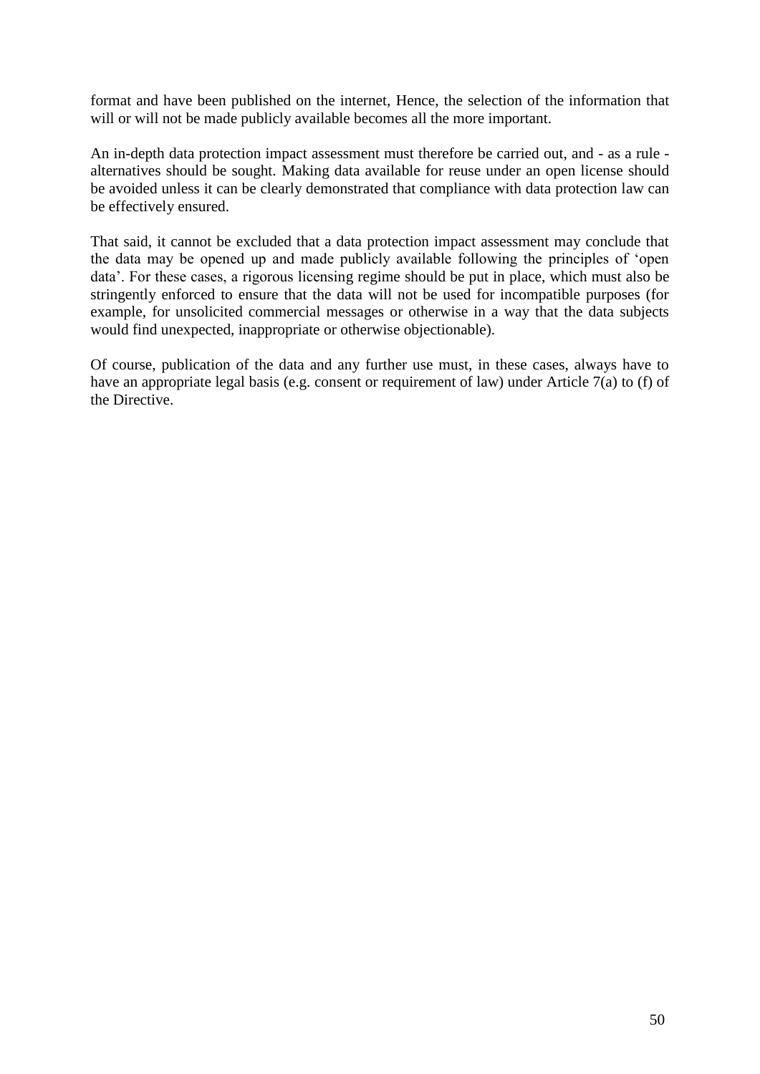format and have been published on the internet, Hence, the selection of the information that will or will not be made publicly available becomes all the more important.

An in-depth data protection impact assessment must therefore be carried out, and - as a rule alternatives should be sought. Making data available for reuse under an open license should be avoided unless it can be clearly demonstrated that compliance with data protection law can be effectively ensured.

That said, it cannot be excluded that a data protection impact assessment may conclude that the data may be opened up and made publicly available following the principles of 'open data'. For these cases, a rigorous licensing regime should be put in place, which must also be stringently enforced to ensure that the data will not be used for incompatible purposes (for example, for unsolicited commercial messages or otherwise in a way that the data subjects would find unexpected, inappropriate or otherwise objectionable).

Of course, publication of the data and any further use must, in these cases, always have to have an appropriate legal basis (e.g. consent or requirement of law) under Article 7(a) to (f) of the Directive.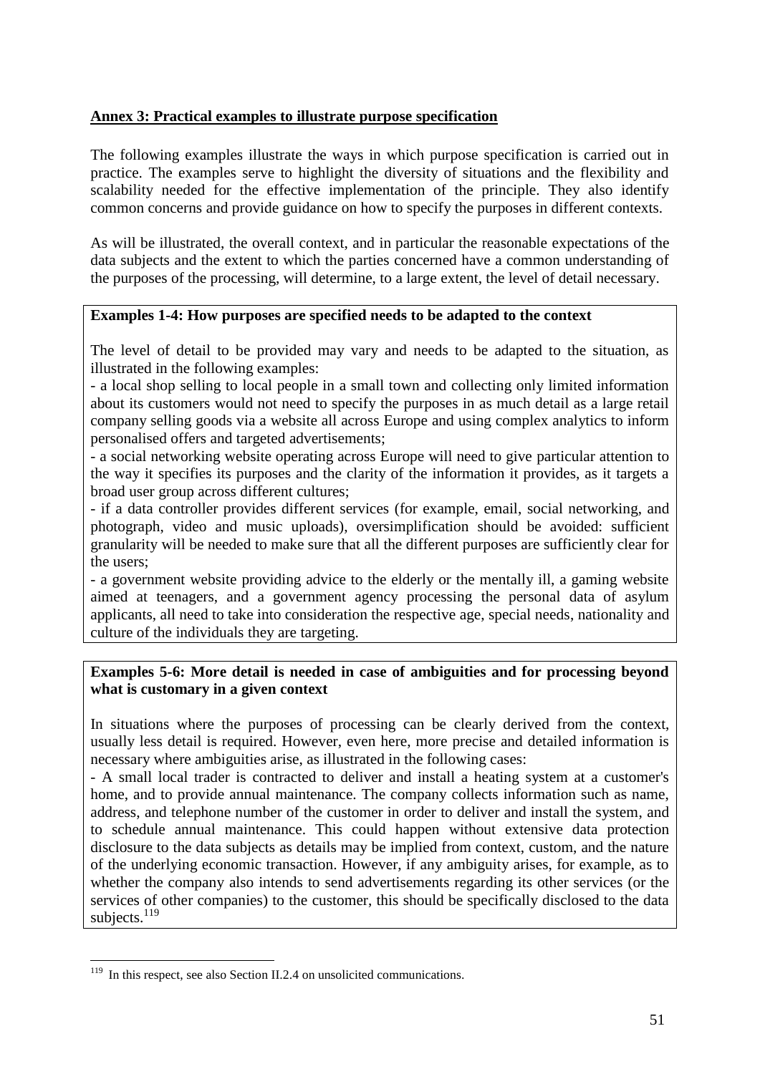## **Annex 3: Practical examples to illustrate purpose specification**

The following examples illustrate the ways in which purpose specification is carried out in practice. The examples serve to highlight the diversity of situations and the flexibility and scalability needed for the effective implementation of the principle. They also identify common concerns and provide guidance on how to specify the purposes in different contexts.

As will be illustrated, the overall context, and in particular the reasonable expectations of the data subjects and the extent to which the parties concerned have a common understanding of the purposes of the processing, will determine, to a large extent, the level of detail necessary.

#### **Examples 1-4: How purposes are specified needs to be adapted to the context**

The level of detail to be provided may vary and needs to be adapted to the situation, as illustrated in the following examples:

- a local shop selling to local people in a small town and collecting only limited information about its customers would not need to specify the purposes in as much detail as a large retail company selling goods via a website all across Europe and using complex analytics to inform personalised offers and targeted advertisements;

- a social networking website operating across Europe will need to give particular attention to the way it specifies its purposes and the clarity of the information it provides, as it targets a broad user group across different cultures;

- if a data controller provides different services (for example, email, social networking, and photograph, video and music uploads), oversimplification should be avoided: sufficient granularity will be needed to make sure that all the different purposes are sufficiently clear for the users;

- a government website providing advice to the elderly or the mentally ill, a gaming website aimed at teenagers, and a government agency processing the personal data of asylum applicants, all need to take into consideration the respective age, special needs, nationality and culture of the individuals they are targeting.

## **Examples 5-6: More detail is needed in case of ambiguities and for processing beyond what is customary in a given context**

In situations where the purposes of processing can be clearly derived from the context, usually less detail is required. However, even here, more precise and detailed information is necessary where ambiguities arise, as illustrated in the following cases:

- A small local trader is contracted to deliver and install a heating system at a customer's home, and to provide annual maintenance. The company collects information such as name, address, and telephone number of the customer in order to deliver and install the system, and to schedule annual maintenance. This could happen without extensive data protection disclosure to the data subjects as details may be implied from context, custom, and the nature of the underlying economic transaction. However, if any ambiguity arises, for example, as to whether the company also intends to send advertisements regarding its other services (or the services of other companies) to the customer, this should be specifically disclosed to the data subjects. $119$ 

 $119$  In this respect, see also Section II.2.4 on unsolicited communications.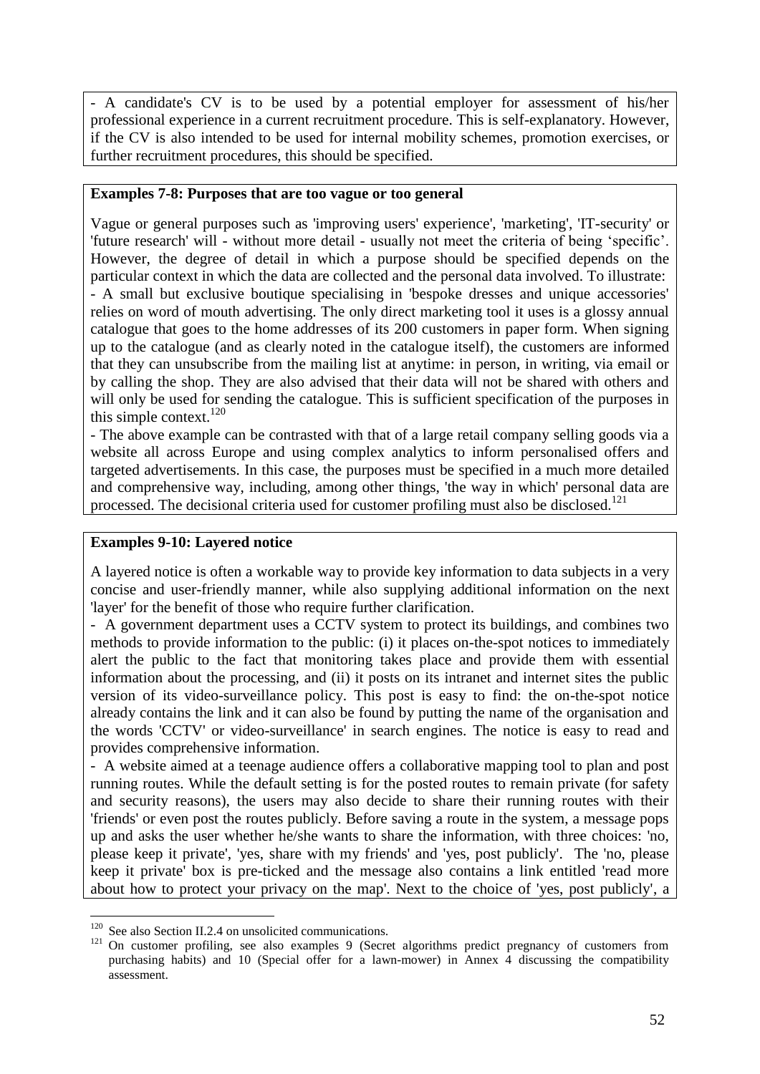- A candidate's CV is to be used by a potential employer for assessment of his/her professional experience in a current recruitment procedure. This is self-explanatory. However, if the CV is also intended to be used for internal mobility schemes, promotion exercises, or further recruitment procedures, this should be specified.

#### **Examples 7-8: Purposes that are too vague or too general**

Vague or general purposes such as 'improving users' experience', 'marketing', 'IT-security' or 'future research' will - without more detail - usually not meet the criteria of being 'specific'. However, the degree of detail in which a purpose should be specified depends on the particular context in which the data are collected and the personal data involved. To illustrate:

- A small but exclusive boutique specialising in 'bespoke dresses and unique accessories' relies on word of mouth advertising. The only direct marketing tool it uses is a glossy annual catalogue that goes to the home addresses of its 200 customers in paper form. When signing up to the catalogue (and as clearly noted in the catalogue itself), the customers are informed that they can unsubscribe from the mailing list at anytime: in person, in writing, via email or by calling the shop. They are also advised that their data will not be shared with others and will only be used for sending the catalogue. This is sufficient specification of the purposes in this simple context.<sup>120</sup>

- The above example can be contrasted with that of a large retail company selling goods via a website all across Europe and using complex analytics to inform personalised offers and targeted advertisements. In this case, the purposes must be specified in a much more detailed and comprehensive way, including, among other things, 'the way in which' personal data are processed. The decisional criteria used for customer profiling must also be disclosed.<sup>121</sup>

#### **Examples 9-10: Layered notice**

A layered notice is often a workable way to provide key information to data subjects in a very concise and user-friendly manner, while also supplying additional information on the next 'layer' for the benefit of those who require further clarification.

- A government department uses a CCTV system to protect its buildings, and combines two methods to provide information to the public: (i) it places on-the-spot notices to immediately alert the public to the fact that monitoring takes place and provide them with essential information about the processing, and (ii) it posts on its intranet and internet sites the public version of its video-surveillance policy. This post is easy to find: the on-the-spot notice already contains the link and it can also be found by putting the name of the organisation and the words 'CCTV' or video-surveillance' in search engines. The notice is easy to read and provides comprehensive information.

- A website aimed at a teenage audience offers a collaborative mapping tool to plan and post running routes. While the default setting is for the posted routes to remain private (for safety and security reasons), the users may also decide to share their running routes with their 'friends' or even post the routes publicly. Before saving a route in the system, a message pops up and asks the user whether he/she wants to share the information, with three choices: 'no, please keep it private', 'yes, share with my friends' and 'yes, post publicly'. The 'no, please keep it private' box is pre-ticked and the message also contains a link entitled 'read more about how to protect your privacy on the map'. Next to the choice of 'yes, post publicly', a

 $120$  See also Section II.2.4 on unsolicited communications.

<sup>&</sup>lt;sup>121</sup> On customer profiling, see also examples 9 (Secret algorithms predict pregnancy of customers from purchasing habits) and 10 (Special offer for a lawn-mower) in Annex 4 discussing the compatibility assessment.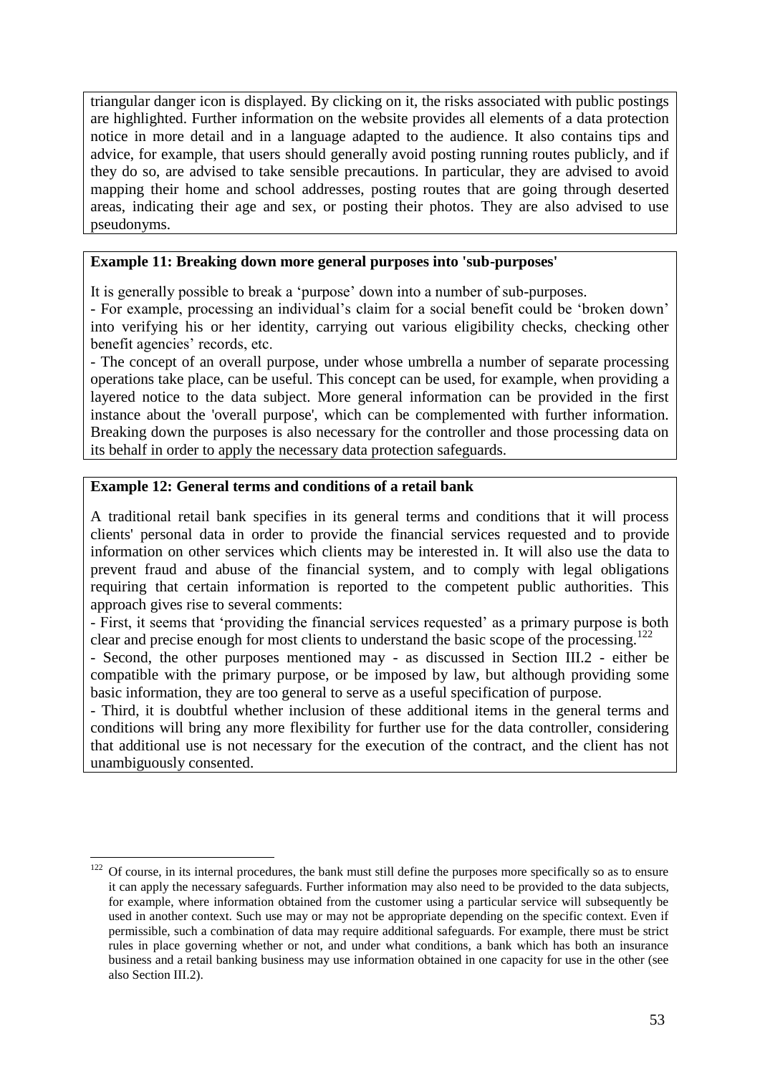triangular danger icon is displayed. By clicking on it, the risks associated with public postings are highlighted. Further information on the website provides all elements of a data protection notice in more detail and in a language adapted to the audience. It also contains tips and advice, for example, that users should generally avoid posting running routes publicly, and if they do so, are advised to take sensible precautions. In particular, they are advised to avoid mapping their home and school addresses, posting routes that are going through deserted areas, indicating their age and sex, or posting their photos. They are also advised to use pseudonyms.

### **Example 11: Breaking down more general purposes into 'sub-purposes'**

It is generally possible to break a 'purpose' down into a number of sub-purposes.

- For example, processing an individual's claim for a social benefit could be 'broken down' into verifying his or her identity, carrying out various eligibility checks, checking other benefit agencies' records, etc.

- The concept of an overall purpose, under whose umbrella a number of separate processing operations take place, can be useful. This concept can be used, for example, when providing a layered notice to the data subject. More general information can be provided in the first instance about the 'overall purpose', which can be complemented with further information. Breaking down the purposes is also necessary for the controller and those processing data on its behalf in order to apply the necessary data protection safeguards.

#### **Example 12: General terms and conditions of a retail bank**

A traditional retail bank specifies in its general terms and conditions that it will process clients' personal data in order to provide the financial services requested and to provide information on other services which clients may be interested in. It will also use the data to prevent fraud and abuse of the financial system, and to comply with legal obligations requiring that certain information is reported to the competent public authorities. This approach gives rise to several comments:

- First, it seems that 'providing the financial services requested' as a primary purpose is both clear and precise enough for most clients to understand the basic scope of the processing.<sup>122</sup>

- Second, the other purposes mentioned may - as discussed in Section III.2 - either be compatible with the primary purpose, or be imposed by law, but although providing some basic information, they are too general to serve as a useful specification of purpose.

- Third, it is doubtful whether inclusion of these additional items in the general terms and conditions will bring any more flexibility for further use for the data controller, considering that additional use is not necessary for the execution of the contract, and the client has not unambiguously consented.

 $\overline{a}$  $122$  Of course, in its internal procedures, the bank must still define the purposes more specifically so as to ensure it can apply the necessary safeguards. Further information may also need to be provided to the data subjects, for example, where information obtained from the customer using a particular service will subsequently be used in another context. Such use may or may not be appropriate depending on the specific context. Even if permissible, such a combination of data may require additional safeguards. For example, there must be strict rules in place governing whether or not, and under what conditions, a bank which has both an insurance business and a retail banking business may use information obtained in one capacity for use in the other (see also Section III.2).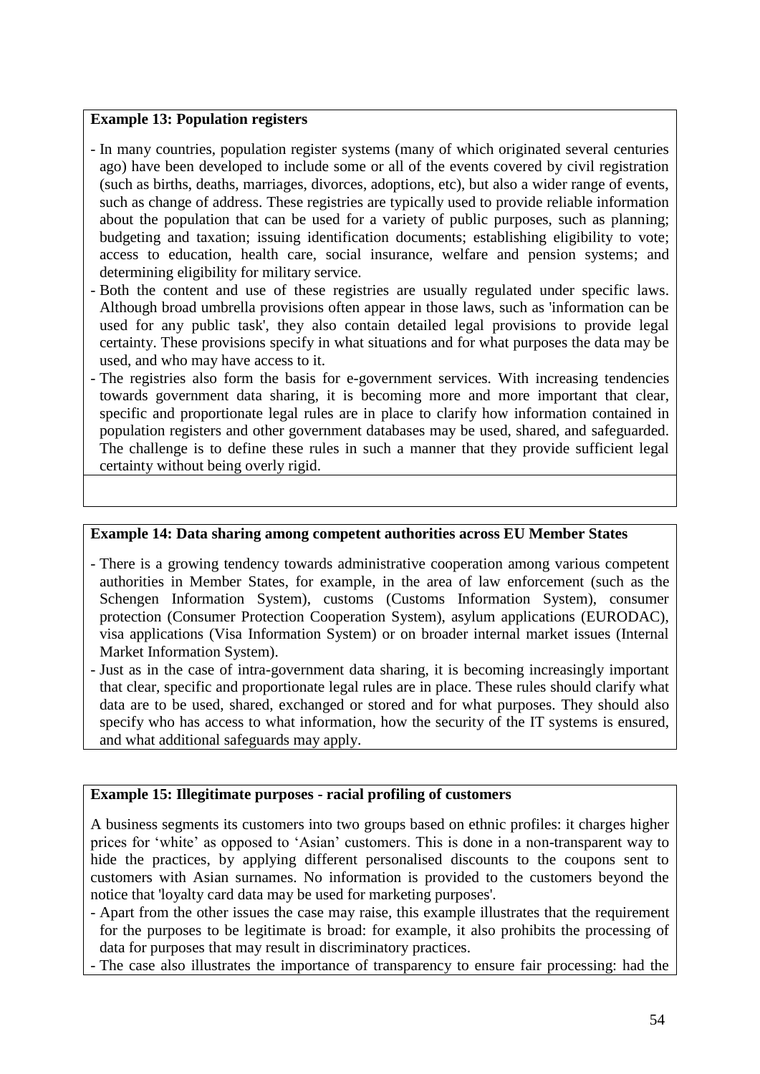### **Example 13: Population registers**

- In many countries, population register systems (many of which originated several centuries ago) have been developed to include some or all of the events covered by civil registration (such as births, deaths, marriages, divorces, adoptions, etc), but also a wider range of events, such as change of address. These registries are typically used to provide reliable information about the population that can be used for a variety of public purposes, such as planning; budgeting and taxation; issuing identification documents; establishing eligibility to vote; access to education, health care, social insurance, welfare and pension systems; and determining eligibility for military service.
- Both the content and use of these registries are usually regulated under specific laws. Although broad umbrella provisions often appear in those laws, such as 'information can be used for any public task', they also contain detailed legal provisions to provide legal certainty. These provisions specify in what situations and for what purposes the data may be used, and who may have access to it.
- The registries also form the basis for e-government services. With increasing tendencies towards government data sharing, it is becoming more and more important that clear, specific and proportionate legal rules are in place to clarify how information contained in population registers and other government databases may be used, shared, and safeguarded. The challenge is to define these rules in such a manner that they provide sufficient legal certainty without being overly rigid.

### **Example 14: Data sharing among competent authorities across EU Member States**

- There is a growing tendency towards administrative cooperation among various competent authorities in Member States, for example, in the area of law enforcement (such as the Schengen Information System), customs (Customs Information System), consumer protection (Consumer Protection Cooperation System), asylum applications (EURODAC), visa applications (Visa Information System) or on broader internal market issues (Internal Market Information System).
- Just as in the case of intra-government data sharing, it is becoming increasingly important that clear, specific and proportionate legal rules are in place. These rules should clarify what data are to be used, shared, exchanged or stored and for what purposes. They should also specify who has access to what information, how the security of the IT systems is ensured, and what additional safeguards may apply.

## **Example 15: Illegitimate purposes - racial profiling of customers**

A business segments its customers into two groups based on ethnic profiles: it charges higher prices for 'white' as opposed to 'Asian' customers. This is done in a non-transparent way to hide the practices, by applying different personalised discounts to the coupons sent to customers with Asian surnames. No information is provided to the customers beyond the notice that 'loyalty card data may be used for marketing purposes'.

- Apart from the other issues the case may raise, this example illustrates that the requirement for the purposes to be legitimate is broad: for example, it also prohibits the processing of data for purposes that may result in discriminatory practices.
- The case also illustrates the importance of transparency to ensure fair processing: had the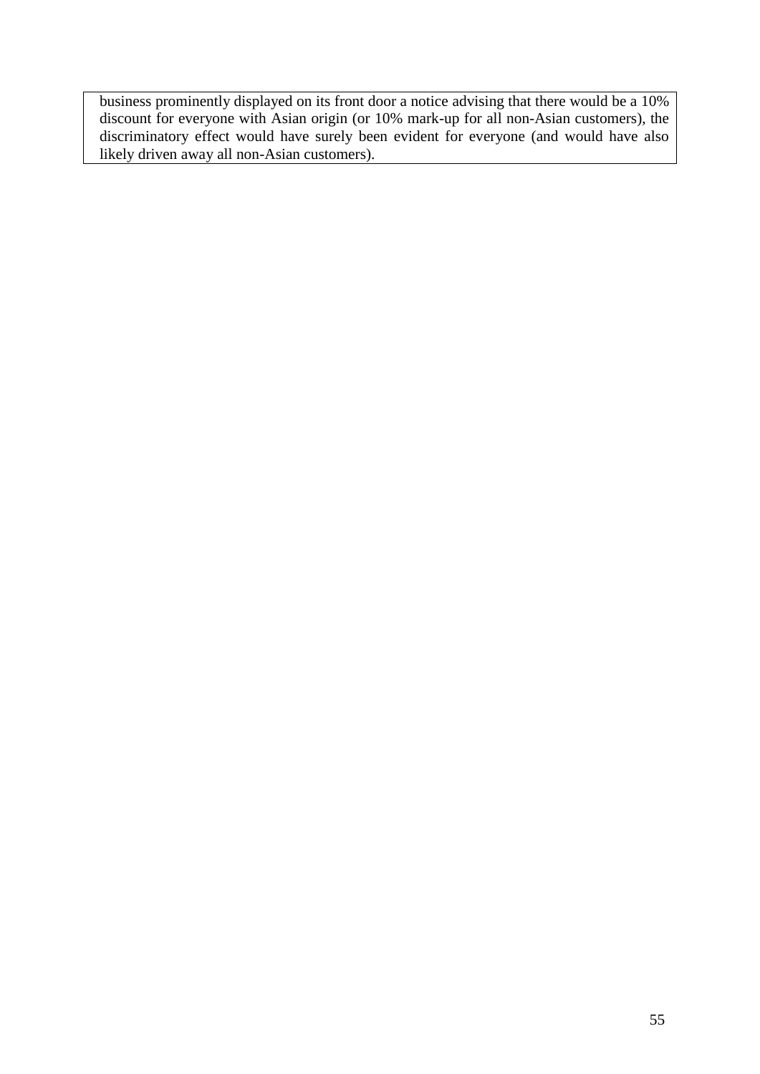business prominently displayed on its front door a notice advising that there would be a 10% discount for everyone with Asian origin (or 10% mark-up for all non-Asian customers), the discriminatory effect would have surely been evident for everyone (and would have also likely driven away all non-Asian customers).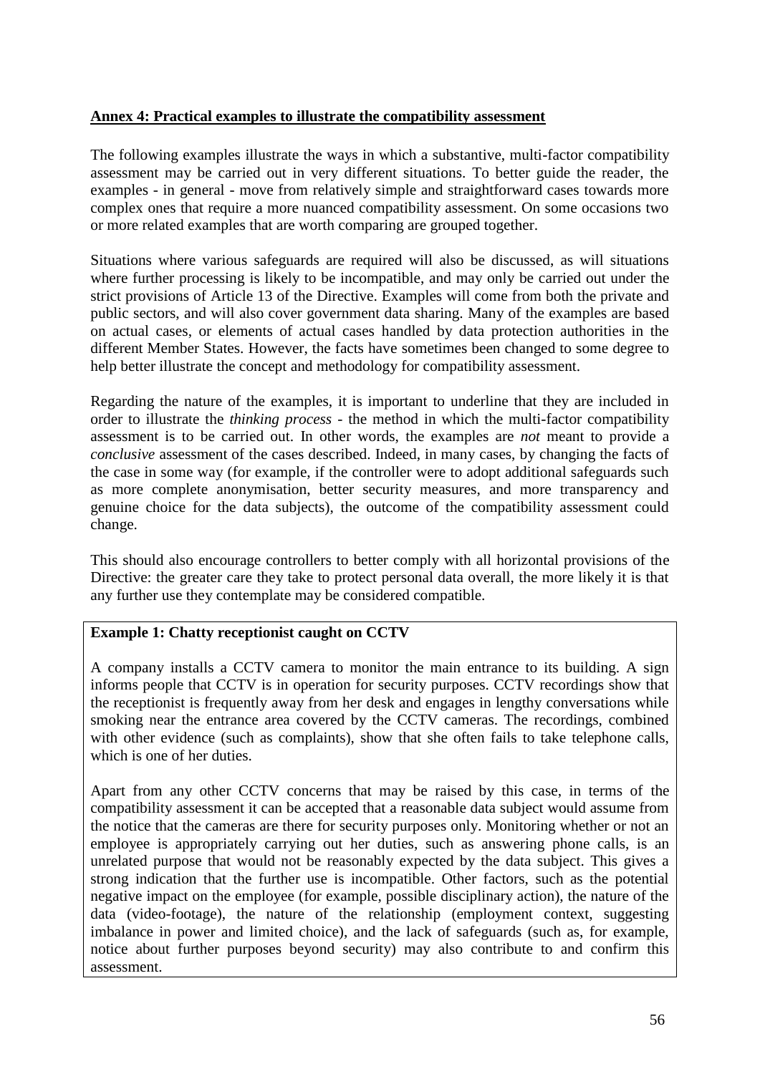## **Annex 4: Practical examples to illustrate the compatibility assessment**

The following examples illustrate the ways in which a substantive, multi-factor compatibility assessment may be carried out in very different situations. To better guide the reader, the examples - in general - move from relatively simple and straightforward cases towards more complex ones that require a more nuanced compatibility assessment. On some occasions two or more related examples that are worth comparing are grouped together.

Situations where various safeguards are required will also be discussed, as will situations where further processing is likely to be incompatible, and may only be carried out under the strict provisions of Article 13 of the Directive. Examples will come from both the private and public sectors, and will also cover government data sharing. Many of the examples are based on actual cases, or elements of actual cases handled by data protection authorities in the different Member States. However, the facts have sometimes been changed to some degree to help better illustrate the concept and methodology for compatibility assessment.

Regarding the nature of the examples, it is important to underline that they are included in order to illustrate the *thinking process* - the method in which the multi-factor compatibility assessment is to be carried out. In other words, the examples are *not* meant to provide a *conclusive* assessment of the cases described. Indeed, in many cases, by changing the facts of the case in some way (for example, if the controller were to adopt additional safeguards such as more complete anonymisation, better security measures, and more transparency and genuine choice for the data subjects), the outcome of the compatibility assessment could change.

This should also encourage controllers to better comply with all horizontal provisions of the Directive: the greater care they take to protect personal data overall, the more likely it is that any further use they contemplate may be considered compatible.

## **Example 1: Chatty receptionist caught on CCTV**

A company installs a CCTV camera to monitor the main entrance to its building. A sign informs people that CCTV is in operation for security purposes. CCTV recordings show that the receptionist is frequently away from her desk and engages in lengthy conversations while smoking near the entrance area covered by the CCTV cameras. The recordings, combined with other evidence (such as complaints), show that she often fails to take telephone calls, which is one of her duties.

Apart from any other CCTV concerns that may be raised by this case, in terms of the compatibility assessment it can be accepted that a reasonable data subject would assume from the notice that the cameras are there for security purposes only. Monitoring whether or not an employee is appropriately carrying out her duties, such as answering phone calls, is an unrelated purpose that would not be reasonably expected by the data subject. This gives a strong indication that the further use is incompatible. Other factors, such as the potential negative impact on the employee (for example, possible disciplinary action), the nature of the data (video-footage), the nature of the relationship (employment context, suggesting imbalance in power and limited choice), and the lack of safeguards (such as, for example, notice about further purposes beyond security) may also contribute to and confirm this assessment.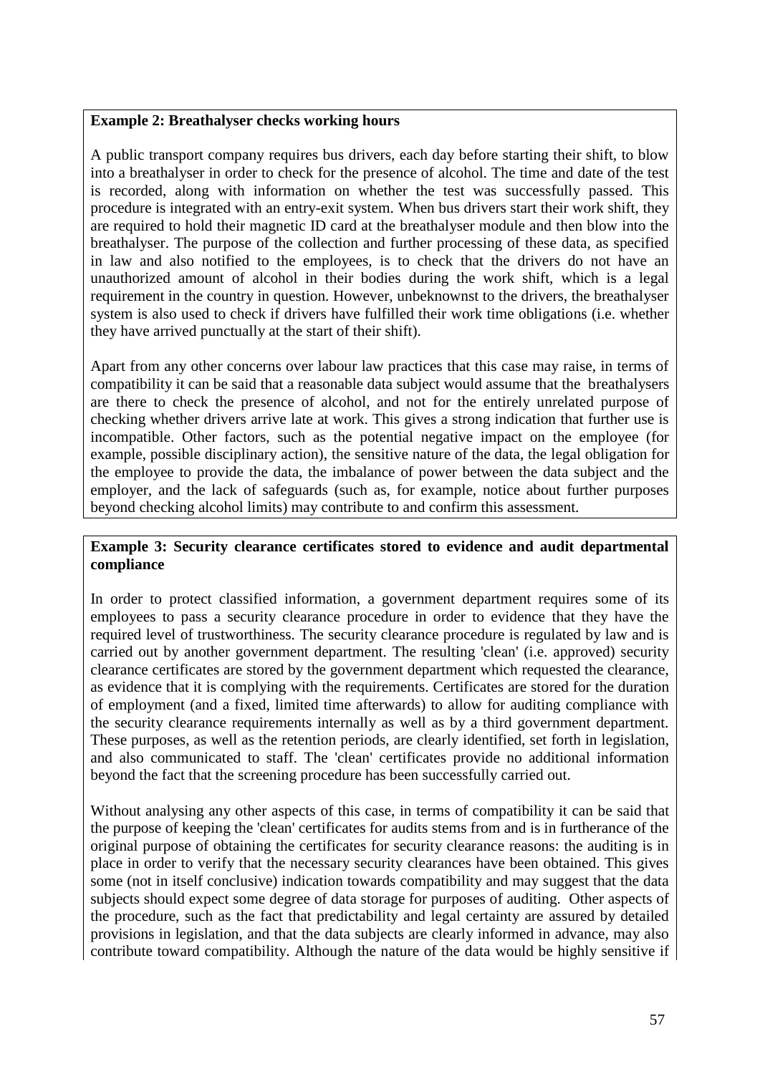#### **Example 2: Breathalyser checks working hours**

A public transport company requires bus drivers, each day before starting their shift, to blow into a breathalyser in order to check for the presence of alcohol. The time and date of the test is recorded, along with information on whether the test was successfully passed. This procedure is integrated with an entry-exit system. When bus drivers start their work shift, they are required to hold their magnetic ID card at the breathalyser module and then blow into the breathalyser. The purpose of the collection and further processing of these data, as specified in law and also notified to the employees, is to check that the drivers do not have an unauthorized amount of alcohol in their bodies during the work shift, which is a legal requirement in the country in question. However, unbeknownst to the drivers, the breathalyser system is also used to check if drivers have fulfilled their work time obligations (i.e. whether they have arrived punctually at the start of their shift).

Apart from any other concerns over labour law practices that this case may raise, in terms of compatibility it can be said that a reasonable data subject would assume that the breathalysers are there to check the presence of alcohol, and not for the entirely unrelated purpose of checking whether drivers arrive late at work. This gives a strong indication that further use is incompatible. Other factors, such as the potential negative impact on the employee (for example, possible disciplinary action), the sensitive nature of the data, the legal obligation for the employee to provide the data, the imbalance of power between the data subject and the employer, and the lack of safeguards (such as, for example, notice about further purposes beyond checking alcohol limits) may contribute to and confirm this assessment.

#### **Example 3: Security clearance certificates stored to evidence and audit departmental compliance**

In order to protect classified information, a government department requires some of its employees to pass a security clearance procedure in order to evidence that they have the required level of trustworthiness. The security clearance procedure is regulated by law and is carried out by another government department. The resulting 'clean' (i.e. approved) security clearance certificates are stored by the government department which requested the clearance, as evidence that it is complying with the requirements. Certificates are stored for the duration of employment (and a fixed, limited time afterwards) to allow for auditing compliance with the security clearance requirements internally as well as by a third government department. These purposes, as well as the retention periods, are clearly identified, set forth in legislation, and also communicated to staff. The 'clean' certificates provide no additional information beyond the fact that the screening procedure has been successfully carried out.

Without analysing any other aspects of this case, in terms of compatibility it can be said that the purpose of keeping the 'clean' certificates for audits stems from and is in furtherance of the original purpose of obtaining the certificates for security clearance reasons: the auditing is in place in order to verify that the necessary security clearances have been obtained. This gives some (not in itself conclusive) indication towards compatibility and may suggest that the data subjects should expect some degree of data storage for purposes of auditing. Other aspects of the procedure, such as the fact that predictability and legal certainty are assured by detailed provisions in legislation, and that the data subjects are clearly informed in advance, may also contribute toward compatibility. Although the nature of the data would be highly sensitive if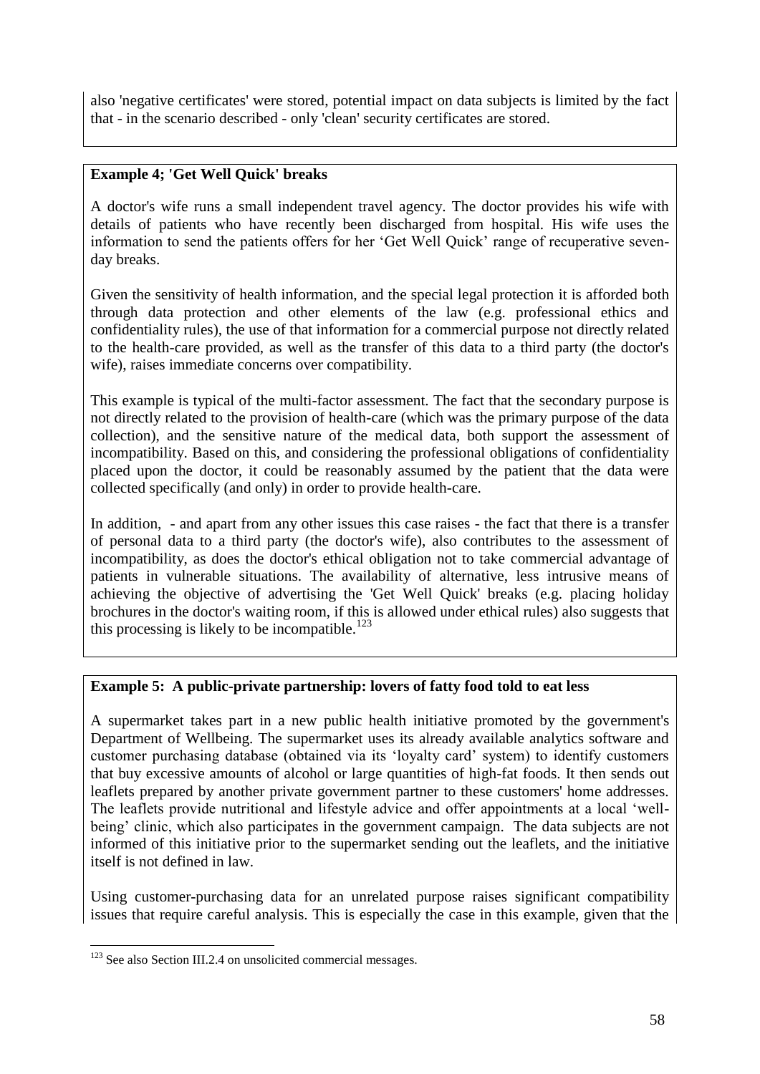also 'negative certificates' were stored, potential impact on data subjects is limited by the fact that - in the scenario described - only 'clean' security certificates are stored.

## **Example 4; 'Get Well Quick' breaks**

A doctor's wife runs a small independent travel agency. The doctor provides his wife with details of patients who have recently been discharged from hospital. His wife uses the information to send the patients offers for her 'Get Well Quick' range of recuperative sevenday breaks.

Given the sensitivity of health information, and the special legal protection it is afforded both through data protection and other elements of the law (e.g. professional ethics and confidentiality rules), the use of that information for a commercial purpose not directly related to the health-care provided, as well as the transfer of this data to a third party (the doctor's wife), raises immediate concerns over compatibility.

This example is typical of the multi-factor assessment. The fact that the secondary purpose is not directly related to the provision of health-care (which was the primary purpose of the data collection), and the sensitive nature of the medical data, both support the assessment of incompatibility. Based on this, and considering the professional obligations of confidentiality placed upon the doctor, it could be reasonably assumed by the patient that the data were collected specifically (and only) in order to provide health-care.

In addition, - and apart from any other issues this case raises - the fact that there is a transfer of personal data to a third party (the doctor's wife), also contributes to the assessment of incompatibility, as does the doctor's ethical obligation not to take commercial advantage of patients in vulnerable situations. The availability of alternative, less intrusive means of achieving the objective of advertising the 'Get Well Quick' breaks (e.g. placing holiday brochures in the doctor's waiting room, if this is allowed under ethical rules) also suggests that this processing is likely to be incompatible.<sup>123</sup>

## **Example 5: A public-private partnership: lovers of fatty food told to eat less**

A supermarket takes part in a new public health initiative promoted by the government's Department of Wellbeing. The supermarket uses its already available analytics software and customer purchasing database (obtained via its 'loyalty card' system) to identify customers that buy excessive amounts of alcohol or large quantities of high-fat foods. It then sends out leaflets prepared by another private government partner to these customers' home addresses. The leaflets provide nutritional and lifestyle advice and offer appointments at a local 'wellbeing' clinic, which also participates in the government campaign. The data subjects are not informed of this initiative prior to the supermarket sending out the leaflets, and the initiative itself is not defined in law.

Using customer-purchasing data for an unrelated purpose raises significant compatibility issues that require careful analysis. This is especially the case in this example, given that the

 $123$  See also Section III.2.4 on unsolicited commercial messages.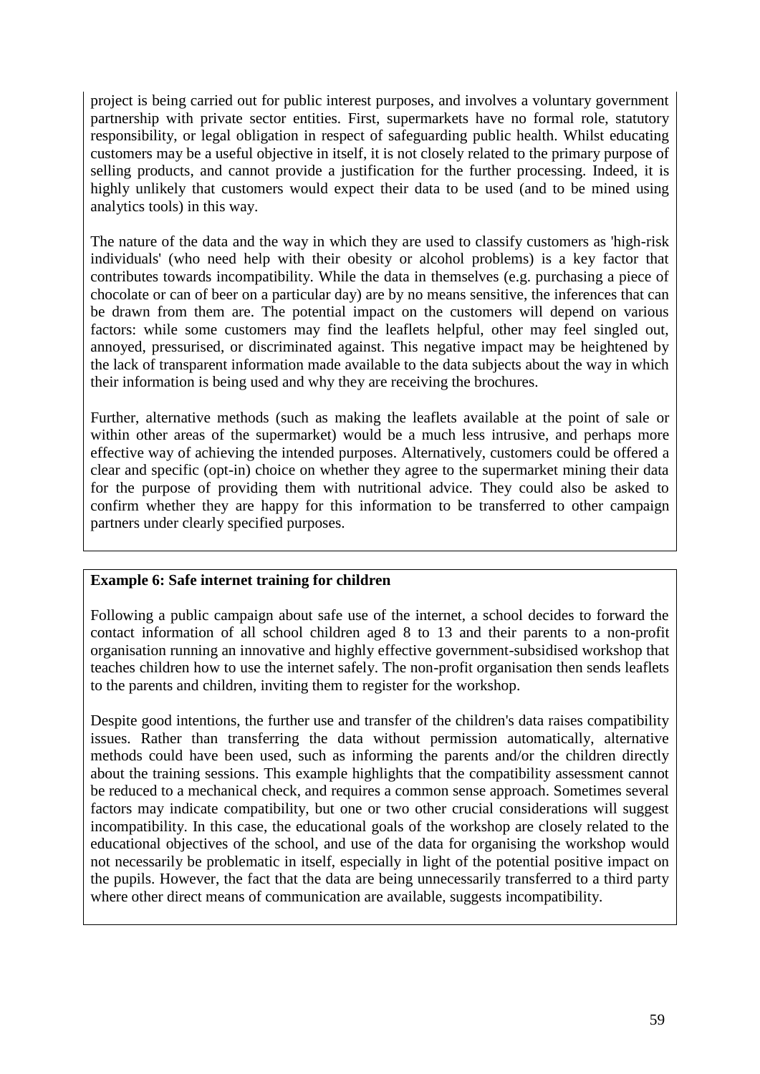project is being carried out for public interest purposes, and involves a voluntary government partnership with private sector entities. First, supermarkets have no formal role, statutory responsibility, or legal obligation in respect of safeguarding public health. Whilst educating customers may be a useful objective in itself, it is not closely related to the primary purpose of selling products, and cannot provide a justification for the further processing. Indeed, it is highly unlikely that customers would expect their data to be used (and to be mined using analytics tools) in this way.

The nature of the data and the way in which they are used to classify customers as 'high-risk individuals' (who need help with their obesity or alcohol problems) is a key factor that contributes towards incompatibility. While the data in themselves (e.g. purchasing a piece of chocolate or can of beer on a particular day) are by no means sensitive, the inferences that can be drawn from them are. The potential impact on the customers will depend on various factors: while some customers may find the leaflets helpful, other may feel singled out, annoyed, pressurised, or discriminated against. This negative impact may be heightened by the lack of transparent information made available to the data subjects about the way in which their information is being used and why they are receiving the brochures.

Further, alternative methods (such as making the leaflets available at the point of sale or within other areas of the supermarket) would be a much less intrusive, and perhaps more effective way of achieving the intended purposes. Alternatively, customers could be offered a clear and specific (opt-in) choice on whether they agree to the supermarket mining their data for the purpose of providing them with nutritional advice. They could also be asked to confirm whether they are happy for this information to be transferred to other campaign partners under clearly specified purposes.

## **Example 6: Safe internet training for children**

Following a public campaign about safe use of the internet, a school decides to forward the contact information of all school children aged 8 to 13 and their parents to a non-profit organisation running an innovative and highly effective government-subsidised workshop that teaches children how to use the internet safely. The non-profit organisation then sends leaflets to the parents and children, inviting them to register for the workshop.

Despite good intentions, the further use and transfer of the children's data raises compatibility issues. Rather than transferring the data without permission automatically, alternative methods could have been used, such as informing the parents and/or the children directly about the training sessions. This example highlights that the compatibility assessment cannot be reduced to a mechanical check, and requires a common sense approach. Sometimes several factors may indicate compatibility, but one or two other crucial considerations will suggest incompatibility. In this case, the educational goals of the workshop are closely related to the educational objectives of the school, and use of the data for organising the workshop would not necessarily be problematic in itself, especially in light of the potential positive impact on the pupils. However, the fact that the data are being unnecessarily transferred to a third party where other direct means of communication are available, suggests incompatibility.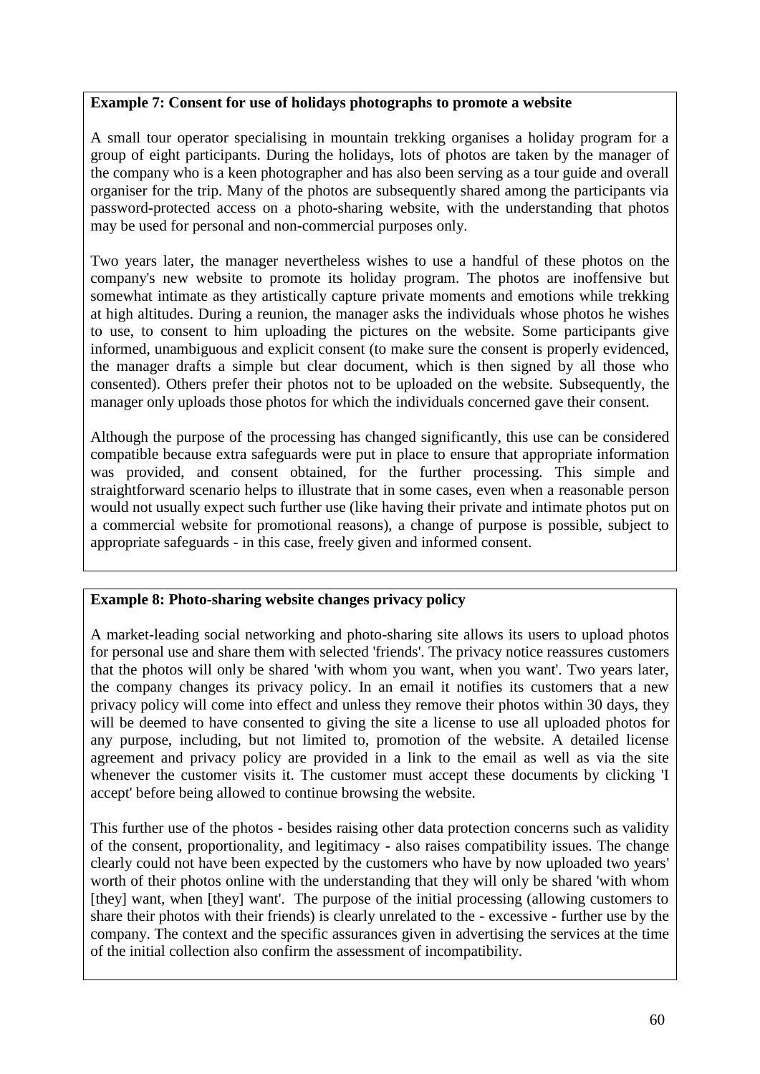### **Example 7: Consent for use of holidays photographs to promote a website**

A small tour operator specialising in mountain trekking organises a holiday program for a group of eight participants. During the holidays, lots of photos are taken by the manager of the company who is a keen photographer and has also been serving as a tour guide and overall organiser for the trip. Many of the photos are subsequently shared among the participants via password-protected access on a photo-sharing website, with the understanding that photos may be used for personal and non-commercial purposes only.

Two years later, the manager nevertheless wishes to use a handful of these photos on the company's new website to promote its holiday program. The photos are inoffensive but somewhat intimate as they artistically capture private moments and emotions while trekking at high altitudes. During a reunion, the manager asks the individuals whose photos he wishes to use, to consent to him uploading the pictures on the website. Some participants give informed, unambiguous and explicit consent (to make sure the consent is properly evidenced, the manager drafts a simple but clear document, which is then signed by all those who consented). Others prefer their photos not to be uploaded on the website. Subsequently, the manager only uploads those photos for which the individuals concerned gave their consent.

Although the purpose of the processing has changed significantly, this use can be considered compatible because extra safeguards were put in place to ensure that appropriate information was provided, and consent obtained, for the further processing. This simple and straightforward scenario helps to illustrate that in some cases, even when a reasonable person would not usually expect such further use (like having their private and intimate photos put on a commercial website for promotional reasons), a change of purpose is possible, subject to appropriate safeguards - in this case, freely given and informed consent.

## **Example 8: Photo-sharing website changes privacy policy**

A market-leading social networking and photo-sharing site allows its users to upload photos for personal use and share them with selected 'friends'. The privacy notice reassures customers that the photos will only be shared 'with whom you want, when you want'. Two years later, the company changes its privacy policy. In an email it notifies its customers that a new privacy policy will come into effect and unless they remove their photos within 30 days, they will be deemed to have consented to giving the site a license to use all uploaded photos for any purpose, including, but not limited to, promotion of the website. A detailed license agreement and privacy policy are provided in a link to the email as well as via the site whenever the customer visits it. The customer must accept these documents by clicking 'I accept' before being allowed to continue browsing the website.

This further use of the photos - besides raising other data protection concerns such as validity of the consent, proportionality, and legitimacy - also raises compatibility issues. The change clearly could not have been expected by the customers who have by now uploaded two years' worth of their photos online with the understanding that they will only be shared 'with whom [they] want, when [they] want'. The purpose of the initial processing (allowing customers to share their photos with their friends) is clearly unrelated to the - excessive - further use by the company. The context and the specific assurances given in advertising the services at the time of the initial collection also confirm the assessment of incompatibility.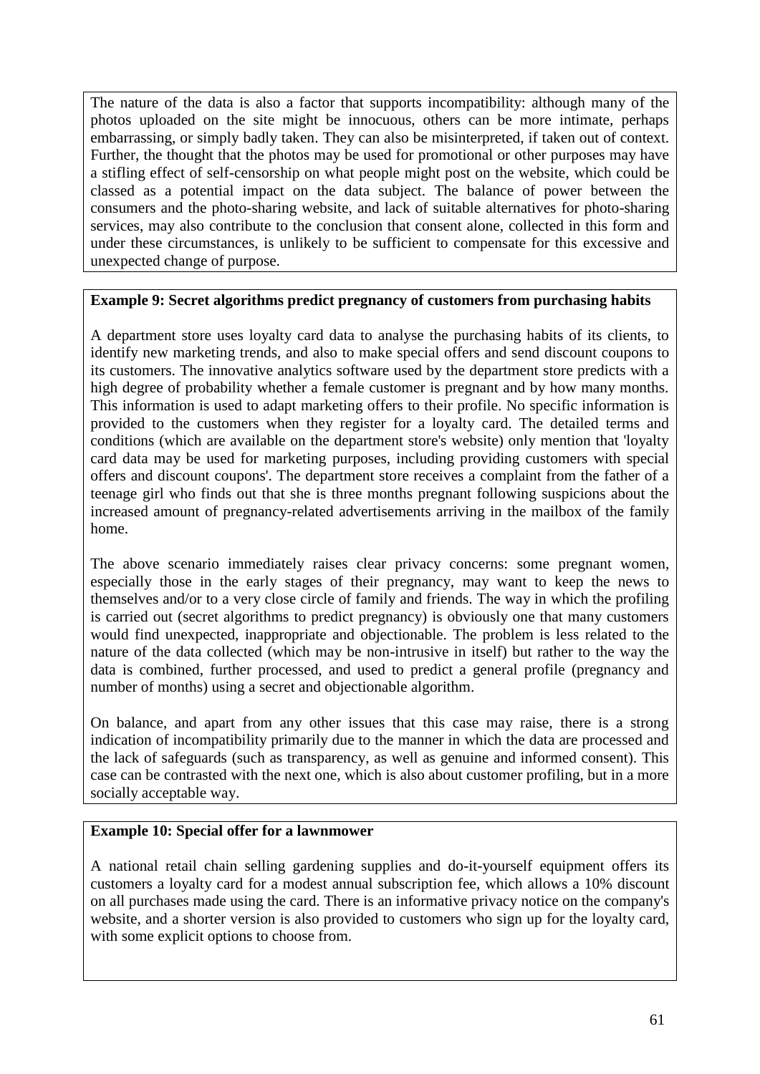The nature of the data is also a factor that supports incompatibility: although many of the photos uploaded on the site might be innocuous, others can be more intimate, perhaps embarrassing, or simply badly taken. They can also be misinterpreted, if taken out of context. Further, the thought that the photos may be used for promotional or other purposes may have a stifling effect of self-censorship on what people might post on the website, which could be classed as a potential impact on the data subject. The balance of power between the consumers and the photo-sharing website, and lack of suitable alternatives for photo-sharing services, may also contribute to the conclusion that consent alone, collected in this form and under these circumstances, is unlikely to be sufficient to compensate for this excessive and unexpected change of purpose.

## **Example 9: Secret algorithms predict pregnancy of customers from purchasing habits**

A department store uses loyalty card data to analyse the purchasing habits of its clients, to identify new marketing trends, and also to make special offers and send discount coupons to its customers. The innovative analytics software used by the department store predicts with a high degree of probability whether a female customer is pregnant and by how many months. This information is used to adapt marketing offers to their profile. No specific information is provided to the customers when they register for a loyalty card. The detailed terms and conditions (which are available on the department store's website) only mention that 'loyalty card data may be used for marketing purposes, including providing customers with special offers and discount coupons'. The department store receives a complaint from the father of a teenage girl who finds out that she is three months pregnant following suspicions about the increased amount of pregnancy-related advertisements arriving in the mailbox of the family home.

The above scenario immediately raises clear privacy concerns: some pregnant women, especially those in the early stages of their pregnancy, may want to keep the news to themselves and/or to a very close circle of family and friends. The way in which the profiling is carried out (secret algorithms to predict pregnancy) is obviously one that many customers would find unexpected, inappropriate and objectionable. The problem is less related to the nature of the data collected (which may be non-intrusive in itself) but rather to the way the data is combined, further processed, and used to predict a general profile (pregnancy and number of months) using a secret and objectionable algorithm.

On balance, and apart from any other issues that this case may raise, there is a strong indication of incompatibility primarily due to the manner in which the data are processed and the lack of safeguards (such as transparency, as well as genuine and informed consent). This case can be contrasted with the next one, which is also about customer profiling, but in a more socially acceptable way.

## **Example 10: Special offer for a lawnmower**

A national retail chain selling gardening supplies and do-it-yourself equipment offers its customers a loyalty card for a modest annual subscription fee, which allows a 10% discount on all purchases made using the card. There is an informative privacy notice on the company's website, and a shorter version is also provided to customers who sign up for the loyalty card, with some explicit options to choose from.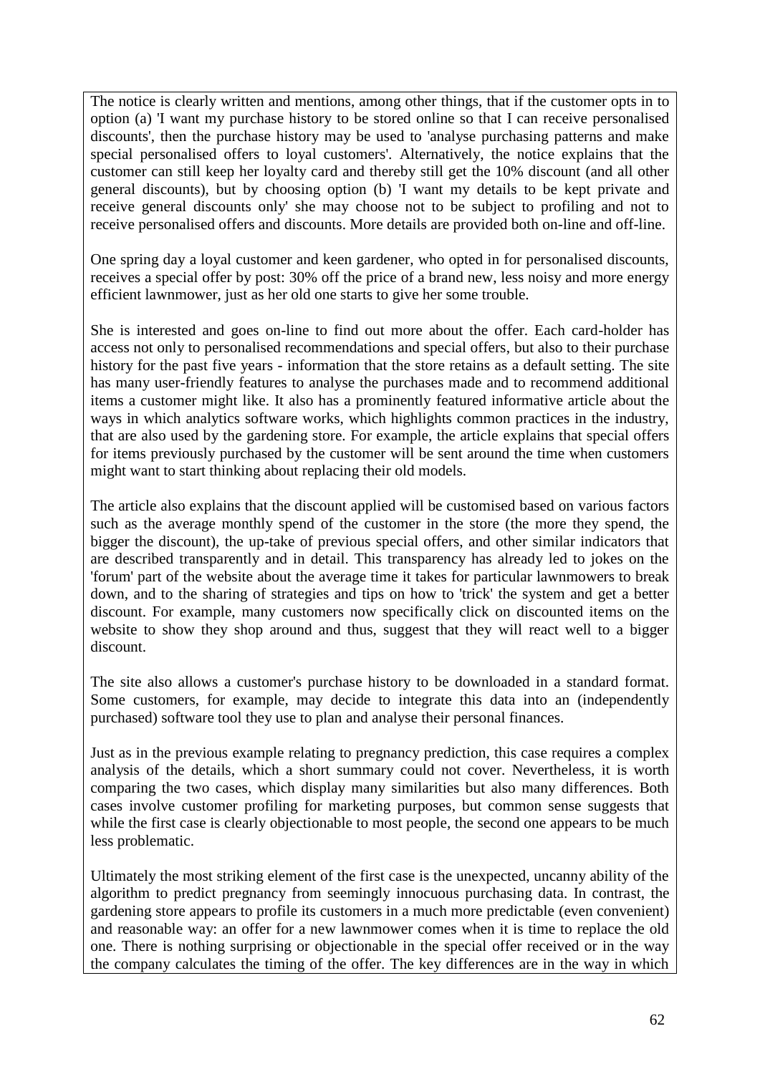The notice is clearly written and mentions, among other things, that if the customer opts in to option (a) 'I want my purchase history to be stored online so that I can receive personalised discounts', then the purchase history may be used to 'analyse purchasing patterns and make special personalised offers to loyal customers'. Alternatively, the notice explains that the customer can still keep her loyalty card and thereby still get the 10% discount (and all other general discounts), but by choosing option (b) 'I want my details to be kept private and receive general discounts only' she may choose not to be subject to profiling and not to receive personalised offers and discounts. More details are provided both on-line and off-line.

One spring day a loyal customer and keen gardener, who opted in for personalised discounts, receives a special offer by post: 30% off the price of a brand new, less noisy and more energy efficient lawnmower, just as her old one starts to give her some trouble.

She is interested and goes on-line to find out more about the offer. Each card-holder has access not only to personalised recommendations and special offers, but also to their purchase history for the past five years - information that the store retains as a default setting. The site has many user-friendly features to analyse the purchases made and to recommend additional items a customer might like. It also has a prominently featured informative article about the ways in which analytics software works, which highlights common practices in the industry, that are also used by the gardening store. For example, the article explains that special offers for items previously purchased by the customer will be sent around the time when customers might want to start thinking about replacing their old models.

The article also explains that the discount applied will be customised based on various factors such as the average monthly spend of the customer in the store (the more they spend, the bigger the discount), the up-take of previous special offers, and other similar indicators that are described transparently and in detail. This transparency has already led to jokes on the 'forum' part of the website about the average time it takes for particular lawnmowers to break down, and to the sharing of strategies and tips on how to 'trick' the system and get a better discount. For example, many customers now specifically click on discounted items on the website to show they shop around and thus, suggest that they will react well to a bigger discount.

The site also allows a customer's purchase history to be downloaded in a standard format. Some customers, for example, may decide to integrate this data into an (independently purchased) software tool they use to plan and analyse their personal finances.

Just as in the previous example relating to pregnancy prediction, this case requires a complex analysis of the details, which a short summary could not cover. Nevertheless, it is worth comparing the two cases, which display many similarities but also many differences. Both cases involve customer profiling for marketing purposes, but common sense suggests that while the first case is clearly objectionable to most people, the second one appears to be much less problematic.

Ultimately the most striking element of the first case is the unexpected, uncanny ability of the algorithm to predict pregnancy from seemingly innocuous purchasing data. In contrast, the gardening store appears to profile its customers in a much more predictable (even convenient) and reasonable way: an offer for a new lawnmower comes when it is time to replace the old one. There is nothing surprising or objectionable in the special offer received or in the way the company calculates the timing of the offer. The key differences are in the way in which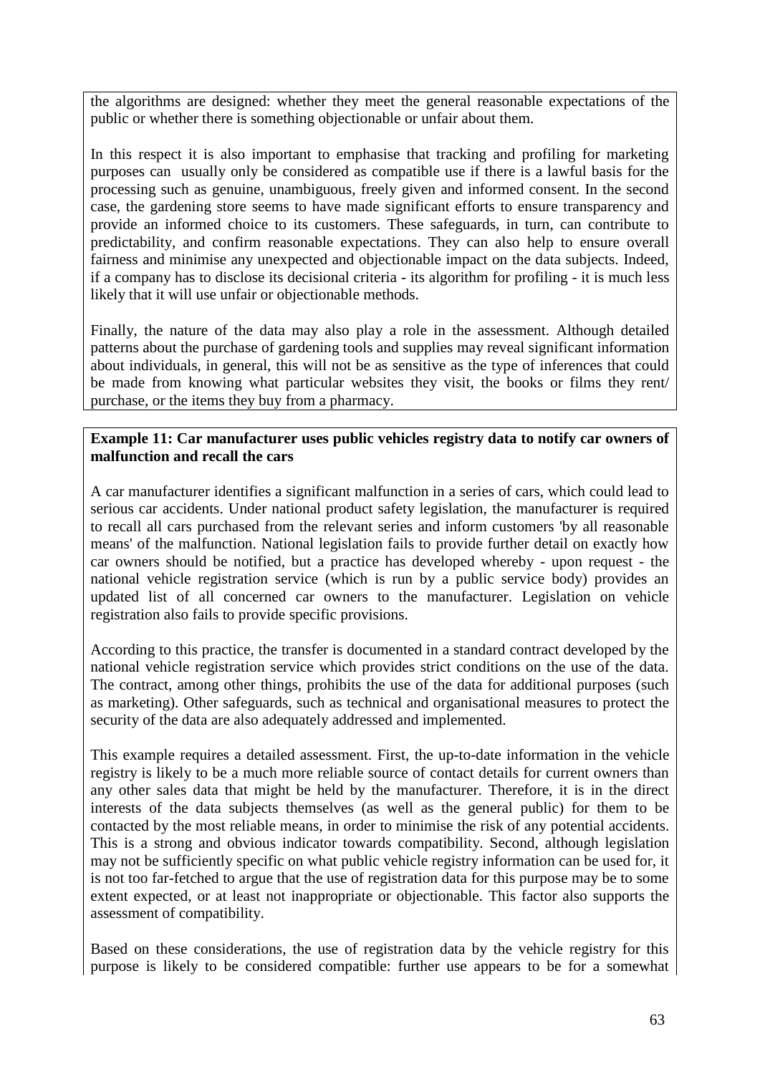the algorithms are designed: whether they meet the general reasonable expectations of the public or whether there is something objectionable or unfair about them.

In this respect it is also important to emphasise that tracking and profiling for marketing purposes can usually only be considered as compatible use if there is a lawful basis for the processing such as genuine, unambiguous, freely given and informed consent. In the second case, the gardening store seems to have made significant efforts to ensure transparency and provide an informed choice to its customers. These safeguards, in turn, can contribute to predictability, and confirm reasonable expectations. They can also help to ensure overall fairness and minimise any unexpected and objectionable impact on the data subjects. Indeed, if a company has to disclose its decisional criteria - its algorithm for profiling - it is much less likely that it will use unfair or objectionable methods.

Finally, the nature of the data may also play a role in the assessment. Although detailed patterns about the purchase of gardening tools and supplies may reveal significant information about individuals, in general, this will not be as sensitive as the type of inferences that could be made from knowing what particular websites they visit, the books or films they rent/ purchase, or the items they buy from a pharmacy.

#### **Example 11: Car manufacturer uses public vehicles registry data to notify car owners of malfunction and recall the cars**

A car manufacturer identifies a significant malfunction in a series of cars, which could lead to serious car accidents. Under national product safety legislation, the manufacturer is required to recall all cars purchased from the relevant series and inform customers 'by all reasonable means' of the malfunction. National legislation fails to provide further detail on exactly how car owners should be notified, but a practice has developed whereby - upon request - the national vehicle registration service (which is run by a public service body) provides an updated list of all concerned car owners to the manufacturer. Legislation on vehicle registration also fails to provide specific provisions.

According to this practice, the transfer is documented in a standard contract developed by the national vehicle registration service which provides strict conditions on the use of the data. The contract, among other things, prohibits the use of the data for additional purposes (such as marketing). Other safeguards, such as technical and organisational measures to protect the security of the data are also adequately addressed and implemented.

This example requires a detailed assessment. First, the up-to-date information in the vehicle registry is likely to be a much more reliable source of contact details for current owners than any other sales data that might be held by the manufacturer. Therefore, it is in the direct interests of the data subjects themselves (as well as the general public) for them to be contacted by the most reliable means, in order to minimise the risk of any potential accidents. This is a strong and obvious indicator towards compatibility. Second, although legislation may not be sufficiently specific on what public vehicle registry information can be used for, it is not too far-fetched to argue that the use of registration data for this purpose may be to some extent expected, or at least not inappropriate or objectionable. This factor also supports the assessment of compatibility.

Based on these considerations, the use of registration data by the vehicle registry for this purpose is likely to be considered compatible: further use appears to be for a somewhat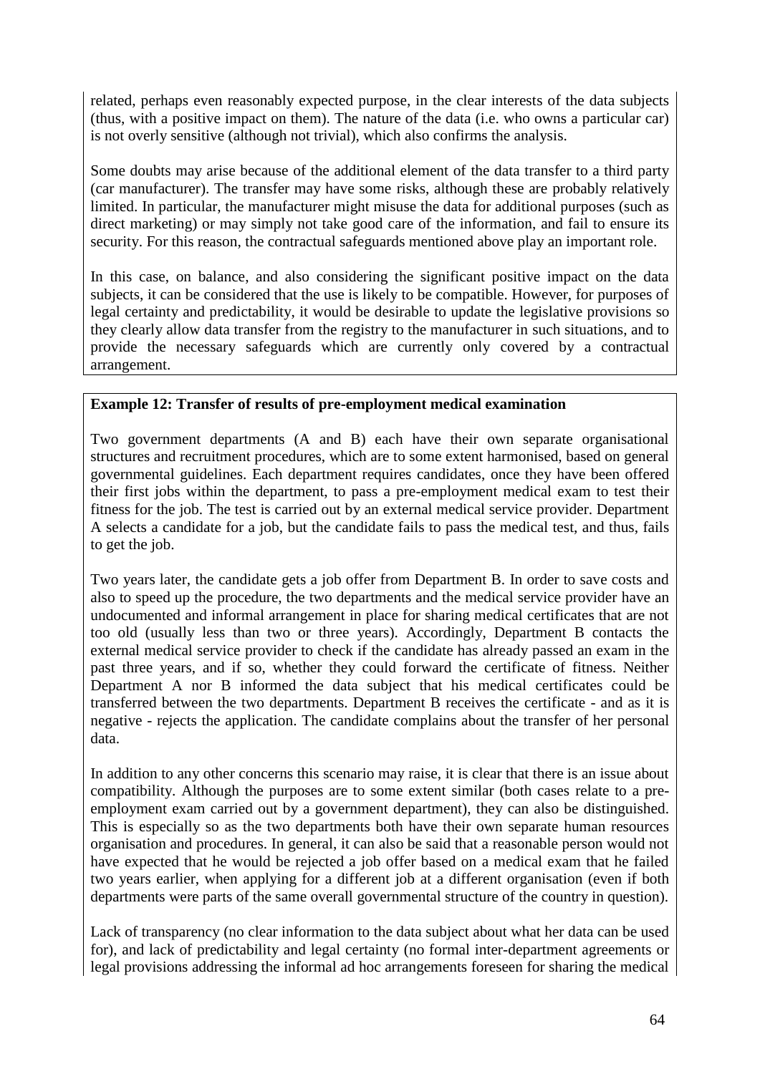related, perhaps even reasonably expected purpose, in the clear interests of the data subjects (thus, with a positive impact on them). The nature of the data (i.e. who owns a particular car) is not overly sensitive (although not trivial), which also confirms the analysis.

Some doubts may arise because of the additional element of the data transfer to a third party (car manufacturer). The transfer may have some risks, although these are probably relatively limited. In particular, the manufacturer might misuse the data for additional purposes (such as direct marketing) or may simply not take good care of the information, and fail to ensure its security. For this reason, the contractual safeguards mentioned above play an important role.

In this case, on balance, and also considering the significant positive impact on the data subjects, it can be considered that the use is likely to be compatible. However, for purposes of legal certainty and predictability, it would be desirable to update the legislative provisions so they clearly allow data transfer from the registry to the manufacturer in such situations, and to provide the necessary safeguards which are currently only covered by a contractual arrangement.

## **Example 12: Transfer of results of pre-employment medical examination**

Two government departments (A and B) each have their own separate organisational structures and recruitment procedures, which are to some extent harmonised, based on general governmental guidelines. Each department requires candidates, once they have been offered their first jobs within the department, to pass a pre-employment medical exam to test their fitness for the job. The test is carried out by an external medical service provider. Department A selects a candidate for a job, but the candidate fails to pass the medical test, and thus, fails to get the job.

Two years later, the candidate gets a job offer from Department B. In order to save costs and also to speed up the procedure, the two departments and the medical service provider have an undocumented and informal arrangement in place for sharing medical certificates that are not too old (usually less than two or three years). Accordingly, Department B contacts the external medical service provider to check if the candidate has already passed an exam in the past three years, and if so, whether they could forward the certificate of fitness. Neither Department A nor B informed the data subject that his medical certificates could be transferred between the two departments. Department B receives the certificate - and as it is negative - rejects the application. The candidate complains about the transfer of her personal data.

In addition to any other concerns this scenario may raise, it is clear that there is an issue about compatibility. Although the purposes are to some extent similar (both cases relate to a preemployment exam carried out by a government department), they can also be distinguished. This is especially so as the two departments both have their own separate human resources organisation and procedures. In general, it can also be said that a reasonable person would not have expected that he would be rejected a job offer based on a medical exam that he failed two years earlier, when applying for a different job at a different organisation (even if both departments were parts of the same overall governmental structure of the country in question).

Lack of transparency (no clear information to the data subject about what her data can be used for), and lack of predictability and legal certainty (no formal inter-department agreements or legal provisions addressing the informal ad hoc arrangements foreseen for sharing the medical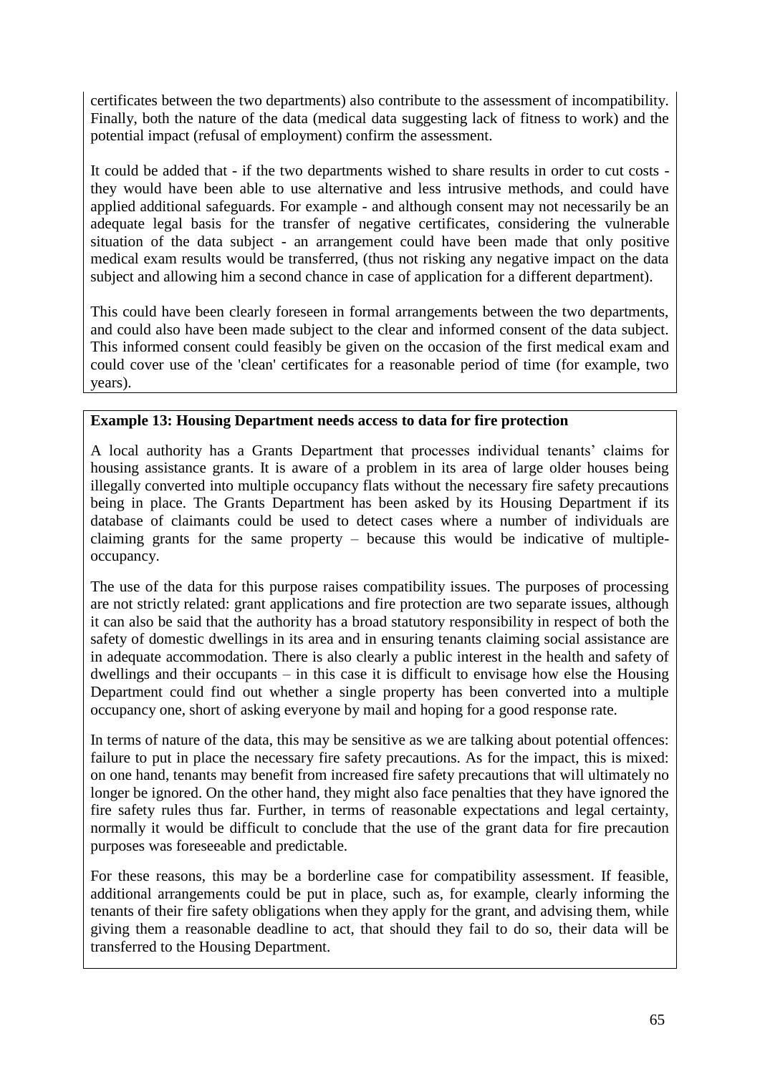certificates between the two departments) also contribute to the assessment of incompatibility. Finally, both the nature of the data (medical data suggesting lack of fitness to work) and the potential impact (refusal of employment) confirm the assessment.

It could be added that - if the two departments wished to share results in order to cut costs they would have been able to use alternative and less intrusive methods, and could have applied additional safeguards. For example - and although consent may not necessarily be an adequate legal basis for the transfer of negative certificates, considering the vulnerable situation of the data subject - an arrangement could have been made that only positive medical exam results would be transferred, (thus not risking any negative impact on the data subject and allowing him a second chance in case of application for a different department).

This could have been clearly foreseen in formal arrangements between the two departments, and could also have been made subject to the clear and informed consent of the data subject. This informed consent could feasibly be given on the occasion of the first medical exam and could cover use of the 'clean' certificates for a reasonable period of time (for example, two years).

## **Example 13: Housing Department needs access to data for fire protection**

A local authority has a Grants Department that processes individual tenants' claims for housing assistance grants. It is aware of a problem in its area of large older houses being illegally converted into multiple occupancy flats without the necessary fire safety precautions being in place. The Grants Department has been asked by its Housing Department if its database of claimants could be used to detect cases where a number of individuals are claiming grants for the same property – because this would be indicative of multipleoccupancy.

The use of the data for this purpose raises compatibility issues. The purposes of processing are not strictly related: grant applications and fire protection are two separate issues, although it can also be said that the authority has a broad statutory responsibility in respect of both the safety of domestic dwellings in its area and in ensuring tenants claiming social assistance are in adequate accommodation. There is also clearly a public interest in the health and safety of dwellings and their occupants – in this case it is difficult to envisage how else the Housing Department could find out whether a single property has been converted into a multiple occupancy one, short of asking everyone by mail and hoping for a good response rate.

In terms of nature of the data, this may be sensitive as we are talking about potential offences: failure to put in place the necessary fire safety precautions. As for the impact, this is mixed: on one hand, tenants may benefit from increased fire safety precautions that will ultimately no longer be ignored. On the other hand, they might also face penalties that they have ignored the fire safety rules thus far. Further, in terms of reasonable expectations and legal certainty, normally it would be difficult to conclude that the use of the grant data for fire precaution purposes was foreseeable and predictable.

For these reasons, this may be a borderline case for compatibility assessment. If feasible, additional arrangements could be put in place, such as, for example, clearly informing the tenants of their fire safety obligations when they apply for the grant, and advising them, while giving them a reasonable deadline to act, that should they fail to do so, their data will be transferred to the Housing Department.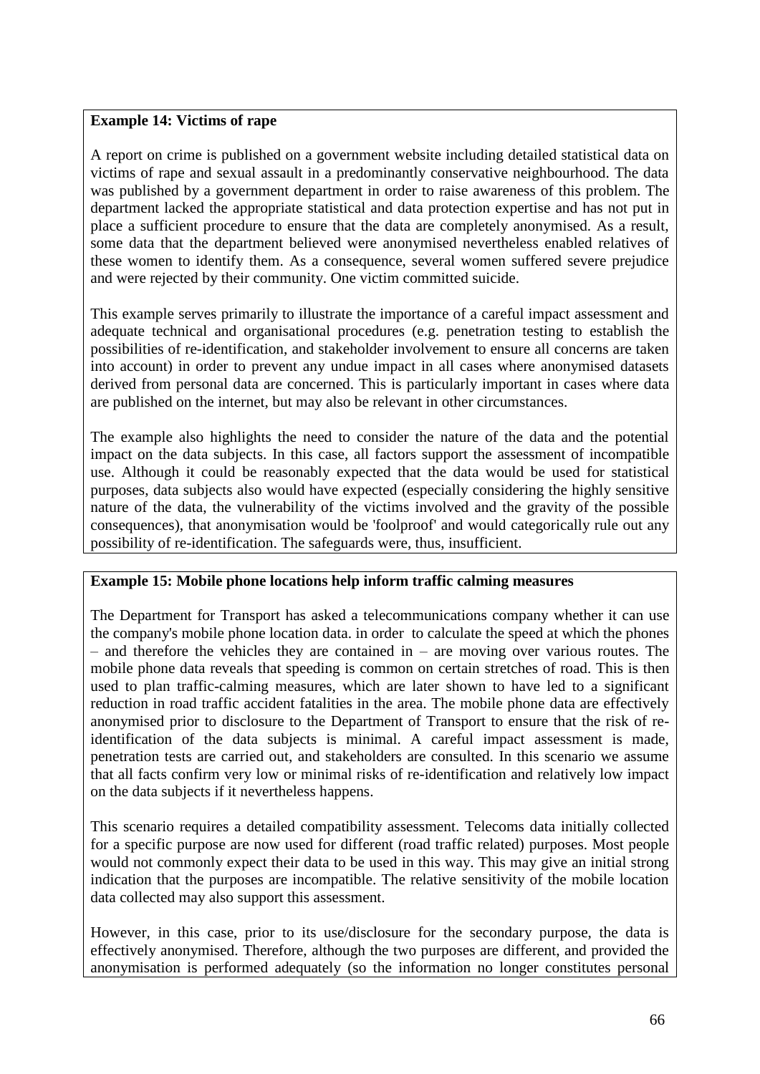## **Example 14: Victims of rape**

A report on crime is published on a government website including detailed statistical data on victims of rape and sexual assault in a predominantly conservative neighbourhood. The data was published by a government department in order to raise awareness of this problem. The department lacked the appropriate statistical and data protection expertise and has not put in place a sufficient procedure to ensure that the data are completely anonymised. As a result, some data that the department believed were anonymised nevertheless enabled relatives of these women to identify them. As a consequence, several women suffered severe prejudice and were rejected by their community. One victim committed suicide.

This example serves primarily to illustrate the importance of a careful impact assessment and adequate technical and organisational procedures (e.g. penetration testing to establish the possibilities of re-identification, and stakeholder involvement to ensure all concerns are taken into account) in order to prevent any undue impact in all cases where anonymised datasets derived from personal data are concerned. This is particularly important in cases where data are published on the internet, but may also be relevant in other circumstances.

The example also highlights the need to consider the nature of the data and the potential impact on the data subjects. In this case, all factors support the assessment of incompatible use. Although it could be reasonably expected that the data would be used for statistical purposes, data subjects also would have expected (especially considering the highly sensitive nature of the data, the vulnerability of the victims involved and the gravity of the possible consequences), that anonymisation would be 'foolproof' and would categorically rule out any possibility of re-identification. The safeguards were, thus, insufficient.

#### **Example 15: Mobile phone locations help inform traffic calming measures**

The Department for Transport has asked a telecommunications company whether it can use the company's mobile phone location data. in order to calculate the speed at which the phones – and therefore the vehicles they are contained in – are moving over various routes. The mobile phone data reveals that speeding is common on certain stretches of road. This is then used to plan traffic-calming measures, which are later shown to have led to a significant reduction in road traffic accident fatalities in the area. The mobile phone data are effectively anonymised prior to disclosure to the Department of Transport to ensure that the risk of reidentification of the data subjects is minimal. A careful impact assessment is made, penetration tests are carried out, and stakeholders are consulted. In this scenario we assume that all facts confirm very low or minimal risks of re-identification and relatively low impact on the data subjects if it nevertheless happens.

This scenario requires a detailed compatibility assessment. Telecoms data initially collected for a specific purpose are now used for different (road traffic related) purposes. Most people would not commonly expect their data to be used in this way. This may give an initial strong indication that the purposes are incompatible. The relative sensitivity of the mobile location data collected may also support this assessment.

However, in this case, prior to its use/disclosure for the secondary purpose, the data is effectively anonymised. Therefore, although the two purposes are different, and provided the anonymisation is performed adequately (so the information no longer constitutes personal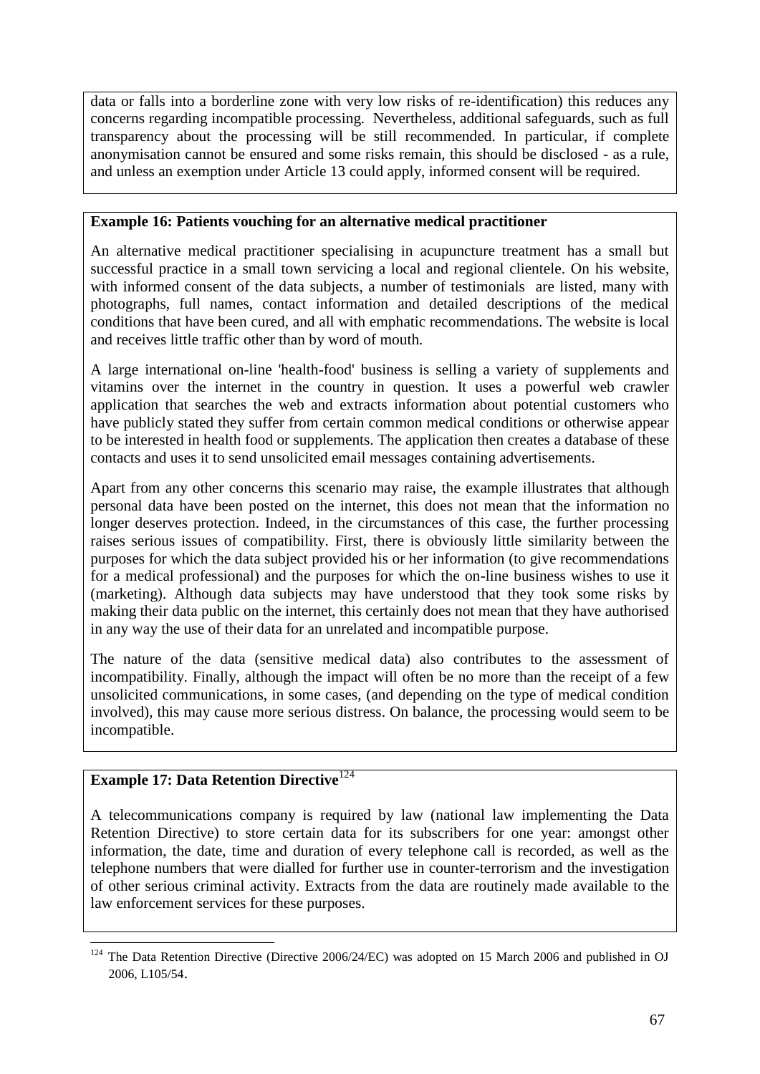data or falls into a borderline zone with very low risks of re-identification) this reduces any concerns regarding incompatible processing. Nevertheless, additional safeguards, such as full transparency about the processing will be still recommended. In particular, if complete anonymisation cannot be ensured and some risks remain, this should be disclosed - as a rule, and unless an exemption under Article 13 could apply, informed consent will be required.

### **Example 16: Patients vouching for an alternative medical practitioner**

An alternative medical practitioner specialising in acupuncture treatment has a small but successful practice in a small town servicing a local and regional clientele. On his website, with informed consent of the data subjects, a number of testimonials are listed, many with photographs, full names, contact information and detailed descriptions of the medical conditions that have been cured, and all with emphatic recommendations. The website is local and receives little traffic other than by word of mouth.

A large international on-line 'health-food' business is selling a variety of supplements and vitamins over the internet in the country in question. It uses a powerful web crawler application that searches the web and extracts information about potential customers who have publicly stated they suffer from certain common medical conditions or otherwise appear to be interested in health food or supplements. The application then creates a database of these contacts and uses it to send unsolicited email messages containing advertisements.

Apart from any other concerns this scenario may raise, the example illustrates that although personal data have been posted on the internet, this does not mean that the information no longer deserves protection. Indeed, in the circumstances of this case, the further processing raises serious issues of compatibility. First, there is obviously little similarity between the purposes for which the data subject provided his or her information (to give recommendations for a medical professional) and the purposes for which the on-line business wishes to use it (marketing). Although data subjects may have understood that they took some risks by making their data public on the internet, this certainly does not mean that they have authorised in any way the use of their data for an unrelated and incompatible purpose.

The nature of the data (sensitive medical data) also contributes to the assessment of incompatibility. Finally, although the impact will often be no more than the receipt of a few unsolicited communications, in some cases, (and depending on the type of medical condition involved), this may cause more serious distress. On balance, the processing would seem to be incompatible.

## **Example 17: Data Retention Directive**<sup>124</sup>

A telecommunications company is required by law (national law implementing the Data Retention Directive) to store certain data for its subscribers for one year: amongst other information, the date, time and duration of every telephone call is recorded, as well as the telephone numbers that were dialled for further use in counter-terrorism and the investigation of other serious criminal activity. Extracts from the data are routinely made available to the law enforcement services for these purposes.

 $\overline{a}$  $124$  The Data Retention Directive (Directive 2006/24/EC) was adopted on 15 March 2006 and published in OJ 2006, L105/54.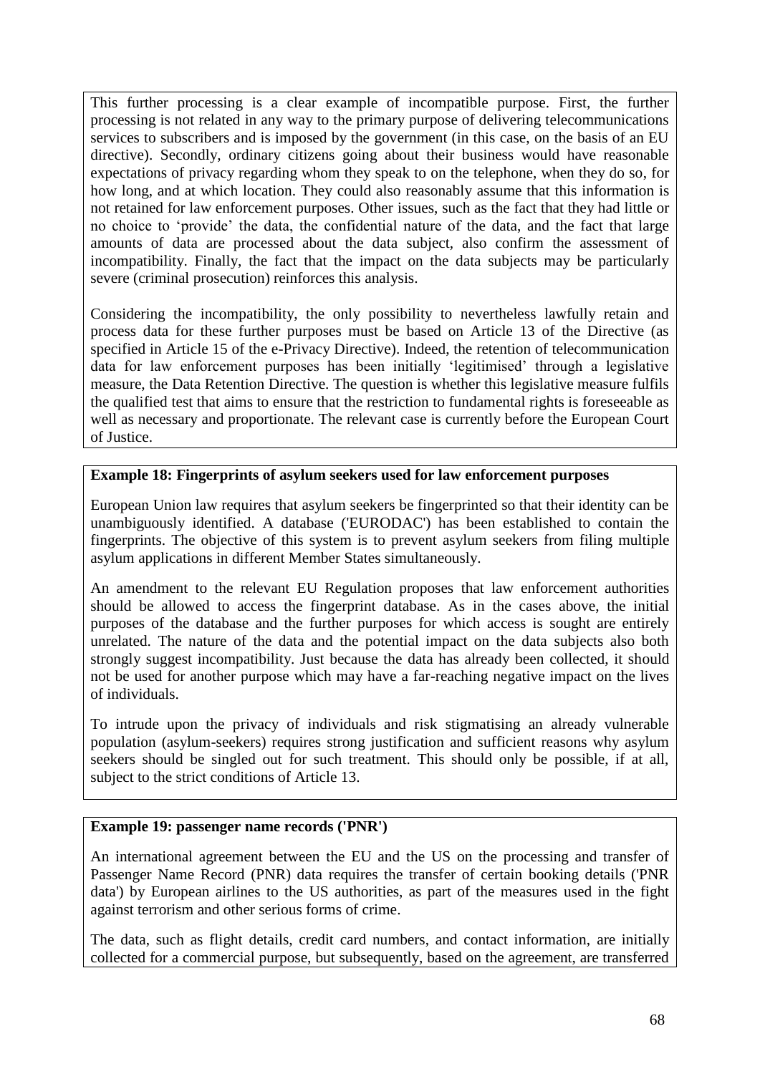This further processing is a clear example of incompatible purpose. First, the further processing is not related in any way to the primary purpose of delivering telecommunications services to subscribers and is imposed by the government (in this case, on the basis of an EU directive). Secondly, ordinary citizens going about their business would have reasonable expectations of privacy regarding whom they speak to on the telephone, when they do so, for how long, and at which location. They could also reasonably assume that this information is not retained for law enforcement purposes. Other issues, such as the fact that they had little or no choice to 'provide' the data, the confidential nature of the data, and the fact that large amounts of data are processed about the data subject, also confirm the assessment of incompatibility. Finally, the fact that the impact on the data subjects may be particularly severe (criminal prosecution) reinforces this analysis.

Considering the incompatibility, the only possibility to nevertheless lawfully retain and process data for these further purposes must be based on Article 13 of the Directive (as specified in Article 15 of the e-Privacy Directive). Indeed, the retention of telecommunication data for law enforcement purposes has been initially 'legitimised' through a legislative measure, the Data Retention Directive. The question is whether this legislative measure fulfils the qualified test that aims to ensure that the restriction to fundamental rights is foreseeable as well as necessary and proportionate. The relevant case is currently before the European Court of Justice.

#### **Example 18: Fingerprints of asylum seekers used for law enforcement purposes**

European Union law requires that asylum seekers be fingerprinted so that their identity can be unambiguously identified. A database ('EURODAC') has been established to contain the fingerprints. The objective of this system is to prevent asylum seekers from filing multiple asylum applications in different Member States simultaneously.

An amendment to the relevant EU Regulation proposes that law enforcement authorities should be allowed to access the fingerprint database. As in the cases above, the initial purposes of the database and the further purposes for which access is sought are entirely unrelated. The nature of the data and the potential impact on the data subjects also both strongly suggest incompatibility. Just because the data has already been collected, it should not be used for another purpose which may have a far-reaching negative impact on the lives of individuals.

To intrude upon the privacy of individuals and risk stigmatising an already vulnerable population (asylum-seekers) requires strong justification and sufficient reasons why asylum seekers should be singled out for such treatment. This should only be possible, if at all, subject to the strict conditions of Article 13.

#### **Example 19: passenger name records ('PNR')**

An international agreement between the EU and the US on the processing and transfer of Passenger Name Record (PNR) data requires the transfer of certain booking details ('PNR data') by European airlines to the US authorities, as part of the measures used in the fight against terrorism and other serious forms of crime.

The data, such as flight details, credit card numbers, and contact information, are initially collected for a commercial purpose, but subsequently, based on the agreement, are transferred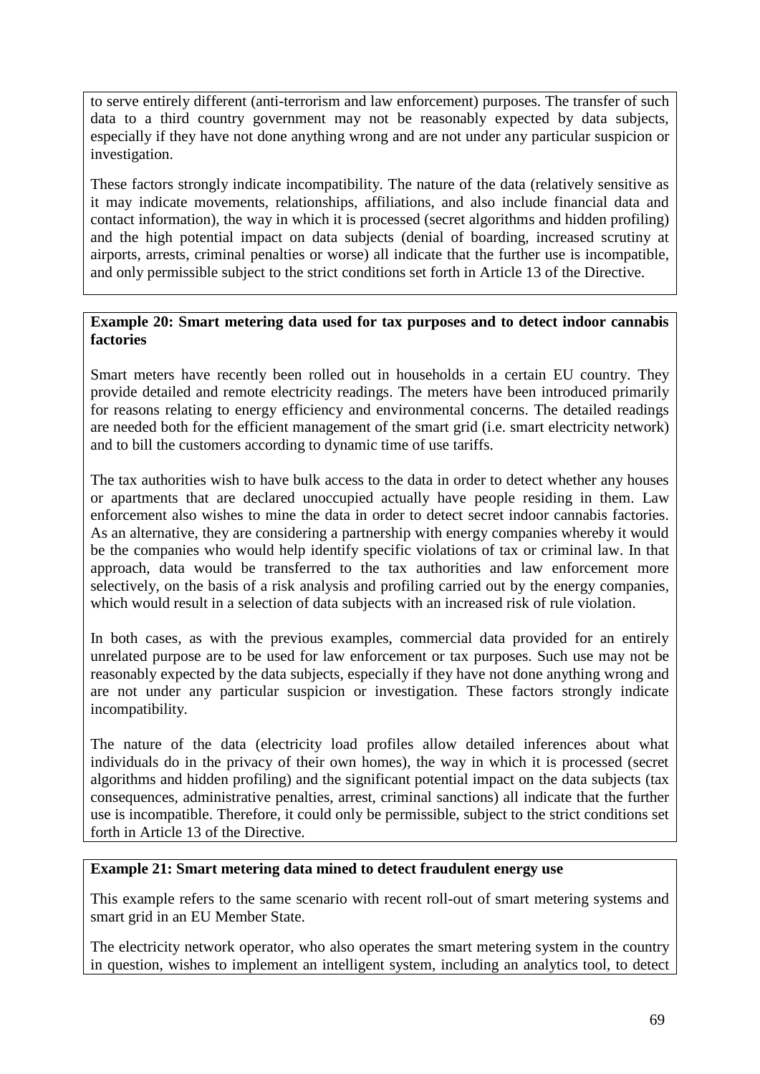to serve entirely different (anti-terrorism and law enforcement) purposes. The transfer of such data to a third country government may not be reasonably expected by data subjects, especially if they have not done anything wrong and are not under any particular suspicion or investigation.

These factors strongly indicate incompatibility. The nature of the data (relatively sensitive as it may indicate movements, relationships, affiliations, and also include financial data and contact information), the way in which it is processed (secret algorithms and hidden profiling) and the high potential impact on data subjects (denial of boarding, increased scrutiny at airports, arrests, criminal penalties or worse) all indicate that the further use is incompatible, and only permissible subject to the strict conditions set forth in Article 13 of the Directive.

#### **Example 20: Smart metering data used for tax purposes and to detect indoor cannabis factories**

Smart meters have recently been rolled out in households in a certain EU country. They provide detailed and remote electricity readings. The meters have been introduced primarily for reasons relating to energy efficiency and environmental concerns. The detailed readings are needed both for the efficient management of the smart grid (i.e. smart electricity network) and to bill the customers according to dynamic time of use tariffs.

The tax authorities wish to have bulk access to the data in order to detect whether any houses or apartments that are declared unoccupied actually have people residing in them. Law enforcement also wishes to mine the data in order to detect secret indoor cannabis factories. As an alternative, they are considering a partnership with energy companies whereby it would be the companies who would help identify specific violations of tax or criminal law. In that approach, data would be transferred to the tax authorities and law enforcement more selectively, on the basis of a risk analysis and profiling carried out by the energy companies, which would result in a selection of data subjects with an increased risk of rule violation.

In both cases, as with the previous examples, commercial data provided for an entirely unrelated purpose are to be used for law enforcement or tax purposes. Such use may not be reasonably expected by the data subjects, especially if they have not done anything wrong and are not under any particular suspicion or investigation. These factors strongly indicate incompatibility.

The nature of the data (electricity load profiles allow detailed inferences about what individuals do in the privacy of their own homes), the way in which it is processed (secret algorithms and hidden profiling) and the significant potential impact on the data subjects (tax consequences, administrative penalties, arrest, criminal sanctions) all indicate that the further use is incompatible. Therefore, it could only be permissible, subject to the strict conditions set forth in Article 13 of the Directive.

#### **Example 21: Smart metering data mined to detect fraudulent energy use**

This example refers to the same scenario with recent roll-out of smart metering systems and smart grid in an EU Member State.

The electricity network operator, who also operates the smart metering system in the country in question, wishes to implement an intelligent system, including an analytics tool, to detect